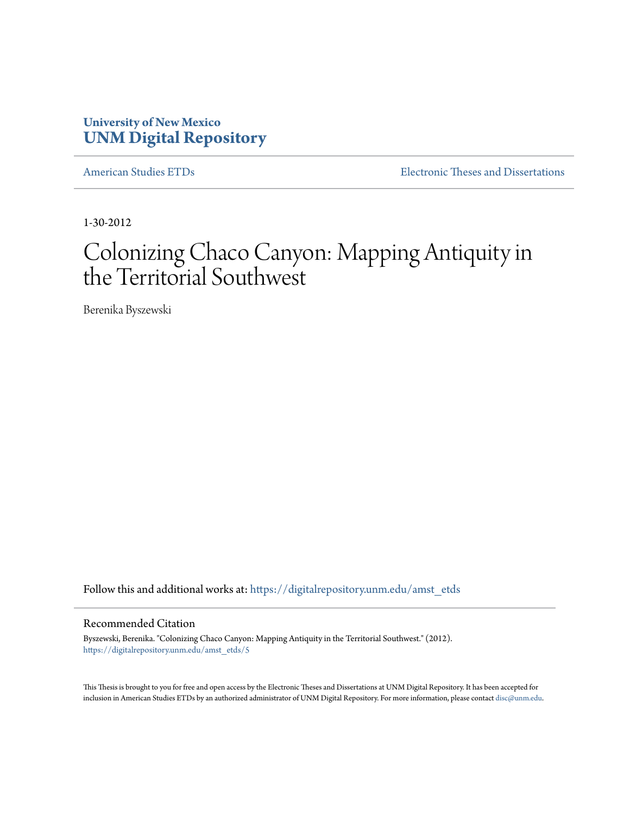# **University of New Mexico [UNM Digital Repository](https://digitalrepository.unm.edu?utm_source=digitalrepository.unm.edu%2Famst_etds%2F5&utm_medium=PDF&utm_campaign=PDFCoverPages)**

[American Studies ETDs](https://digitalrepository.unm.edu/amst_etds?utm_source=digitalrepository.unm.edu%2Famst_etds%2F5&utm_medium=PDF&utm_campaign=PDFCoverPages) **[Electronic Theses and Dissertations](https://digitalrepository.unm.edu/etds?utm_source=digitalrepository.unm.edu%2Famst_etds%2F5&utm_medium=PDF&utm_campaign=PDFCoverPages)** 

1-30-2012

# Colonizing Chaco Canyon: Mapping Antiquity in the Territorial Southwest

Berenika Byszewski

Follow this and additional works at: [https://digitalrepository.unm.edu/amst\\_etds](https://digitalrepository.unm.edu/amst_etds?utm_source=digitalrepository.unm.edu%2Famst_etds%2F5&utm_medium=PDF&utm_campaign=PDFCoverPages)

#### Recommended Citation

Byszewski, Berenika. "Colonizing Chaco Canyon: Mapping Antiquity in the Territorial Southwest." (2012). [https://digitalrepository.unm.edu/amst\\_etds/5](https://digitalrepository.unm.edu/amst_etds/5?utm_source=digitalrepository.unm.edu%2Famst_etds%2F5&utm_medium=PDF&utm_campaign=PDFCoverPages)

This Thesis is brought to you for free and open access by the Electronic Theses and Dissertations at UNM Digital Repository. It has been accepted for inclusion in American Studies ETDs by an authorized administrator of UNM Digital Repository. For more information, please contact [disc@unm.edu.](mailto:disc@unm.edu)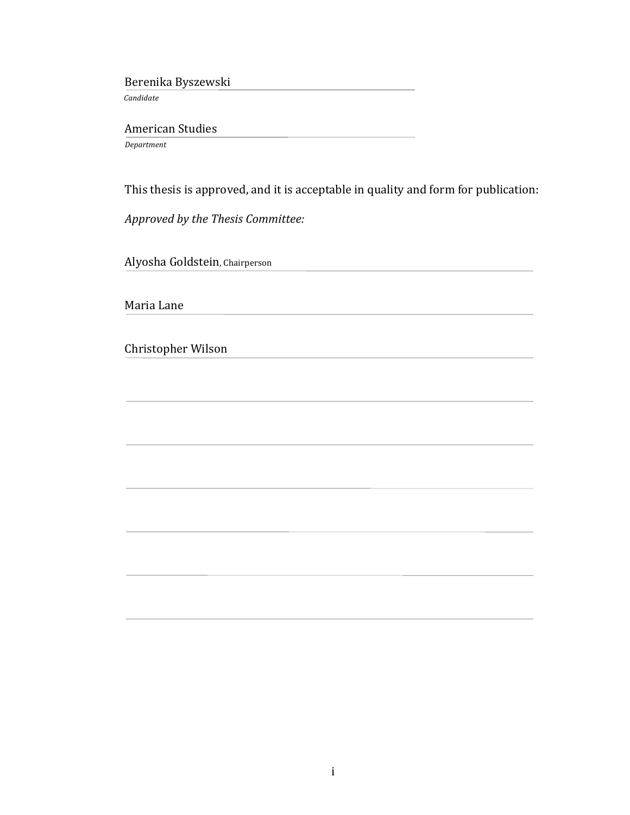Berenika Byszewski

*!!!!!!!Candidate*

American Studies

!!!!!*Department*

This thesis is approved, and it is acceptable in quality and form for publication:

!!!!!*Approved!by!the!Thesis Committee:*

Alyosha Goldstein, Chairperson

Maria Lane

Christopher Wilson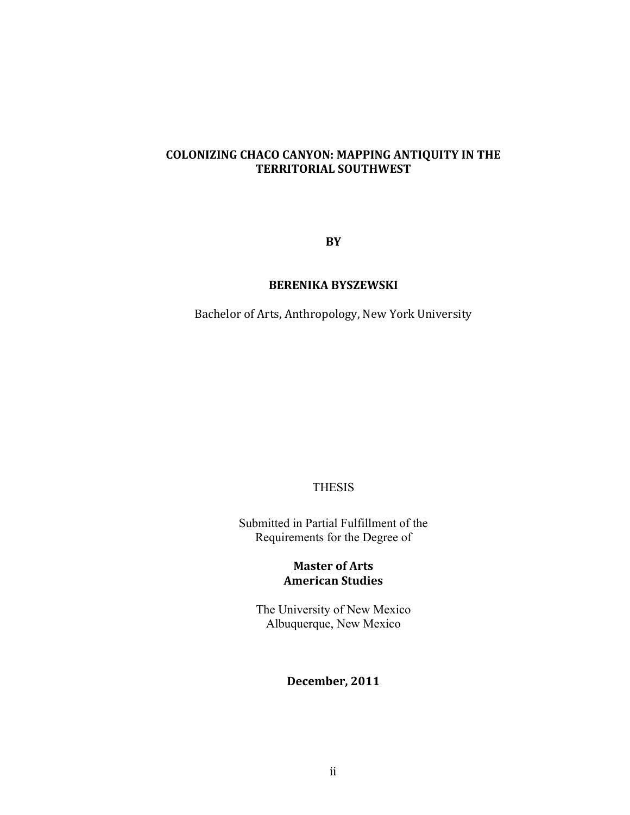# **COLONIZING CHACO CANYON: MAPPING ANTIQUITY IN THE TERRITORIAL SOUTHWEST**

**BY**

## **BERENIKA BYSZEWSKI**

Bachelor of Arts, Anthropology, New York University

#### THESIS

Submitted in Partial Fulfillment of the Requirements for the Degree of

# **Master of Arts American Studies**

The University of New Mexico Albuquerque, New Mexico

# **December, 2011**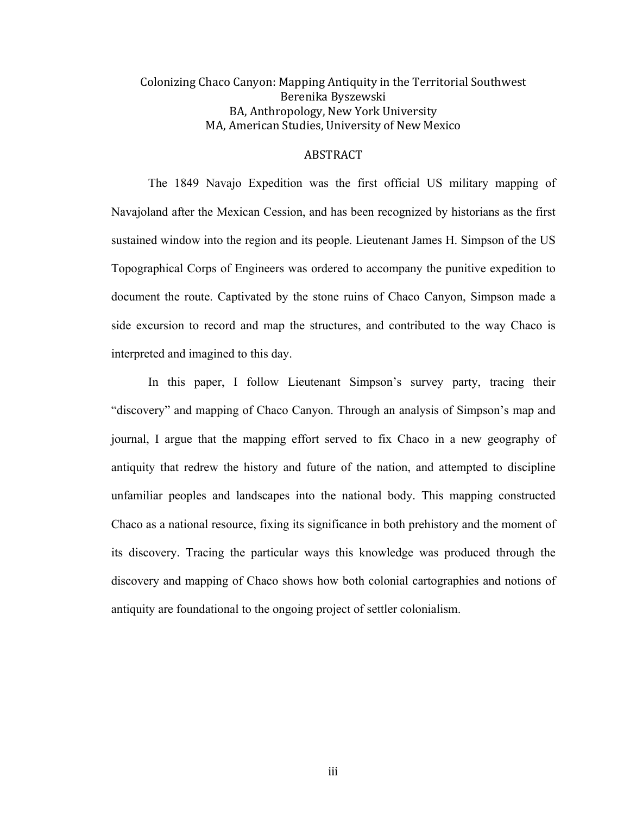# Colonizing Chaco Canyon: Mapping Antiquity in the Territorial Southwest Berenika Byszewski BA, Anthropology, New York University MA, American Studies, University of New Mexico

## ABSTRACT

The 1849 Navajo Expedition was the first official US military mapping of Navajoland after the Mexican Cession, and has been recognized by historians as the first sustained window into the region and its people. Lieutenant James H. Simpson of the US Topographical Corps of Engineers was ordered to accompany the punitive expedition to document the route. Captivated by the stone ruins of Chaco Canyon, Simpson made a side excursion to record and map the structures, and contributed to the way Chaco is interpreted and imagined to this day.

In this paper, I follow Lieutenant Simpson's survey party, tracing their "discovery" and mapping of Chaco Canyon. Through an analysis of Simpson's map and journal, I argue that the mapping effort served to fix Chaco in a new geography of antiquity that redrew the history and future of the nation, and attempted to discipline unfamiliar peoples and landscapes into the national body. This mapping constructed Chaco as a national resource, fixing its significance in both prehistory and the moment of its discovery. Tracing the particular ways this knowledge was produced through the discovery and mapping of Chaco shows how both colonial cartographies and notions of antiquity are foundational to the ongoing project of settler colonialism.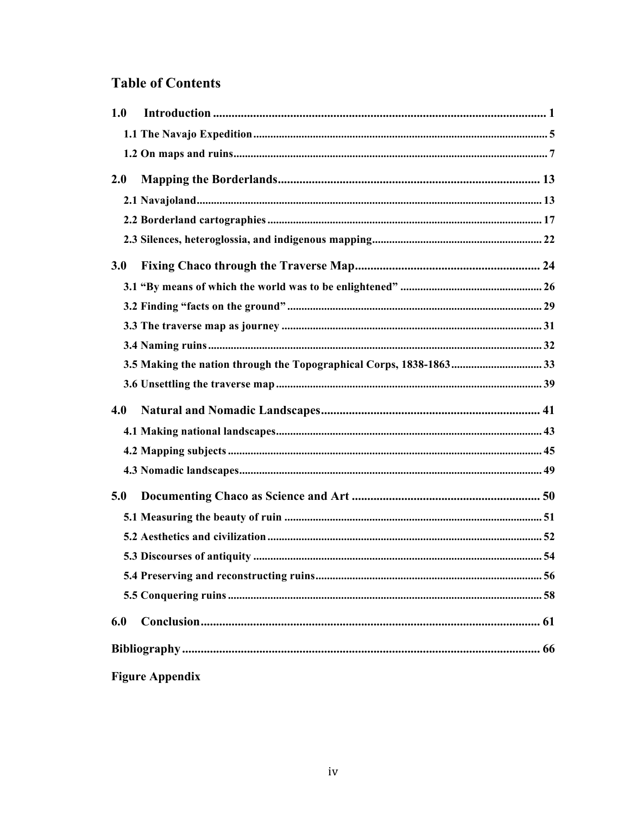# **Table of Contents**

| 1.0 |  |
|-----|--|
|     |  |
|     |  |
| 2.0 |  |
|     |  |
|     |  |
|     |  |
| 3.0 |  |
|     |  |
|     |  |
|     |  |
|     |  |
|     |  |
|     |  |
|     |  |
| 4.0 |  |
|     |  |
|     |  |
|     |  |
| 5.0 |  |
|     |  |
|     |  |
|     |  |
|     |  |
|     |  |
| 6.0 |  |
|     |  |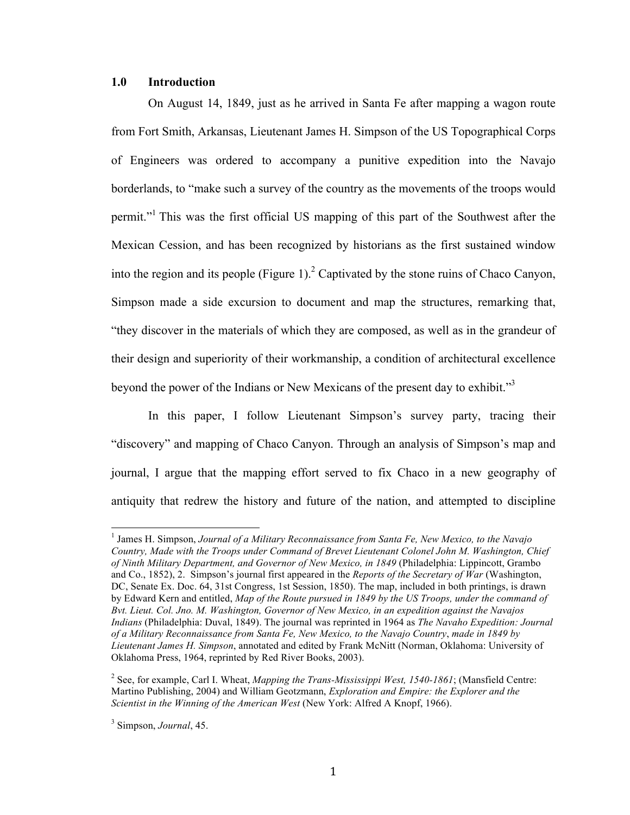#### **1.0 Introduction**

On August 14, 1849, just as he arrived in Santa Fe after mapping a wagon route from Fort Smith, Arkansas, Lieutenant James H. Simpson of the US Topographical Corps of Engineers was ordered to accompany a punitive expedition into the Navajo borderlands, to "make such a survey of the country as the movements of the troops would permit."1 This was the first official US mapping of this part of the Southwest after the Mexican Cession, and has been recognized by historians as the first sustained window into the region and its people (Figure 1).<sup>2</sup> Captivated by the stone ruins of Chaco Canyon, Simpson made a side excursion to document and map the structures, remarking that, "they discover in the materials of which they are composed, as well as in the grandeur of their design and superiority of their workmanship, a condition of architectural excellence beyond the power of the Indians or New Mexicans of the present day to exhibit."<sup>3</sup>

In this paper, I follow Lieutenant Simpson's survey party, tracing their "discovery" and mapping of Chaco Canyon. Through an analysis of Simpson's map and journal, I argue that the mapping effort served to fix Chaco in a new geography of antiquity that redrew the history and future of the nation, and attempted to discipline

<sup>&</sup>lt;sup>1</sup> James H. Simpson, *Journal of a Military Reconnaissance from Santa Fe, New Mexico, to the Navajo Country, Made with the Troops under Command of Brevet Lieutenant Colonel John M. Washington, Chief of Ninth Military Department, and Governor of New Mexico, in 1849* (Philadelphia: Lippincott, Grambo and Co., 1852), 2. Simpson's journal first appeared in the *Reports of the Secretary of War* (Washington, DC, Senate Ex. Doc. 64, 31st Congress, 1st Session, 1850). The map, included in both printings, is drawn by Edward Kern and entitled, *Map of the Route pursued in 1849 by the US Troops, under the command of Bvt. Lieut. Col. Jno. M. Washington, Governor of New Mexico, in an expedition against the Navajos Indians* (Philadelphia: Duval, 1849). The journal was reprinted in 1964 as *The Navaho Expedition: Journal of a Military Reconnaissance from Santa Fe, New Mexico, to the Navajo Country*, *made in 1849 by Lieutenant James H. Simpson*, annotated and edited by Frank McNitt (Norman, Oklahoma: University of Oklahoma Press, 1964, reprinted by Red River Books, 2003).

<sup>2</sup> See, for example, Carl I. Wheat, *Mapping the Trans-Mississippi West, 1540-1861*; (Mansfield Centre: Martino Publishing, 2004) and William Geotzmann, *Exploration and Empire: the Explorer and the Scientist in the Winning of the American West* (New York: Alfred A Knopf, 1966).

<sup>3</sup> Simpson, *Journal*, 45.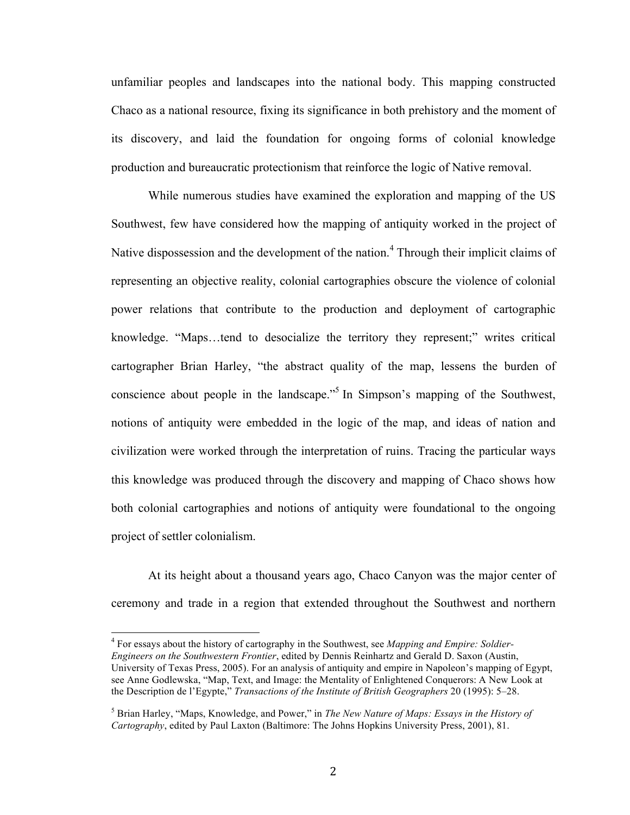unfamiliar peoples and landscapes into the national body. This mapping constructed Chaco as a national resource, fixing its significance in both prehistory and the moment of its discovery, and laid the foundation for ongoing forms of colonial knowledge production and bureaucratic protectionism that reinforce the logic of Native removal.

While numerous studies have examined the exploration and mapping of the US Southwest, few have considered how the mapping of antiquity worked in the project of Native dispossession and the development of the nation.<sup>4</sup> Through their implicit claims of representing an objective reality, colonial cartographies obscure the violence of colonial power relations that contribute to the production and deployment of cartographic knowledge. "Maps…tend to desocialize the territory they represent;" writes critical cartographer Brian Harley, "the abstract quality of the map, lessens the burden of conscience about people in the landscape."5 In Simpson's mapping of the Southwest, notions of antiquity were embedded in the logic of the map, and ideas of nation and civilization were worked through the interpretation of ruins. Tracing the particular ways this knowledge was produced through the discovery and mapping of Chaco shows how both colonial cartographies and notions of antiquity were foundational to the ongoing project of settler colonialism.

At its height about a thousand years ago, Chaco Canyon was the major center of ceremony and trade in a region that extended throughout the Southwest and northern

<sup>4</sup> For essays about the history of cartography in the Southwest, see *Mapping and Empire: Soldier-Engineers on the Southwestern Frontier*, edited by Dennis Reinhartz and Gerald D. Saxon (Austin, University of Texas Press, 2005). For an analysis of antiquity and empire in Napoleon's mapping of Egypt, see Anne Godlewska, "Map, Text, and Image: the Mentality of Enlightened Conquerors: A New Look at the Description de l'Egypte," *Transactions of the Institute of British Geographers* 20 (1995): 5–28.

<sup>5</sup> Brian Harley, "Maps, Knowledge, and Power," in *The New Nature of Maps: Essays in the History of Cartography*, edited by Paul Laxton (Baltimore: The Johns Hopkins University Press, 2001), 81.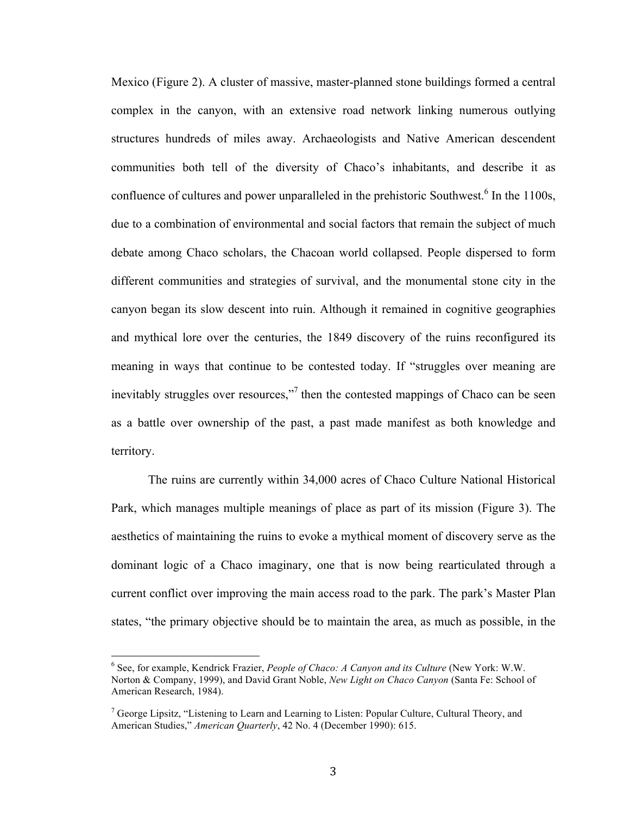Mexico (Figure 2). A cluster of massive, master-planned stone buildings formed a central complex in the canyon, with an extensive road network linking numerous outlying structures hundreds of miles away. Archaeologists and Native American descendent communities both tell of the diversity of Chaco's inhabitants, and describe it as confluence of cultures and power unparalleled in the prehistoric Southwest.<sup>6</sup> In the 1100s, due to a combination of environmental and social factors that remain the subject of much debate among Chaco scholars, the Chacoan world collapsed. People dispersed to form different communities and strategies of survival, and the monumental stone city in the canyon began its slow descent into ruin. Although it remained in cognitive geographies and mythical lore over the centuries, the 1849 discovery of the ruins reconfigured its meaning in ways that continue to be contested today. If "struggles over meaning are inevitably struggles over resources,"<sup>7</sup> then the contested mappings of Chaco can be seen as a battle over ownership of the past, a past made manifest as both knowledge and territory.

The ruins are currently within 34,000 acres of Chaco Culture National Historical Park, which manages multiple meanings of place as part of its mission (Figure 3). The aesthetics of maintaining the ruins to evoke a mythical moment of discovery serve as the dominant logic of a Chaco imaginary, one that is now being rearticulated through a current conflict over improving the main access road to the park. The park's Master Plan states, "the primary objective should be to maintain the area, as much as possible, in the

<sup>&</sup>lt;sup>6</sup> See, for example, Kendrick Frazier, *People of Chaco: A Canyon and its Culture* (New York: W.W. Norton & Company, 1999), and David Grant Noble, *New Light on Chaco Canyon* (Santa Fe: School of American Research, 1984).

 $<sup>7</sup>$  George Lipsitz, "Listening to Learn and Learning to Listen: Popular Culture, Cultural Theory, and</sup> American Studies," *American Quarterly*, 42 No. 4 (December 1990): 615.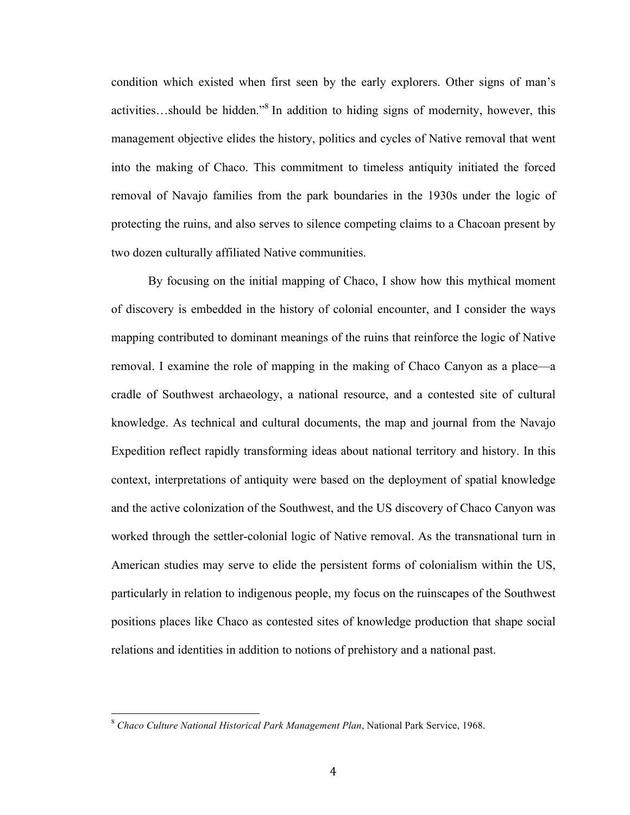condition which existed when first seen by the early explorers. Other signs of man's activities…should be hidden."8 In addition to hiding signs of modernity, however, this management objective elides the history, politics and cycles of Native removal that went into the making of Chaco. This commitment to timeless antiquity initiated the forced removal of Navajo families from the park boundaries in the 1930s under the logic of protecting the ruins, and also serves to silence competing claims to a Chacoan present by two dozen culturally affiliated Native communities.

By focusing on the initial mapping of Chaco, I show how this mythical moment of discovery is embedded in the history of colonial encounter, and I consider the ways mapping contributed to dominant meanings of the ruins that reinforce the logic of Native removal. I examine the role of mapping in the making of Chaco Canyon as a place—a cradle of Southwest archaeology, a national resource, and a contested site of cultural knowledge. As technical and cultural documents, the map and journal from the Navajo Expedition reflect rapidly transforming ideas about national territory and history. In this context, interpretations of antiquity were based on the deployment of spatial knowledge and the active colonization of the Southwest, and the US discovery of Chaco Canyon was worked through the settler-colonial logic of Native removal. As the transnational turn in American studies may serve to elide the persistent forms of colonialism within the US, particularly in relation to indigenous people, my focus on the ruinscapes of the Southwest positions places like Chaco as contested sites of knowledge production that shape social relations and identities in addition to notions of prehistory and a national past.

<sup>&</sup>lt;sup>8</sup> Chaco Culture National Historical Park Management Plan, National Park Service, 1968.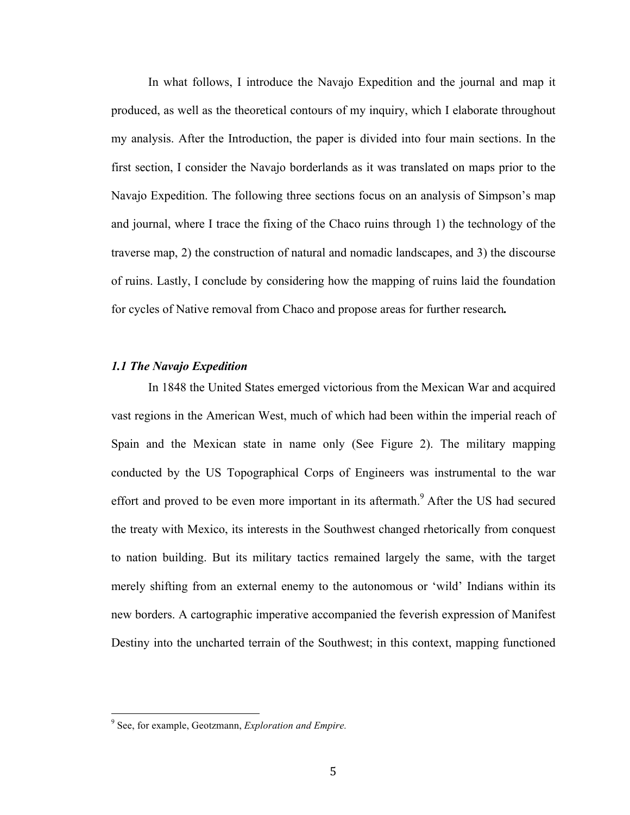In what follows, I introduce the Navajo Expedition and the journal and map it produced, as well as the theoretical contours of my inquiry, which I elaborate throughout my analysis. After the Introduction, the paper is divided into four main sections. In the first section, I consider the Navajo borderlands as it was translated on maps prior to the Navajo Expedition. The following three sections focus on an analysis of Simpson's map and journal, where I trace the fixing of the Chaco ruins through 1) the technology of the traverse map, 2) the construction of natural and nomadic landscapes, and 3) the discourse of ruins. Lastly, I conclude by considering how the mapping of ruins laid the foundation for cycles of Native removal from Chaco and propose areas for further research*.*

#### *1.1 The Navajo Expedition*

In 1848 the United States emerged victorious from the Mexican War and acquired vast regions in the American West, much of which had been within the imperial reach of Spain and the Mexican state in name only (See Figure 2). The military mapping conducted by the US Topographical Corps of Engineers was instrumental to the war effort and proved to be even more important in its aftermath.<sup>9</sup> After the US had secured the treaty with Mexico, its interests in the Southwest changed rhetorically from conquest to nation building. But its military tactics remained largely the same, with the target merely shifting from an external enemy to the autonomous or 'wild' Indians within its new borders. A cartographic imperative accompanied the feverish expression of Manifest Destiny into the uncharted terrain of the Southwest; in this context, mapping functioned

<sup>&</sup>lt;sup>9</sup> See, for example, Geotzmann, *Exploration and Empire.*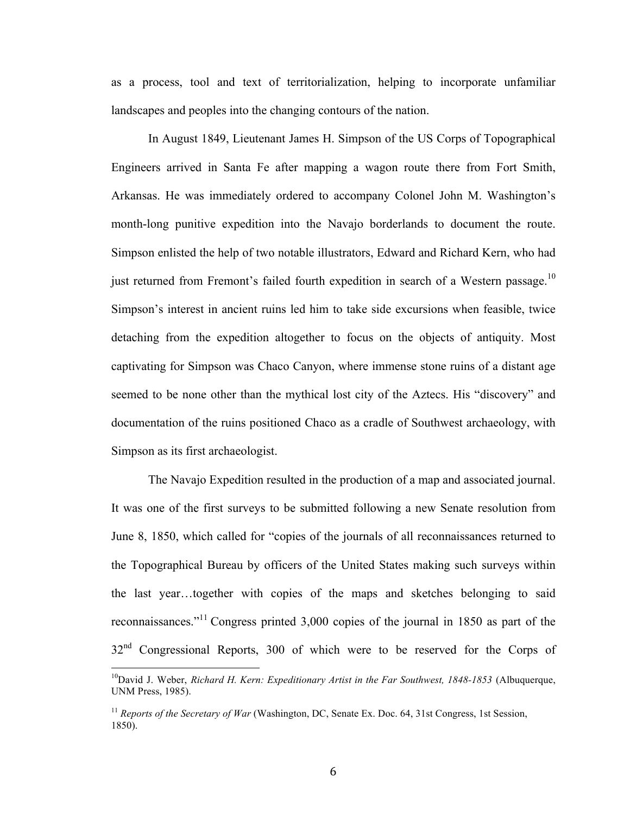as a process, tool and text of territorialization, helping to incorporate unfamiliar landscapes and peoples into the changing contours of the nation.

In August 1849, Lieutenant James H. Simpson of the US Corps of Topographical Engineers arrived in Santa Fe after mapping a wagon route there from Fort Smith, Arkansas. He was immediately ordered to accompany Colonel John M. Washington's month-long punitive expedition into the Navajo borderlands to document the route. Simpson enlisted the help of two notable illustrators, Edward and Richard Kern, who had just returned from Fremont's failed fourth expedition in search of a Western passage.<sup>10</sup> Simpson's interest in ancient ruins led him to take side excursions when feasible, twice detaching from the expedition altogether to focus on the objects of antiquity. Most captivating for Simpson was Chaco Canyon, where immense stone ruins of a distant age seemed to be none other than the mythical lost city of the Aztecs. His "discovery" and documentation of the ruins positioned Chaco as a cradle of Southwest archaeology, with Simpson as its first archaeologist.

The Navajo Expedition resulted in the production of a map and associated journal. It was one of the first surveys to be submitted following a new Senate resolution from June 8, 1850, which called for "copies of the journals of all reconnaissances returned to the Topographical Bureau by officers of the United States making such surveys within the last year…together with copies of the maps and sketches belonging to said reconnaissances."<sup>11</sup> Congress printed 3,000 copies of the journal in 1850 as part of the  $32<sup>nd</sup>$  Congressional Reports, 300 of which were to be reserved for the Corps of

<sup>&</sup>lt;sup>10</sup>David J. Weber, *Richard H. Kern: Expeditionary Artist in the Far Southwest, 1848-1853* (Albuquerque, UNM Press, 1985).

<sup>&</sup>lt;sup>11</sup> *Reports of the Secretary of War* (Washington, DC, Senate Ex. Doc. 64, 31st Congress, 1st Session, 1850).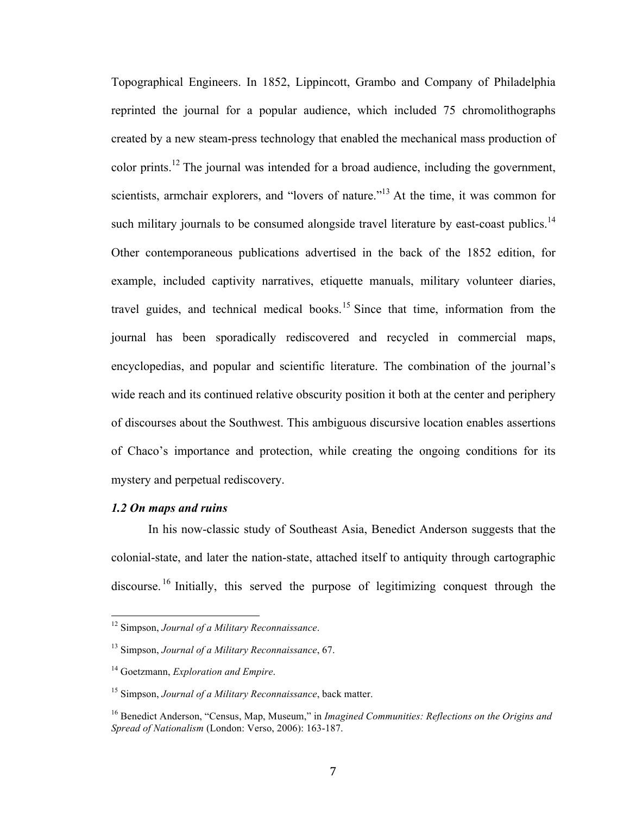Topographical Engineers. In 1852, Lippincott, Grambo and Company of Philadelphia reprinted the journal for a popular audience, which included 75 chromolithographs created by a new steam-press technology that enabled the mechanical mass production of color prints.<sup>12</sup> The journal was intended for a broad audience, including the government, scientists, armchair explorers, and "lovers of nature."<sup>13</sup> At the time, it was common for such military journals to be consumed alongside travel literature by east-coast publics.<sup>14</sup> Other contemporaneous publications advertised in the back of the 1852 edition, for example, included captivity narratives, etiquette manuals, military volunteer diaries, travel guides, and technical medical books.<sup>15</sup> Since that time, information from the journal has been sporadically rediscovered and recycled in commercial maps, encyclopedias, and popular and scientific literature. The combination of the journal's wide reach and its continued relative obscurity position it both at the center and periphery of discourses about the Southwest. This ambiguous discursive location enables assertions of Chaco's importance and protection, while creating the ongoing conditions for its mystery and perpetual rediscovery.

#### *1.2 On maps and ruins*

In his now-classic study of Southeast Asia, Benedict Anderson suggests that the colonial-state, and later the nation-state, attached itself to antiquity through cartographic discourse.<sup>16</sup> Initially, this served the purpose of legitimizing conquest through the

<sup>&</sup>lt;sup>12</sup> Simpson, *Journal of a Military Reconnaissance*.

<sup>13</sup> Simpson, *Journal of a Military Reconnaissance*, 67.

<sup>14</sup> Goetzmann, *Exploration and Empire*.

<sup>15</sup> Simpson, *Journal of a Military Reconnaissance*, back matter.

<sup>16</sup> Benedict Anderson, "Census, Map, Museum," in *Imagined Communities: Reflections on the Origins and Spread of Nationalism* (London: Verso, 2006): 163-187.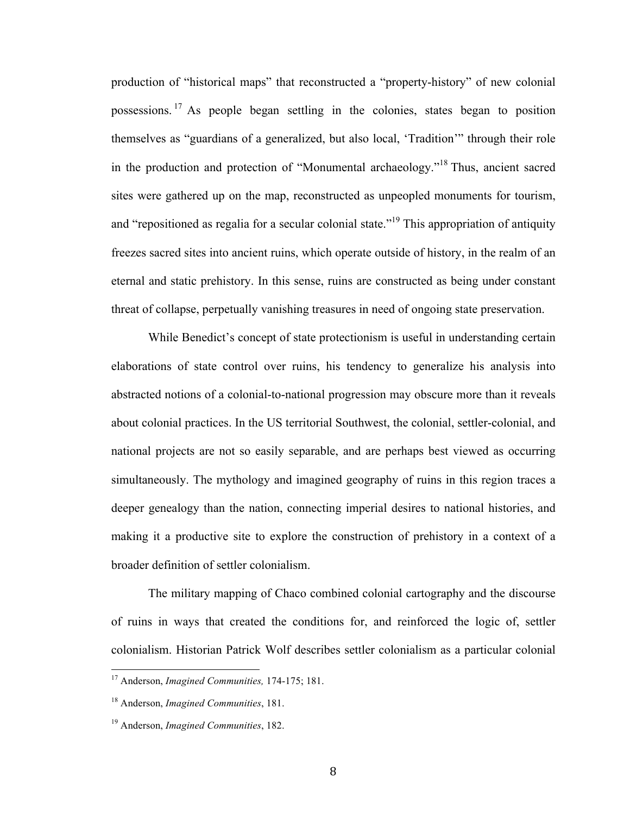production of "historical maps" that reconstructed a "property-history" of new colonial possessions.<sup>17</sup> As people began settling in the colonies, states began to position themselves as "guardians of a generalized, but also local, 'Tradition'" through their role in the production and protection of "Monumental archaeology."<sup>18</sup> Thus, ancient sacred sites were gathered up on the map, reconstructed as unpeopled monuments for tourism, and "repositioned as regalia for a secular colonial state."<sup>19</sup> This appropriation of antiquity freezes sacred sites into ancient ruins, which operate outside of history, in the realm of an eternal and static prehistory. In this sense, ruins are constructed as being under constant threat of collapse, perpetually vanishing treasures in need of ongoing state preservation.

While Benedict's concept of state protectionism is useful in understanding certain elaborations of state control over ruins, his tendency to generalize his analysis into abstracted notions of a colonial-to-national progression may obscure more than it reveals about colonial practices. In the US territorial Southwest, the colonial, settler-colonial, and national projects are not so easily separable, and are perhaps best viewed as occurring simultaneously. The mythology and imagined geography of ruins in this region traces a deeper genealogy than the nation, connecting imperial desires to national histories, and making it a productive site to explore the construction of prehistory in a context of a broader definition of settler colonialism.

The military mapping of Chaco combined colonial cartography and the discourse of ruins in ways that created the conditions for, and reinforced the logic of, settler colonialism. Historian Patrick Wolf describes settler colonialism as a particular colonial

<sup>&</sup>lt;sup>17</sup> Anderson, *Imagined Communities*, 174-175; 181.

<sup>18</sup> Anderson, *Imagined Communities*, 181.

<sup>19</sup> Anderson, *Imagined Communities*, 182.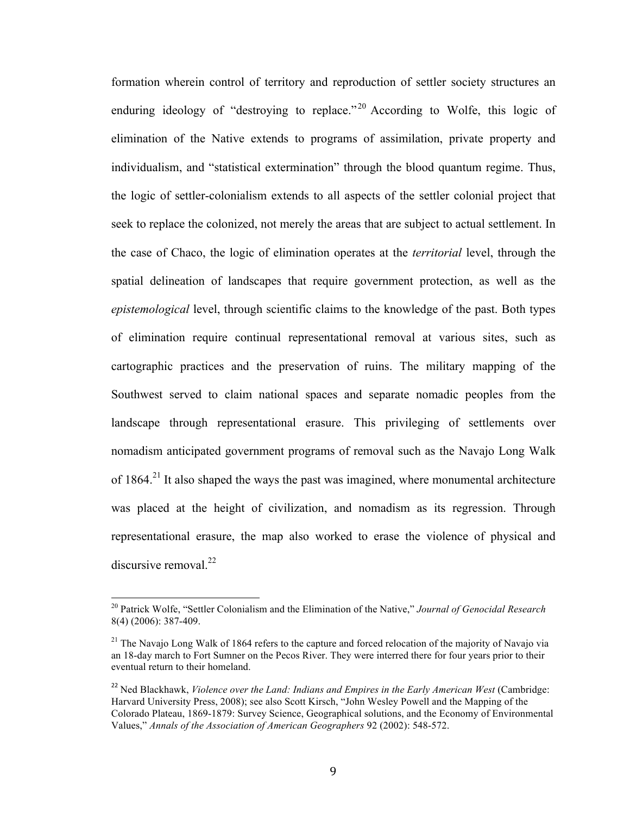formation wherein control of territory and reproduction of settler society structures an enduring ideology of "destroying to replace."<sup>20</sup> According to Wolfe, this logic of elimination of the Native extends to programs of assimilation, private property and individualism, and "statistical extermination" through the blood quantum regime. Thus, the logic of settler-colonialism extends to all aspects of the settler colonial project that seek to replace the colonized, not merely the areas that are subject to actual settlement. In the case of Chaco, the logic of elimination operates at the *territorial* level, through the spatial delineation of landscapes that require government protection, as well as the *epistemological* level, through scientific claims to the knowledge of the past. Both types of elimination require continual representational removal at various sites, such as cartographic practices and the preservation of ruins. The military mapping of the Southwest served to claim national spaces and separate nomadic peoples from the landscape through representational erasure. This privileging of settlements over nomadism anticipated government programs of removal such as the Navajo Long Walk of 1864.<sup>21</sup> It also shaped the ways the past was imagined, where monumental architecture was placed at the height of civilization, and nomadism as its regression. Through representational erasure, the map also worked to erase the violence of physical and discursive removal. $^{22}$ 

<sup>&</sup>lt;sup>20</sup> Patrick Wolfe, "Settler Colonialism and the Elimination of the Native," *Journal of Genocidal Research* 8(4) (2006): 387-409.

 $21$  The Navajo Long Walk of 1864 refers to the capture and forced relocation of the majority of Navajo via an 18-day march to Fort Sumner on the Pecos River. They were interred there for four years prior to their eventual return to their homeland.

<sup>&</sup>lt;sup>22</sup> Ned Blackhawk, *Violence over the Land: Indians and Empires in the Early American West* (Cambridge: Harvard University Press, 2008); see also Scott Kirsch, "John Wesley Powell and the Mapping of the Colorado Plateau, 1869-1879: Survey Science, Geographical solutions, and the Economy of Environmental Values," *Annals of the Association of American Geographers* 92 (2002): 548-572.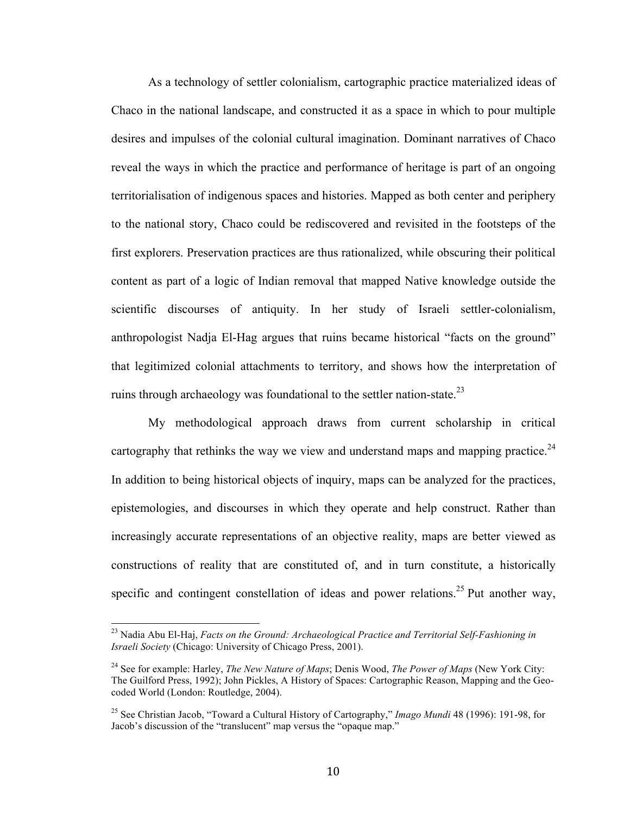As a technology of settler colonialism, cartographic practice materialized ideas of Chaco in the national landscape, and constructed it as a space in which to pour multiple desires and impulses of the colonial cultural imagination. Dominant narratives of Chaco reveal the ways in which the practice and performance of heritage is part of an ongoing territorialisation of indigenous spaces and histories. Mapped as both center and periphery to the national story, Chaco could be rediscovered and revisited in the footsteps of the first explorers. Preservation practices are thus rationalized, while obscuring their political content as part of a logic of Indian removal that mapped Native knowledge outside the scientific discourses of antiquity. In her study of Israeli settler-colonialism, anthropologist Nadja El-Hag argues that ruins became historical "facts on the ground" that legitimized colonial attachments to territory, and shows how the interpretation of ruins through archaeology was foundational to the settler nation-state.<sup>23</sup>

My methodological approach draws from current scholarship in critical cartography that rethinks the way we view and understand maps and mapping practice.<sup>24</sup> In addition to being historical objects of inquiry, maps can be analyzed for the practices, epistemologies, and discourses in which they operate and help construct. Rather than increasingly accurate representations of an objective reality, maps are better viewed as constructions of reality that are constituted of, and in turn constitute, a historically specific and contingent constellation of ideas and power relations.<sup>25</sup> Put another way,

<sup>&</sup>lt;sup>23</sup> Nadia Abu El-Haj, *Facts on the Ground: Archaeological Practice and Territorial Self-Fashioning in Israeli Society* (Chicago: University of Chicago Press, 2001).

<sup>24</sup> See for example: Harley, *The New Nature of Maps*; Denis Wood, *The Power of Maps* (New York City: The Guilford Press, 1992); John Pickles, A History of Spaces: Cartographic Reason, Mapping and the Geocoded World (London: Routledge, 2004).

<sup>25</sup> See Christian Jacob, "Toward a Cultural History of Cartography," *Imago Mundi* 48 (1996): 191-98, for Jacob's discussion of the "translucent" map versus the "opaque map."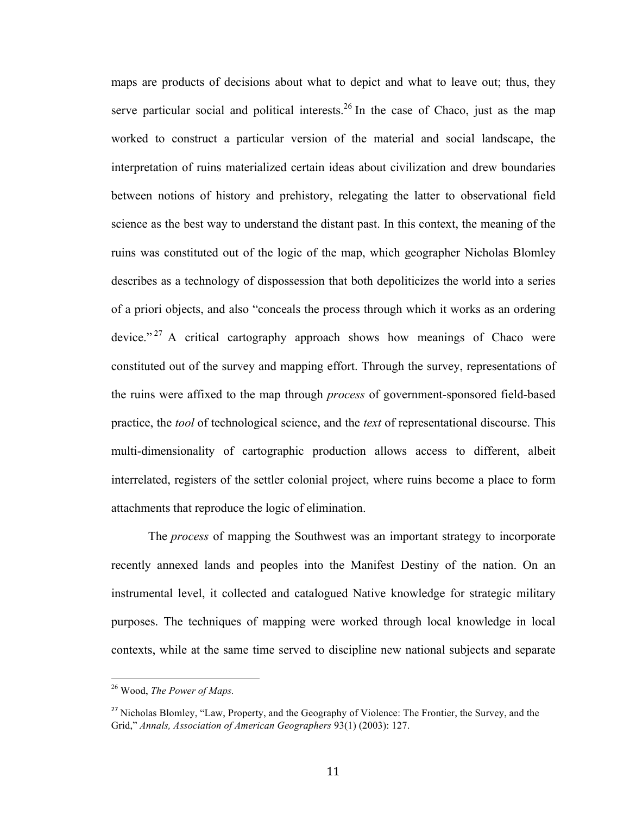maps are products of decisions about what to depict and what to leave out; thus, they serve particular social and political interests.<sup>26</sup> In the case of Chaco, just as the map worked to construct a particular version of the material and social landscape, the interpretation of ruins materialized certain ideas about civilization and drew boundaries between notions of history and prehistory, relegating the latter to observational field science as the best way to understand the distant past. In this context, the meaning of the ruins was constituted out of the logic of the map, which geographer Nicholas Blomley describes as a technology of dispossession that both depoliticizes the world into a series of a priori objects, and also "conceals the process through which it works as an ordering device." <sup>27</sup> A critical cartography approach shows how meanings of Chaco were constituted out of the survey and mapping effort. Through the survey, representations of the ruins were affixed to the map through *process* of government-sponsored field-based practice, the *tool* of technological science, and the *text* of representational discourse. This multi-dimensionality of cartographic production allows access to different, albeit interrelated, registers of the settler colonial project, where ruins become a place to form attachments that reproduce the logic of elimination.

The *process* of mapping the Southwest was an important strategy to incorporate recently annexed lands and peoples into the Manifest Destiny of the nation. On an instrumental level, it collected and catalogued Native knowledge for strategic military purposes. The techniques of mapping were worked through local knowledge in local contexts, while at the same time served to discipline new national subjects and separate

<sup>&</sup>lt;sup>26</sup> Wood, The Power of Maps.

<sup>&</sup>lt;sup>27</sup> Nicholas Blomley, "Law, Property, and the Geography of Violence: The Frontier, the Survey, and the Grid," *Annals, Association of American Geographers* 93(1) (2003): 127.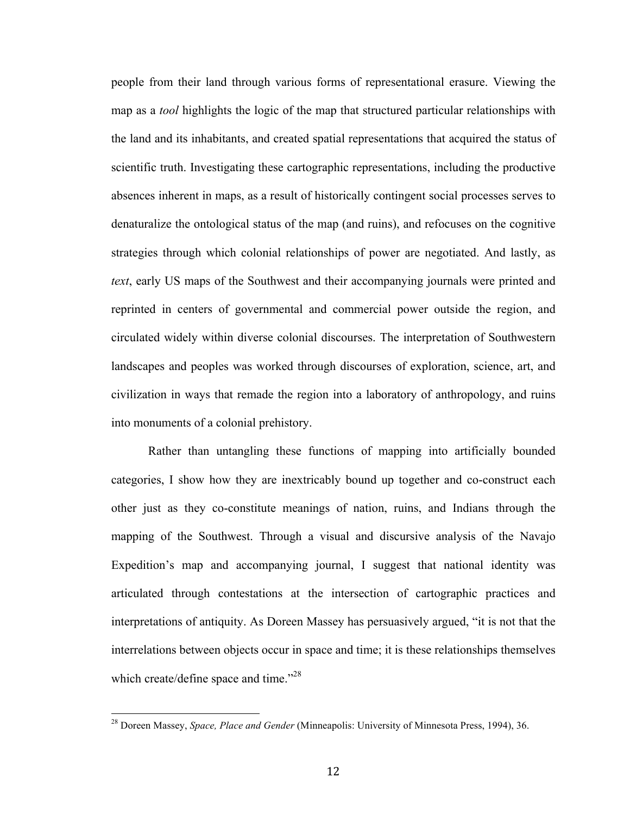people from their land through various forms of representational erasure. Viewing the map as a *tool* highlights the logic of the map that structured particular relationships with the land and its inhabitants, and created spatial representations that acquired the status of scientific truth. Investigating these cartographic representations, including the productive absences inherent in maps, as a result of historically contingent social processes serves to denaturalize the ontological status of the map (and ruins), and refocuses on the cognitive strategies through which colonial relationships of power are negotiated. And lastly, as *text*, early US maps of the Southwest and their accompanying journals were printed and reprinted in centers of governmental and commercial power outside the region, and circulated widely within diverse colonial discourses. The interpretation of Southwestern landscapes and peoples was worked through discourses of exploration, science, art, and civilization in ways that remade the region into a laboratory of anthropology, and ruins into monuments of a colonial prehistory.

Rather than untangling these functions of mapping into artificially bounded categories, I show how they are inextricably bound up together and co-construct each other just as they co-constitute meanings of nation, ruins, and Indians through the mapping of the Southwest. Through a visual and discursive analysis of the Navajo Expedition's map and accompanying journal, I suggest that national identity was articulated through contestations at the intersection of cartographic practices and interpretations of antiquity. As Doreen Massey has persuasively argued, "it is not that the interrelations between objects occur in space and time; it is these relationships themselves which create/define space and time."<sup>28</sup>

<sup>&</sup>lt;sup>28</sup> Doreen Massey, *Space, Place and Gender* (Minneapolis: University of Minnesota Press, 1994), 36.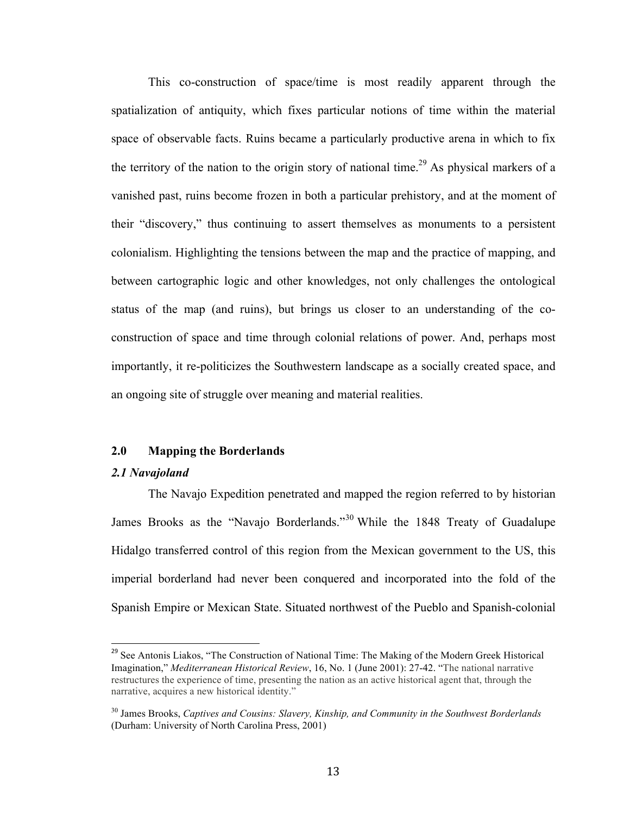This co-construction of space/time is most readily apparent through the spatialization of antiquity, which fixes particular notions of time within the material space of observable facts. Ruins became a particularly productive arena in which to fix the territory of the nation to the origin story of national time.<sup>29</sup> As physical markers of a vanished past, ruins become frozen in both a particular prehistory, and at the moment of their "discovery," thus continuing to assert themselves as monuments to a persistent colonialism. Highlighting the tensions between the map and the practice of mapping, and between cartographic logic and other knowledges, not only challenges the ontological status of the map (and ruins), but brings us closer to an understanding of the coconstruction of space and time through colonial relations of power. And, perhaps most importantly, it re-politicizes the Southwestern landscape as a socially created space, and an ongoing site of struggle over meaning and material realities.

#### **2.0 Mapping the Borderlands**

#### *2.1 Navajoland*

The Navajo Expedition penetrated and mapped the region referred to by historian James Brooks as the "Navajo Borderlands."<sup>30</sup> While the 1848 Treaty of Guadalupe Hidalgo transferred control of this region from the Mexican government to the US, this imperial borderland had never been conquered and incorporated into the fold of the Spanish Empire or Mexican State. Situated northwest of the Pueblo and Spanish-colonial

<sup>&</sup>lt;sup>29</sup> See Antonis Liakos, "The Construction of National Time: The Making of the Modern Greek Historical Imagination," *Mediterranean Historical Review*, 16, No. 1 (June 2001): 27-42. "The national narrative restructures the experience of time, presenting the nation as an active historical agent that, through the narrative, acquires a new historical identity."

<sup>30</sup> James Brooks, *Captives and Cousins: Slavery, Kinship, and Community in the Southwest Borderlands*  (Durham: University of North Carolina Press, 2001)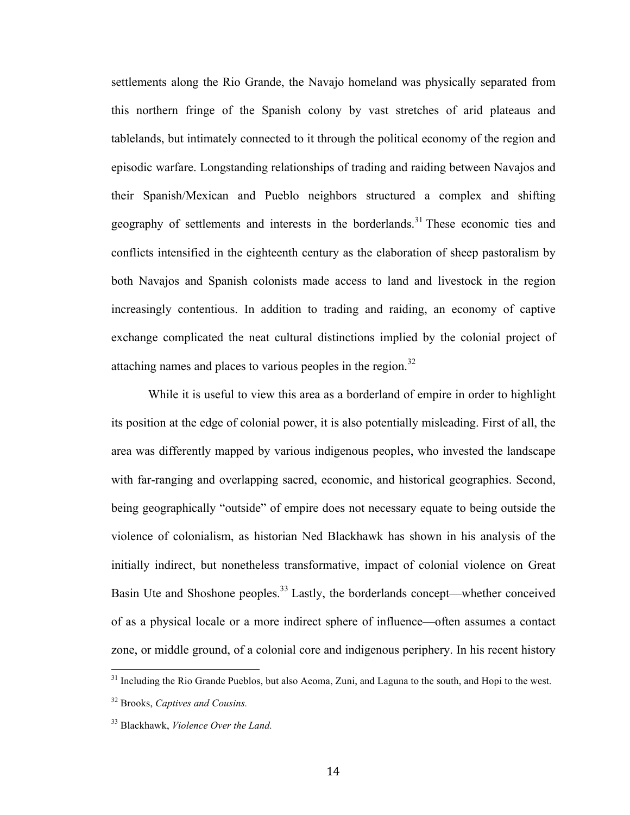settlements along the Rio Grande, the Navajo homeland was physically separated from this northern fringe of the Spanish colony by vast stretches of arid plateaus and tablelands, but intimately connected to it through the political economy of the region and episodic warfare. Longstanding relationships of trading and raiding between Navajos and their Spanish/Mexican and Pueblo neighbors structured a complex and shifting geography of settlements and interests in the borderlands.<sup>31</sup> These economic ties and conflicts intensified in the eighteenth century as the elaboration of sheep pastoralism by both Navajos and Spanish colonists made access to land and livestock in the region increasingly contentious. In addition to trading and raiding, an economy of captive exchange complicated the neat cultural distinctions implied by the colonial project of attaching names and places to various peoples in the region.<sup>32</sup>

While it is useful to view this area as a borderland of empire in order to highlight its position at the edge of colonial power, it is also potentially misleading. First of all, the area was differently mapped by various indigenous peoples, who invested the landscape with far-ranging and overlapping sacred, economic, and historical geographies. Second, being geographically "outside" of empire does not necessary equate to being outside the violence of colonialism, as historian Ned Blackhawk has shown in his analysis of the initially indirect, but nonetheless transformative, impact of colonial violence on Great Basin Ute and Shoshone peoples.<sup>33</sup> Lastly, the borderlands concept—whether conceived of as a physical locale or a more indirect sphere of influence—often assumes a contact zone, or middle ground, of a colonial core and indigenous periphery. In his recent history

<sup>&</sup>lt;sup>31</sup> Including the Rio Grande Pueblos, but also Acoma, Zuni, and Laguna to the south, and Hopi to the west.

<sup>32</sup> Brooks, *Captives and Cousins.*

<sup>33</sup> Blackhawk, *Violence Over the Land.*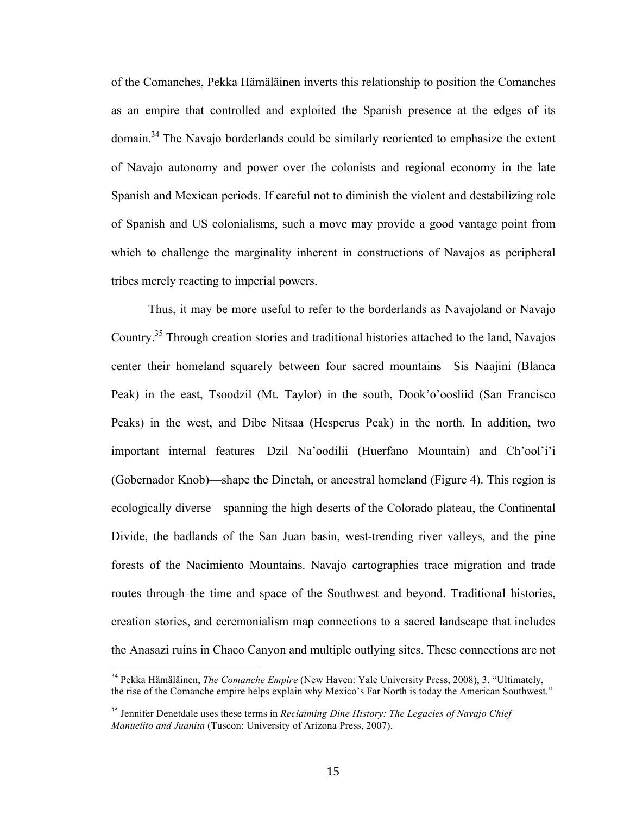of the Comanches, Pekka Hämäläinen inverts this relationship to position the Comanches as an empire that controlled and exploited the Spanish presence at the edges of its domain.<sup>34</sup> The Navajo borderlands could be similarly reoriented to emphasize the extent of Navajo autonomy and power over the colonists and regional economy in the late Spanish and Mexican periods. If careful not to diminish the violent and destabilizing role of Spanish and US colonialisms, such a move may provide a good vantage point from which to challenge the marginality inherent in constructions of Navajos as peripheral tribes merely reacting to imperial powers.

Thus, it may be more useful to refer to the borderlands as Navajoland or Navajo Country.35 Through creation stories and traditional histories attached to the land, Navajos center their homeland squarely between four sacred mountains—Sis Naajini (Blanca Peak) in the east, Tsoodzil (Mt. Taylor) in the south, Dook'o'oosliid (San Francisco Peaks) in the west, and Dibe Nitsaa (Hesperus Peak) in the north. In addition, two important internal features—Dzil Na'oodilii (Huerfano Mountain) and Ch'ool'i'i (Gobernador Knob)—shape the Dinetah, or ancestral homeland (Figure 4). This region is ecologically diverse—spanning the high deserts of the Colorado plateau, the Continental Divide, the badlands of the San Juan basin, west-trending river valleys, and the pine forests of the Nacimiento Mountains. Navajo cartographies trace migration and trade routes through the time and space of the Southwest and beyond. Traditional histories, creation stories, and ceremonialism map connections to a sacred landscape that includes the Anasazi ruins in Chaco Canyon and multiple outlying sites. These connections are not

<sup>&</sup>lt;sup>34</sup> Pekka Hämäläinen, *The Comanche Empire* (New Haven: Yale University Press, 2008), 3. "Ultimately, the rise of the Comanche empire helps explain why Mexico's Far North is today the American Southwest."

<sup>35</sup> Jennifer Denetdale uses these terms in *Reclaiming Dine History: The Legacies of Navajo Chief Manuelito and Juanita* (Tuscon: University of Arizona Press, 2007).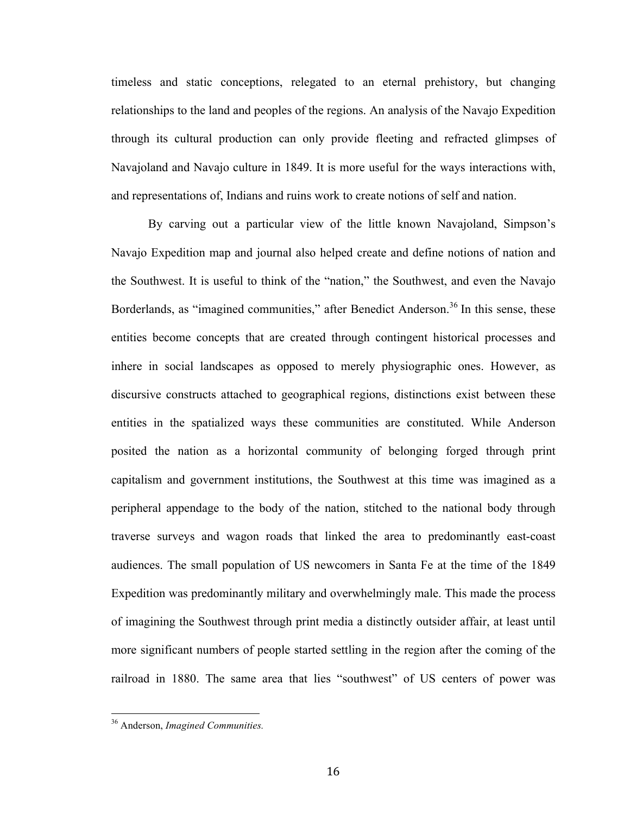timeless and static conceptions, relegated to an eternal prehistory, but changing relationships to the land and peoples of the regions. An analysis of the Navajo Expedition through its cultural production can only provide fleeting and refracted glimpses of Navajoland and Navajo culture in 1849. It is more useful for the ways interactions with, and representations of, Indians and ruins work to create notions of self and nation.

By carving out a particular view of the little known Navajoland, Simpson's Navajo Expedition map and journal also helped create and define notions of nation and the Southwest. It is useful to think of the "nation," the Southwest, and even the Navajo Borderlands, as "imagined communities," after Benedict Anderson.<sup>36</sup> In this sense, these entities become concepts that are created through contingent historical processes and inhere in social landscapes as opposed to merely physiographic ones. However, as discursive constructs attached to geographical regions, distinctions exist between these entities in the spatialized ways these communities are constituted. While Anderson posited the nation as a horizontal community of belonging forged through print capitalism and government institutions, the Southwest at this time was imagined as a peripheral appendage to the body of the nation, stitched to the national body through traverse surveys and wagon roads that linked the area to predominantly east-coast audiences. The small population of US newcomers in Santa Fe at the time of the 1849 Expedition was predominantly military and overwhelmingly male. This made the process of imagining the Southwest through print media a distinctly outsider affair, at least until more significant numbers of people started settling in the region after the coming of the railroad in 1880. The same area that lies "southwest" of US centers of power was

<sup>&</sup>lt;sup>36</sup> Anderson, *Imagined Communities*.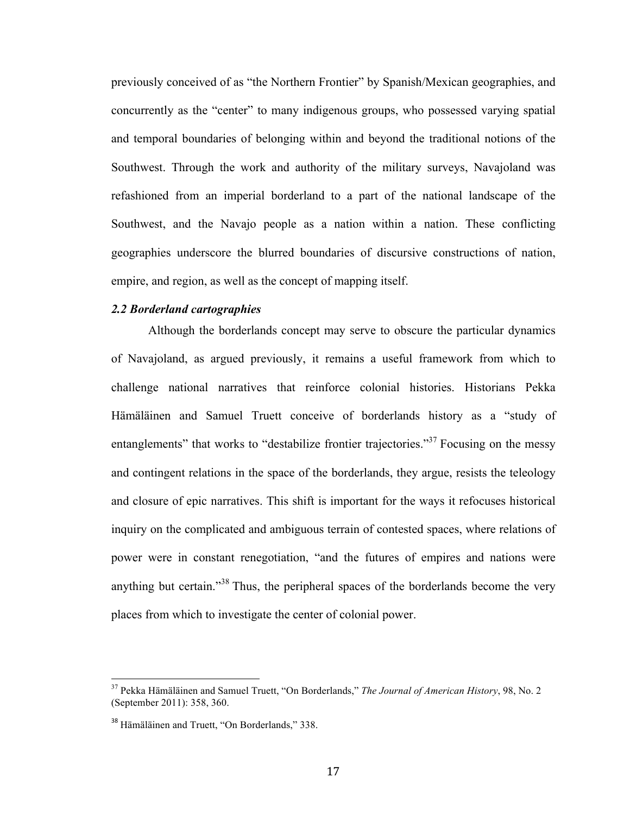previously conceived of as "the Northern Frontier" by Spanish/Mexican geographies, and concurrently as the "center" to many indigenous groups, who possessed varying spatial and temporal boundaries of belonging within and beyond the traditional notions of the Southwest. Through the work and authority of the military surveys, Navajoland was refashioned from an imperial borderland to a part of the national landscape of the Southwest, and the Navajo people as a nation within a nation. These conflicting geographies underscore the blurred boundaries of discursive constructions of nation, empire, and region, as well as the concept of mapping itself.

#### *2.2 Borderland cartographies*

Although the borderlands concept may serve to obscure the particular dynamics of Navajoland, as argued previously, it remains a useful framework from which to challenge national narratives that reinforce colonial histories. Historians Pekka Hämäläinen and Samuel Truett conceive of borderlands history as a "study of entanglements" that works to "destabilize frontier trajectories."<sup>37</sup> Focusing on the messy and contingent relations in the space of the borderlands, they argue, resists the teleology and closure of epic narratives. This shift is important for the ways it refocuses historical inquiry on the complicated and ambiguous terrain of contested spaces, where relations of power were in constant renegotiation, "and the futures of empires and nations were anything but certain."<sup>38</sup> Thus, the peripheral spaces of the borderlands become the very places from which to investigate the center of colonial power.

<sup>&</sup>lt;sup>37</sup> Pekka Hämäläinen and Samuel Truett, "On Borderlands," *The Journal of American History*, 98, No. 2 (September 2011): 358, 360.

<sup>38</sup> Hämäläinen and Truett, "On Borderlands," 338.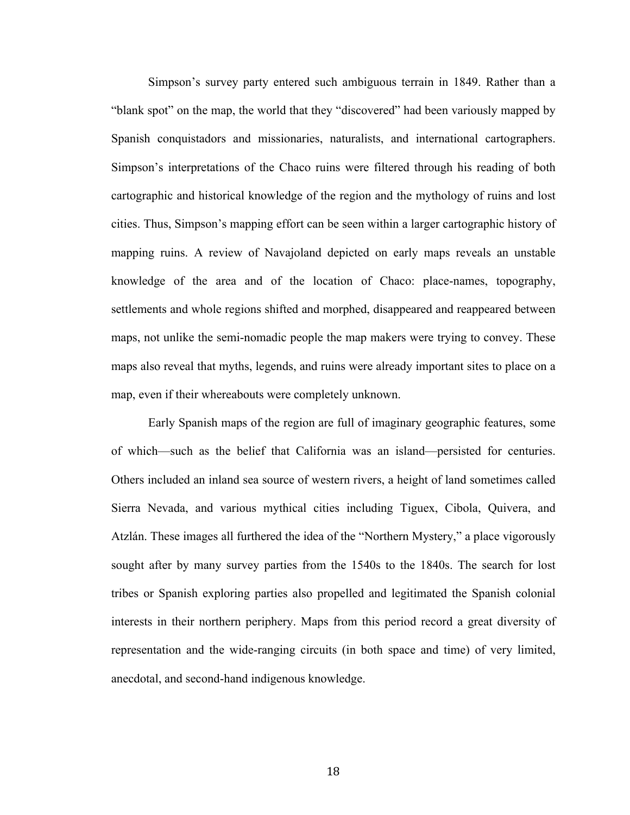Simpson's survey party entered such ambiguous terrain in 1849. Rather than a "blank spot" on the map, the world that they "discovered" had been variously mapped by Spanish conquistadors and missionaries, naturalists, and international cartographers. Simpson's interpretations of the Chaco ruins were filtered through his reading of both cartographic and historical knowledge of the region and the mythology of ruins and lost cities. Thus, Simpson's mapping effort can be seen within a larger cartographic history of mapping ruins. A review of Navajoland depicted on early maps reveals an unstable knowledge of the area and of the location of Chaco: place-names, topography, settlements and whole regions shifted and morphed, disappeared and reappeared between maps, not unlike the semi-nomadic people the map makers were trying to convey. These maps also reveal that myths, legends, and ruins were already important sites to place on a map, even if their whereabouts were completely unknown.

Early Spanish maps of the region are full of imaginary geographic features, some of which—such as the belief that California was an island—persisted for centuries. Others included an inland sea source of western rivers, a height of land sometimes called Sierra Nevada, and various mythical cities including Tiguex, Cibola, Quivera, and Atzlán. These images all furthered the idea of the "Northern Mystery," a place vigorously sought after by many survey parties from the 1540s to the 1840s. The search for lost tribes or Spanish exploring parties also propelled and legitimated the Spanish colonial interests in their northern periphery. Maps from this period record a great diversity of representation and the wide-ranging circuits (in both space and time) of very limited, anecdotal, and second-hand indigenous knowledge.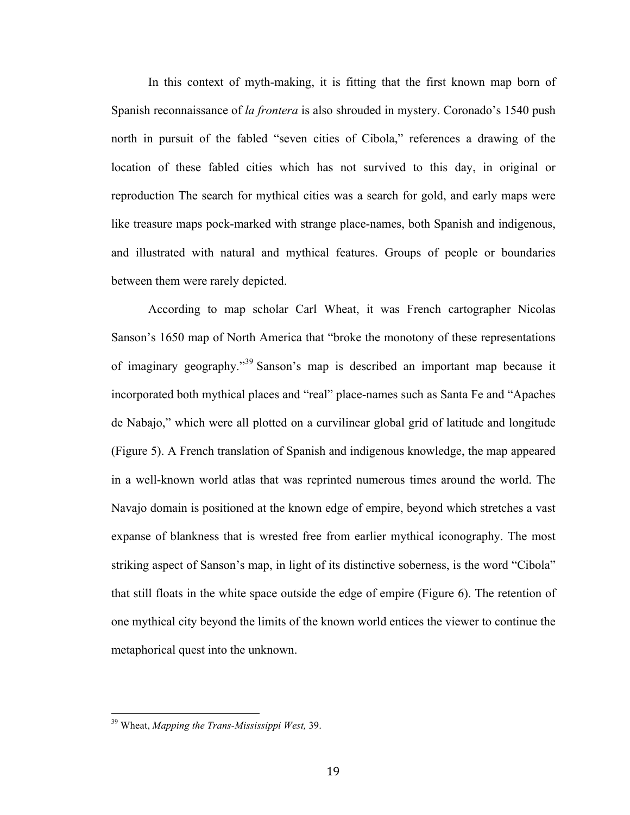In this context of myth-making, it is fitting that the first known map born of Spanish reconnaissance of *la frontera* is also shrouded in mystery. Coronado's 1540 push north in pursuit of the fabled "seven cities of Cibola," references a drawing of the location of these fabled cities which has not survived to this day, in original or reproduction The search for mythical cities was a search for gold, and early maps were like treasure maps pock-marked with strange place-names, both Spanish and indigenous, and illustrated with natural and mythical features. Groups of people or boundaries between them were rarely depicted.

According to map scholar Carl Wheat, it was French cartographer Nicolas Sanson's 1650 map of North America that "broke the monotony of these representations of imaginary geography."<sup>39</sup> Sanson's map is described an important map because it incorporated both mythical places and "real" place-names such as Santa Fe and "Apaches de Nabajo," which were all plotted on a curvilinear global grid of latitude and longitude (Figure 5). A French translation of Spanish and indigenous knowledge, the map appeared in a well-known world atlas that was reprinted numerous times around the world. The Navajo domain is positioned at the known edge of empire, beyond which stretches a vast expanse of blankness that is wrested free from earlier mythical iconography. The most striking aspect of Sanson's map, in light of its distinctive soberness, is the word "Cibola" that still floats in the white space outside the edge of empire (Figure 6). The retention of one mythical city beyond the limits of the known world entices the viewer to continue the metaphorical quest into the unknown.

<sup>&</sup>lt;sup>39</sup> Wheat, *Mapping the Trans-Mississippi West*, 39.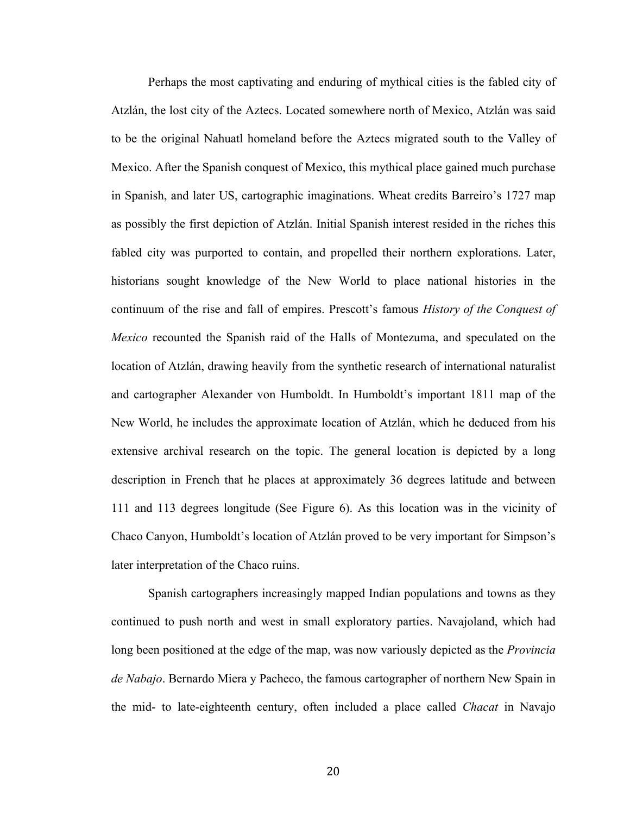Perhaps the most captivating and enduring of mythical cities is the fabled city of Atzlán, the lost city of the Aztecs. Located somewhere north of Mexico, Atzlán was said to be the original Nahuatl homeland before the Aztecs migrated south to the Valley of Mexico. After the Spanish conquest of Mexico, this mythical place gained much purchase in Spanish, and later US, cartographic imaginations. Wheat credits Barreiro's 1727 map as possibly the first depiction of Atzlán. Initial Spanish interest resided in the riches this fabled city was purported to contain, and propelled their northern explorations. Later, historians sought knowledge of the New World to place national histories in the continuum of the rise and fall of empires. Prescott's famous *History of the Conquest of Mexico* recounted the Spanish raid of the Halls of Montezuma, and speculated on the location of Atzlán, drawing heavily from the synthetic research of international naturalist and cartographer Alexander von Humboldt. In Humboldt's important 1811 map of the New World, he includes the approximate location of Atzlán, which he deduced from his extensive archival research on the topic. The general location is depicted by a long description in French that he places at approximately 36 degrees latitude and between 111 and 113 degrees longitude (See Figure 6). As this location was in the vicinity of Chaco Canyon, Humboldt's location of Atzlán proved to be very important for Simpson's later interpretation of the Chaco ruins.

Spanish cartographers increasingly mapped Indian populations and towns as they continued to push north and west in small exploratory parties. Navajoland, which had long been positioned at the edge of the map, was now variously depicted as the *Provincia de Nabajo*. Bernardo Miera y Pacheco, the famous cartographer of northern New Spain in the mid- to late-eighteenth century, often included a place called *Chacat* in Navajo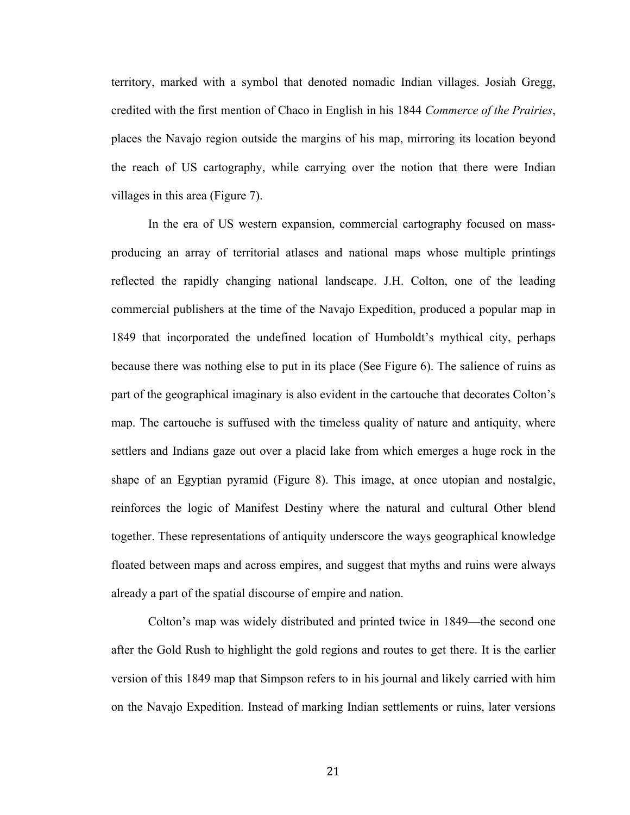territory, marked with a symbol that denoted nomadic Indian villages. Josiah Gregg, credited with the first mention of Chaco in English in his 1844 *Commerce of the Prairies*, places the Navajo region outside the margins of his map, mirroring its location beyond the reach of US cartography, while carrying over the notion that there were Indian villages in this area (Figure 7).

In the era of US western expansion, commercial cartography focused on massproducing an array of territorial atlases and national maps whose multiple printings reflected the rapidly changing national landscape. J.H. Colton, one of the leading commercial publishers at the time of the Navajo Expedition, produced a popular map in 1849 that incorporated the undefined location of Humboldt's mythical city, perhaps because there was nothing else to put in its place (See Figure 6). The salience of ruins as part of the geographical imaginary is also evident in the cartouche that decorates Colton's map. The cartouche is suffused with the timeless quality of nature and antiquity, where settlers and Indians gaze out over a placid lake from which emerges a huge rock in the shape of an Egyptian pyramid (Figure 8). This image, at once utopian and nostalgic, reinforces the logic of Manifest Destiny where the natural and cultural Other blend together. These representations of antiquity underscore the ways geographical knowledge floated between maps and across empires, and suggest that myths and ruins were always already a part of the spatial discourse of empire and nation.

Colton's map was widely distributed and printed twice in 1849—the second one after the Gold Rush to highlight the gold regions and routes to get there. It is the earlier version of this 1849 map that Simpson refers to in his journal and likely carried with him on the Navajo Expedition. Instead of marking Indian settlements or ruins, later versions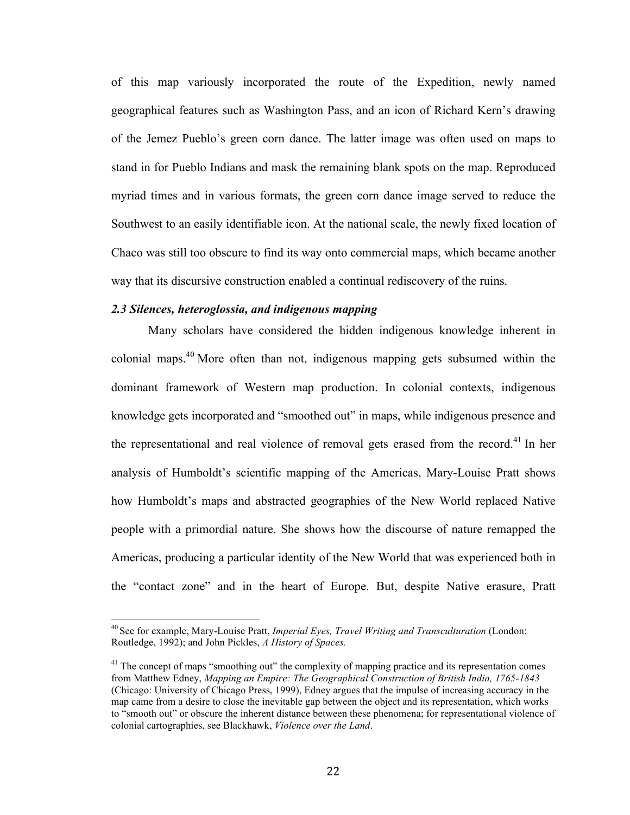of this map variously incorporated the route of the Expedition, newly named geographical features such as Washington Pass, and an icon of Richard Kern's drawing of the Jemez Pueblo's green corn dance. The latter image was often used on maps to stand in for Pueblo Indians and mask the remaining blank spots on the map. Reproduced myriad times and in various formats, the green corn dance image served to reduce the Southwest to an easily identifiable icon. At the national scale, the newly fixed location of Chaco was still too obscure to find its way onto commercial maps, which became another way that its discursive construction enabled a continual rediscovery of the ruins.

#### *2.3 Silences, heteroglossia, and indigenous mapping*

Many scholars have considered the hidden indigenous knowledge inherent in colonial maps.<sup>40</sup> More often than not, indigenous mapping gets subsumed within the dominant framework of Western map production. In colonial contexts, indigenous knowledge gets incorporated and "smoothed out" in maps, while indigenous presence and the representational and real violence of removal gets erased from the record.<sup>41</sup> In her analysis of Humboldt's scientific mapping of the Americas, Mary-Louise Pratt shows how Humboldt's maps and abstracted geographies of the New World replaced Native people with a primordial nature. She shows how the discourse of nature remapped the Americas, producing a particular identity of the New World that was experienced both in the "contact zone" and in the heart of Europe. But, despite Native erasure, Pratt

<sup>&</sup>lt;sup>40</sup> See for example, Mary-Louise Pratt, *Imperial Eyes, Travel Writing and Transculturation* (London: Routledge, 1992); and John Pickles, *A History of Spaces.*

<sup>&</sup>lt;sup>41</sup> The concept of maps "smoothing out" the complexity of mapping practice and its representation comes from Matthew Edney, *Mapping an Empire: The Geographical Construction of British India, 1765-1843* (Chicago: University of Chicago Press, 1999), Edney argues that the impulse of increasing accuracy in the map came from a desire to close the inevitable gap between the object and its representation, which works to "smooth out" or obscure the inherent distance between these phenomena; for representational violence of colonial cartographies, see Blackhawk, *Violence over the Land*.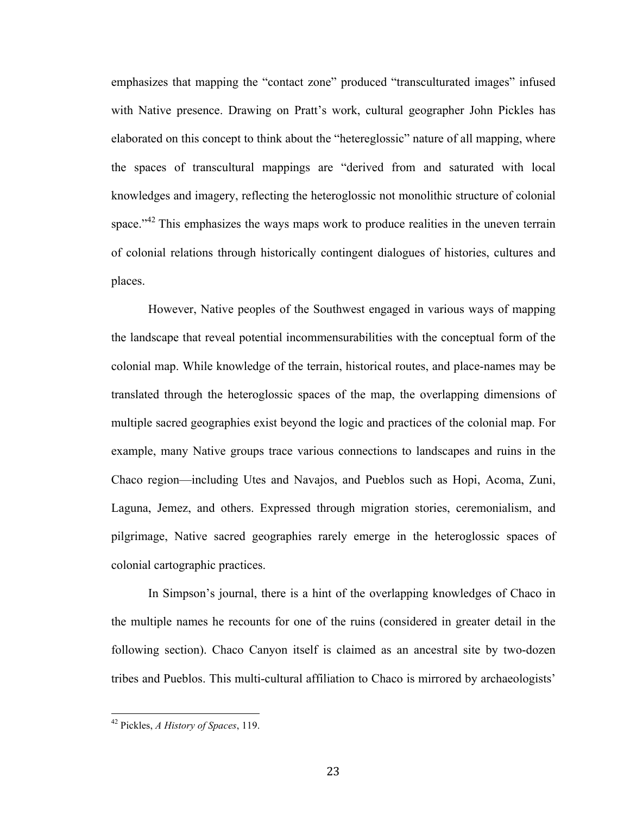emphasizes that mapping the "contact zone" produced "transculturated images" infused with Native presence. Drawing on Pratt's work, cultural geographer John Pickles has elaborated on this concept to think about the "hetereglossic" nature of all mapping, where the spaces of transcultural mappings are "derived from and saturated with local knowledges and imagery, reflecting the heteroglossic not monolithic structure of colonial space."<sup>42</sup> This emphasizes the ways maps work to produce realities in the uneven terrain of colonial relations through historically contingent dialogues of histories, cultures and places.

However, Native peoples of the Southwest engaged in various ways of mapping the landscape that reveal potential incommensurabilities with the conceptual form of the colonial map. While knowledge of the terrain, historical routes, and place-names may be translated through the heteroglossic spaces of the map, the overlapping dimensions of multiple sacred geographies exist beyond the logic and practices of the colonial map. For example, many Native groups trace various connections to landscapes and ruins in the Chaco region—including Utes and Navajos, and Pueblos such as Hopi, Acoma, Zuni, Laguna, Jemez, and others. Expressed through migration stories, ceremonialism, and pilgrimage, Native sacred geographies rarely emerge in the heteroglossic spaces of colonial cartographic practices.

In Simpson's journal, there is a hint of the overlapping knowledges of Chaco in the multiple names he recounts for one of the ruins (considered in greater detail in the following section). Chaco Canyon itself is claimed as an ancestral site by two-dozen tribes and Pueblos. This multi-cultural affiliation to Chaco is mirrored by archaeologists'

<sup>&</sup>lt;sup>42</sup> Pickles, *A History of Spaces*, 119.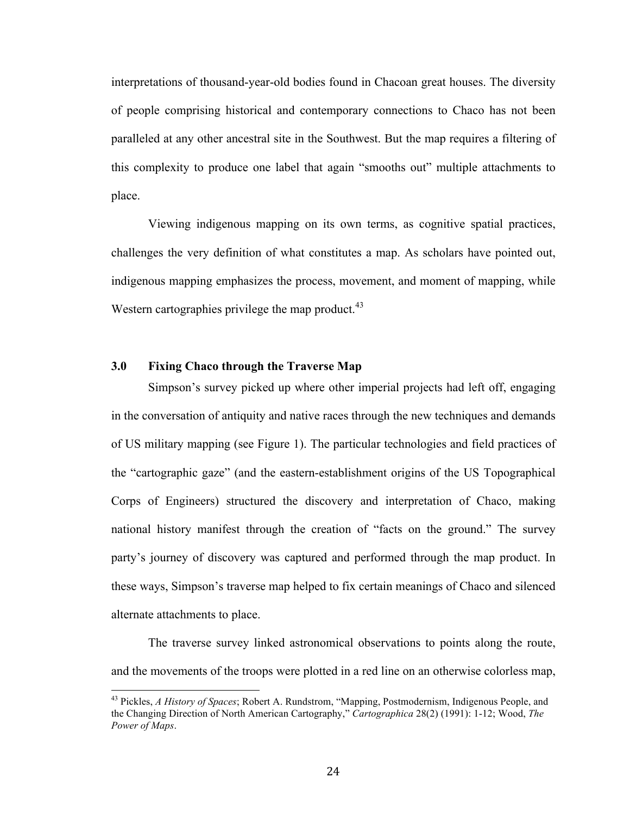interpretations of thousand-year-old bodies found in Chacoan great houses. The diversity of people comprising historical and contemporary connections to Chaco has not been paralleled at any other ancestral site in the Southwest. But the map requires a filtering of this complexity to produce one label that again "smooths out" multiple attachments to place.

Viewing indigenous mapping on its own terms, as cognitive spatial practices, challenges the very definition of what constitutes a map. As scholars have pointed out, indigenous mapping emphasizes the process, movement, and moment of mapping, while Western cartographies privilege the map product. $43$ 

#### **3.0 Fixing Chaco through the Traverse Map**

Simpson's survey picked up where other imperial projects had left off, engaging in the conversation of antiquity and native races through the new techniques and demands of US military mapping (see Figure 1). The particular technologies and field practices of the "cartographic gaze" (and the eastern-establishment origins of the US Topographical Corps of Engineers) structured the discovery and interpretation of Chaco, making national history manifest through the creation of "facts on the ground." The survey party's journey of discovery was captured and performed through the map product. In these ways, Simpson's traverse map helped to fix certain meanings of Chaco and silenced alternate attachments to place.

The traverse survey linked astronomical observations to points along the route, and the movements of the troops were plotted in a red line on an otherwise colorless map,

<sup>&</sup>lt;sup>43</sup> Pickles, *A History of Spaces*; Robert A. Rundstrom, "Mapping, Postmodernism, Indigenous People, and the Changing Direction of North American Cartography," *Cartographica* 28(2) (1991): 1-12; Wood, *The Power of Maps*.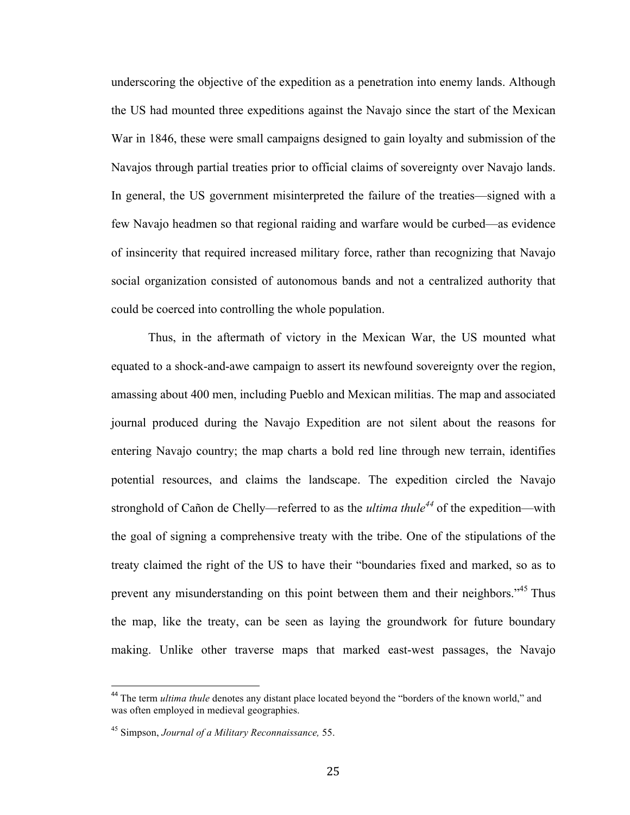underscoring the objective of the expedition as a penetration into enemy lands. Although the US had mounted three expeditions against the Navajo since the start of the Mexican War in 1846, these were small campaigns designed to gain loyalty and submission of the Navajos through partial treaties prior to official claims of sovereignty over Navajo lands. In general, the US government misinterpreted the failure of the treaties—signed with a few Navajo headmen so that regional raiding and warfare would be curbed—as evidence of insincerity that required increased military force, rather than recognizing that Navajo social organization consisted of autonomous bands and not a centralized authority that could be coerced into controlling the whole population.

Thus, in the aftermath of victory in the Mexican War, the US mounted what equated to a shock-and-awe campaign to assert its newfound sovereignty over the region, amassing about 400 men, including Pueblo and Mexican militias. The map and associated journal produced during the Navajo Expedition are not silent about the reasons for entering Navajo country; the map charts a bold red line through new terrain, identifies potential resources, and claims the landscape. The expedition circled the Navajo stronghold of Cañon de Chelly—referred to as the *ultima thule<sup>44</sup>* of the expedition—with the goal of signing a comprehensive treaty with the tribe. One of the stipulations of the treaty claimed the right of the US to have their "boundaries fixed and marked, so as to prevent any misunderstanding on this point between them and their neighbors."45 Thus the map, like the treaty, can be seen as laying the groundwork for future boundary making. Unlike other traverse maps that marked east-west passages, the Navajo

<sup>&</sup>lt;sup>44</sup> The term *ultima thule* denotes any distant place located beyond the "borders of the known world," and was often employed in medieval geographies.

<sup>45</sup> Simpson, *Journal of a Military Reconnaissance,* 55.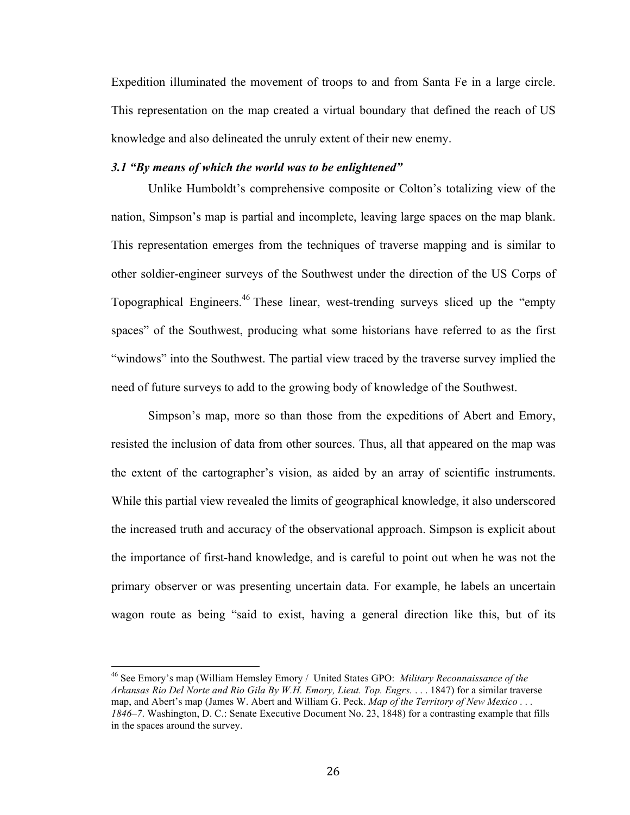Expedition illuminated the movement of troops to and from Santa Fe in a large circle. This representation on the map created a virtual boundary that defined the reach of US knowledge and also delineated the unruly extent of their new enemy.

#### *3.1 "By means of which the world was to be enlightened"*

Unlike Humboldt's comprehensive composite or Colton's totalizing view of the nation, Simpson's map is partial and incomplete, leaving large spaces on the map blank. This representation emerges from the techniques of traverse mapping and is similar to other soldier-engineer surveys of the Southwest under the direction of the US Corps of Topographical Engineers.46 These linear, west-trending surveys sliced up the "empty spaces" of the Southwest, producing what some historians have referred to as the first "windows" into the Southwest. The partial view traced by the traverse survey implied the need of future surveys to add to the growing body of knowledge of the Southwest.

Simpson's map, more so than those from the expeditions of Abert and Emory, resisted the inclusion of data from other sources. Thus, all that appeared on the map was the extent of the cartographer's vision, as aided by an array of scientific instruments. While this partial view revealed the limits of geographical knowledge, it also underscored the increased truth and accuracy of the observational approach. Simpson is explicit about the importance of first-hand knowledge, and is careful to point out when he was not the primary observer or was presenting uncertain data. For example, he labels an uncertain wagon route as being "said to exist, having a general direction like this, but of its

<sup>&</sup>lt;sup>46</sup> See Emory's map (William Hemsley Emory / United States GPO: *Military Reconnaissance of the Arkansas Rio Del Norte and Rio Gila By W.H. Emory, Lieut. Top. Engrs.* . . . 1847) for a similar traverse map, and Abert's map (James W. Abert and William G. Peck. *Map of the Territory of New Mexico . . . 1846–7*. Washington, D. C.: Senate Executive Document No. 23, 1848) for a contrasting example that fills in the spaces around the survey.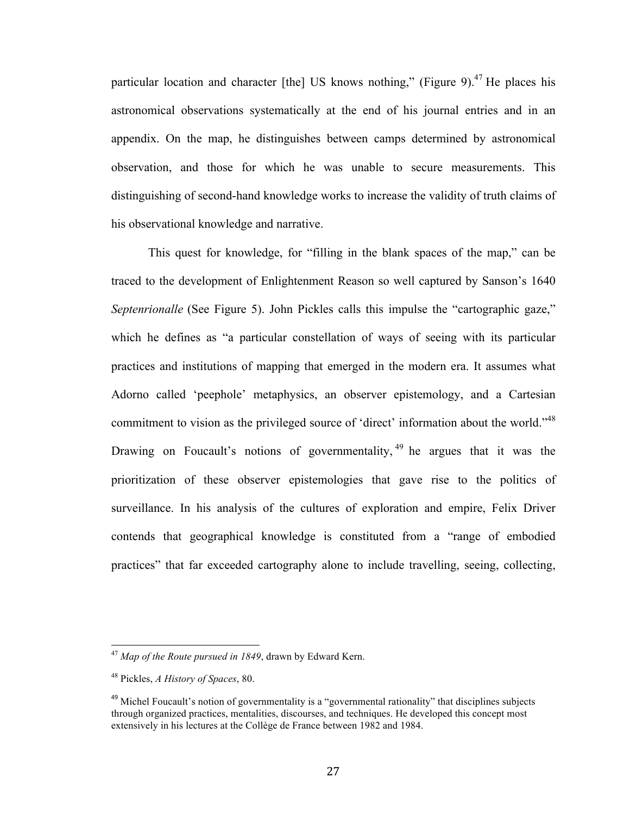particular location and character [the] US knows nothing," (Figure 9).<sup>47</sup> He places his astronomical observations systematically at the end of his journal entries and in an appendix. On the map, he distinguishes between camps determined by astronomical observation, and those for which he was unable to secure measurements. This distinguishing of second-hand knowledge works to increase the validity of truth claims of his observational knowledge and narrative.

This quest for knowledge, for "filling in the blank spaces of the map," can be traced to the development of Enlightenment Reason so well captured by Sanson's 1640 *Septenrionalle* (See Figure 5). John Pickles calls this impulse the "cartographic gaze," which he defines as "a particular constellation of ways of seeing with its particular practices and institutions of mapping that emerged in the modern era. It assumes what Adorno called 'peephole' metaphysics, an observer epistemology, and a Cartesian commitment to vision as the privileged source of 'direct' information about the world."<sup>48</sup> Drawing on Foucault's notions of governmentality,  $49$  he argues that it was the prioritization of these observer epistemologies that gave rise to the politics of surveillance. In his analysis of the cultures of exploration and empire, Felix Driver contends that geographical knowledge is constituted from a "range of embodied practices" that far exceeded cartography alone to include travelling, seeing, collecting,

<sup>&</sup>lt;sup>47</sup> Map of the Route pursued in 1849, drawn by Edward Kern.

<sup>48</sup> Pickles, *A History of Spaces*, 80.

 $49$  Michel Foucault's notion of governmentality is a "governmental rationality" that disciplines subjects through organized practices, mentalities, discourses, and techniques. He developed this concept most extensively in his lectures at the Collège de France between 1982 and 1984.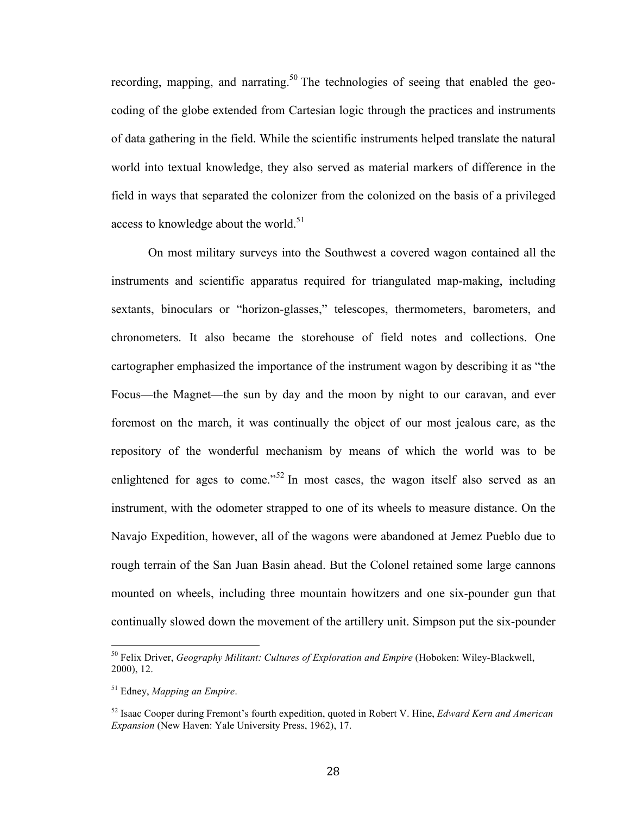recording, mapping, and narrating.<sup>50</sup> The technologies of seeing that enabled the geocoding of the globe extended from Cartesian logic through the practices and instruments of data gathering in the field. While the scientific instruments helped translate the natural world into textual knowledge, they also served as material markers of difference in the field in ways that separated the colonizer from the colonized on the basis of a privileged access to knowledge about the world. $51$ 

On most military surveys into the Southwest a covered wagon contained all the instruments and scientific apparatus required for triangulated map-making, including sextants, binoculars or "horizon-glasses," telescopes, thermometers, barometers, and chronometers. It also became the storehouse of field notes and collections. One cartographer emphasized the importance of the instrument wagon by describing it as "the Focus—the Magnet—the sun by day and the moon by night to our caravan, and ever foremost on the march, it was continually the object of our most jealous care, as the repository of the wonderful mechanism by means of which the world was to be enlightened for ages to come."<sup>52</sup> In most cases, the wagon itself also served as an instrument, with the odometer strapped to one of its wheels to measure distance. On the Navajo Expedition, however, all of the wagons were abandoned at Jemez Pueblo due to rough terrain of the San Juan Basin ahead. But the Colonel retained some large cannons mounted on wheels, including three mountain howitzers and one six-pounder gun that continually slowed down the movement of the artillery unit. Simpson put the six-pounder

<sup>&</sup>lt;sup>50</sup> Felix Driver, *Geography Militant: Cultures of Exploration and Empire* (Hoboken: Wiley-Blackwell, 2000), 12.

<sup>51</sup> Edney, *Mapping an Empire*.

<sup>52</sup> Isaac Cooper during Fremont's fourth expedition, quoted in Robert V. Hine, *Edward Kern and American Expansion* (New Haven: Yale University Press, 1962), 17.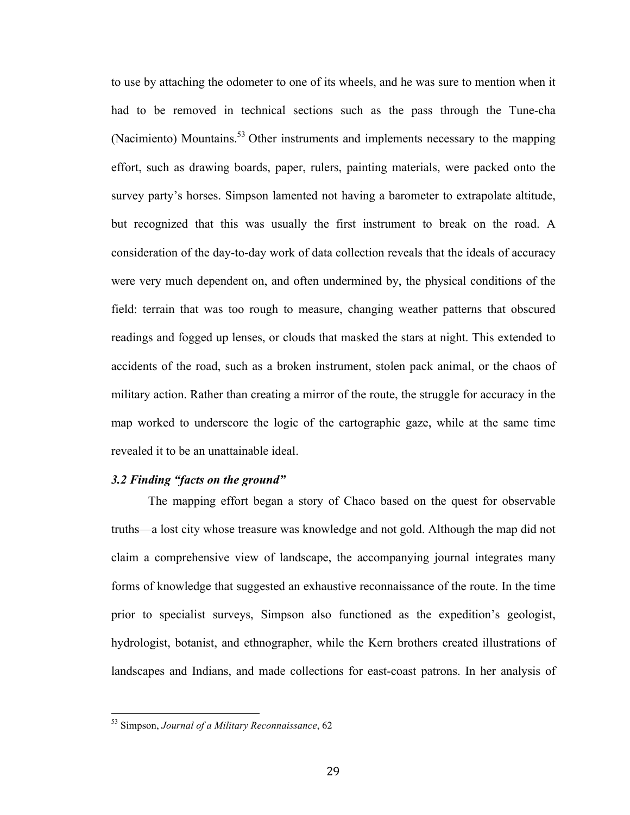to use by attaching the odometer to one of its wheels, and he was sure to mention when it had to be removed in technical sections such as the pass through the Tune-cha (Nacimiento) Mountains.<sup>53</sup> Other instruments and implements necessary to the mapping effort, such as drawing boards, paper, rulers, painting materials, were packed onto the survey party's horses. Simpson lamented not having a barometer to extrapolate altitude, but recognized that this was usually the first instrument to break on the road. A consideration of the day-to-day work of data collection reveals that the ideals of accuracy were very much dependent on, and often undermined by, the physical conditions of the field: terrain that was too rough to measure, changing weather patterns that obscured readings and fogged up lenses, or clouds that masked the stars at night. This extended to accidents of the road, such as a broken instrument, stolen pack animal, or the chaos of military action. Rather than creating a mirror of the route, the struggle for accuracy in the map worked to underscore the logic of the cartographic gaze, while at the same time revealed it to be an unattainable ideal.

#### *3.2 Finding "facts on the ground"*

The mapping effort began a story of Chaco based on the quest for observable truths—a lost city whose treasure was knowledge and not gold. Although the map did not claim a comprehensive view of landscape, the accompanying journal integrates many forms of knowledge that suggested an exhaustive reconnaissance of the route. In the time prior to specialist surveys, Simpson also functioned as the expedition's geologist, hydrologist, botanist, and ethnographer, while the Kern brothers created illustrations of landscapes and Indians, and made collections for east-coast patrons. In her analysis of

<sup>&</sup>lt;sup>53</sup> Simpson, *Journal of a Military Reconnaissance*, 62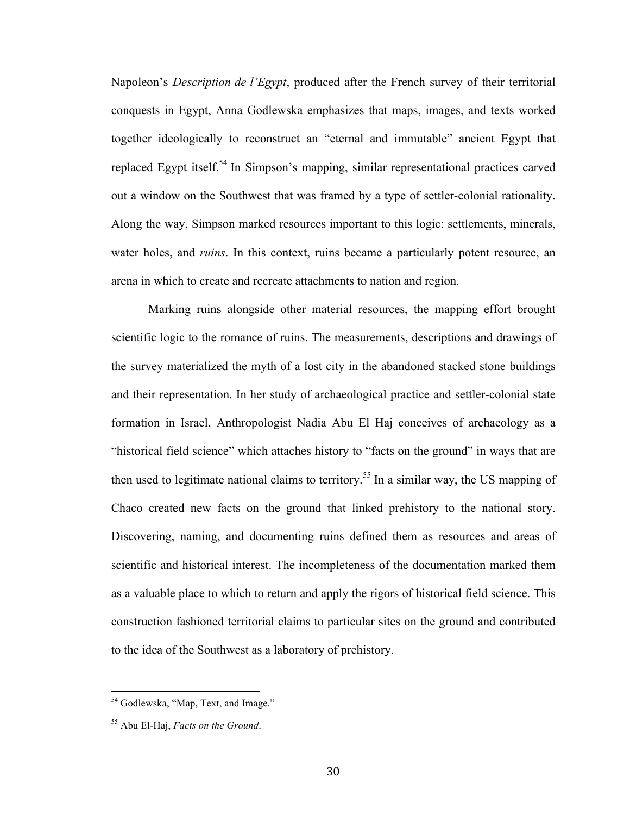Napoleon's *Description de l'Egypt*, produced after the French survey of their territorial conquests in Egypt, Anna Godlewska emphasizes that maps, images, and texts worked together ideologically to reconstruct an "eternal and immutable" ancient Egypt that replaced Egypt itself.<sup>54</sup> In Simpson's mapping, similar representational practices carved out a window on the Southwest that was framed by a type of settler-colonial rationality. Along the way, Simpson marked resources important to this logic: settlements, minerals, water holes, and *ruins*. In this context, ruins became a particularly potent resource, an arena in which to create and recreate attachments to nation and region.

Marking ruins alongside other material resources, the mapping effort brought scientific logic to the romance of ruins. The measurements, descriptions and drawings of the survey materialized the myth of a lost city in the abandoned stacked stone buildings and their representation. In her study of archaeological practice and settler-colonial state formation in Israel, Anthropologist Nadia Abu El Haj conceives of archaeology as a "historical field science" which attaches history to "facts on the ground" in ways that are then used to legitimate national claims to territory.<sup>55</sup> In a similar way, the US mapping of Chaco created new facts on the ground that linked prehistory to the national story. Discovering, naming, and documenting ruins defined them as resources and areas of scientific and historical interest. The incompleteness of the documentation marked them as a valuable place to which to return and apply the rigors of historical field science. This construction fashioned territorial claims to particular sites on the ground and contributed to the idea of the Southwest as a laboratory of prehistory.

 $<sup>54</sup>$  Godlewska, "Map, Text, and Image."</sup>

<sup>55</sup> Abu El-Haj, *Facts on the Ground*.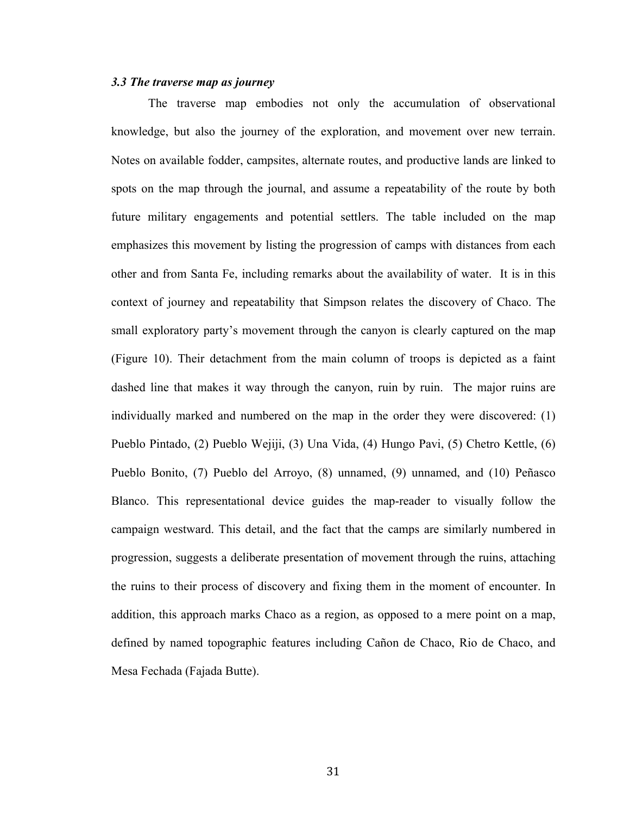#### *3.3 The traverse map as journey*

The traverse map embodies not only the accumulation of observational knowledge, but also the journey of the exploration, and movement over new terrain. Notes on available fodder, campsites, alternate routes, and productive lands are linked to spots on the map through the journal, and assume a repeatability of the route by both future military engagements and potential settlers. The table included on the map emphasizes this movement by listing the progression of camps with distances from each other and from Santa Fe, including remarks about the availability of water. It is in this context of journey and repeatability that Simpson relates the discovery of Chaco. The small exploratory party's movement through the canyon is clearly captured on the map (Figure 10). Their detachment from the main column of troops is depicted as a faint dashed line that makes it way through the canyon, ruin by ruin. The major ruins are individually marked and numbered on the map in the order they were discovered: (1) Pueblo Pintado, (2) Pueblo Wejiji, (3) Una Vida, (4) Hungo Pavi, (5) Chetro Kettle, (6) Pueblo Bonito, (7) Pueblo del Arroyo, (8) unnamed, (9) unnamed, and (10) Peñasco Blanco. This representational device guides the map-reader to visually follow the campaign westward. This detail, and the fact that the camps are similarly numbered in progression, suggests a deliberate presentation of movement through the ruins, attaching the ruins to their process of discovery and fixing them in the moment of encounter. In addition, this approach marks Chaco as a region, as opposed to a mere point on a map, defined by named topographic features including Cañon de Chaco, Rio de Chaco, and Mesa Fechada (Fajada Butte).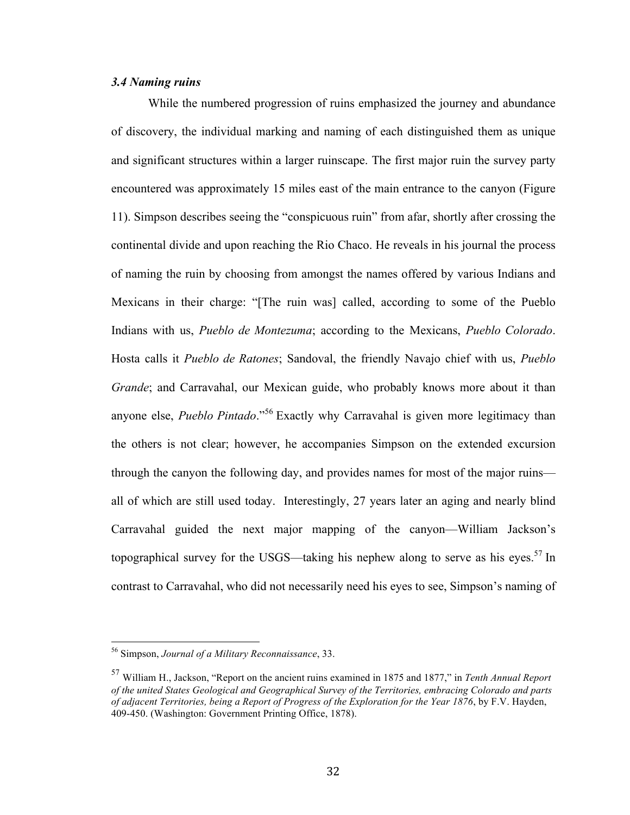# *3.4 Naming ruins*

While the numbered progression of ruins emphasized the journey and abundance of discovery, the individual marking and naming of each distinguished them as unique and significant structures within a larger ruinscape. The first major ruin the survey party encountered was approximately 15 miles east of the main entrance to the canyon (Figure 11). Simpson describes seeing the "conspicuous ruin" from afar, shortly after crossing the continental divide and upon reaching the Rio Chaco. He reveals in his journal the process of naming the ruin by choosing from amongst the names offered by various Indians and Mexicans in their charge: "[The ruin was] called, according to some of the Pueblo Indians with us, *Pueblo de Montezuma*; according to the Mexicans, *Pueblo Colorado*. Hosta calls it *Pueblo de Ratones*; Sandoval, the friendly Navajo chief with us, *Pueblo Grande*; and Carravahal, our Mexican guide, who probably knows more about it than anyone else, *Pueblo Pintado*." <sup>56</sup> Exactly why Carravahal is given more legitimacy than the others is not clear; however, he accompanies Simpson on the extended excursion through the canyon the following day, and provides names for most of the major ruins all of which are still used today. Interestingly, 27 years later an aging and nearly blind Carravahal guided the next major mapping of the canyon—William Jackson's topographical survey for the USGS—taking his nephew along to serve as his eyes.<sup>57</sup> In contrast to Carravahal, who did not necessarily need his eyes to see, Simpson's naming of

<sup>&</sup>lt;sup>56</sup> Simpson, *Journal of a Military Reconnaissance*, 33.

<sup>57</sup> William H., Jackson, "Report on the ancient ruins examined in 1875 and 1877," in *Tenth Annual Report of the united States Geological and Geographical Survey of the Territories, embracing Colorado and parts of adjacent Territories, being a Report of Progress of the Exploration for the Year 1876*, by F.V. Hayden, 409-450. (Washington: Government Printing Office, 1878).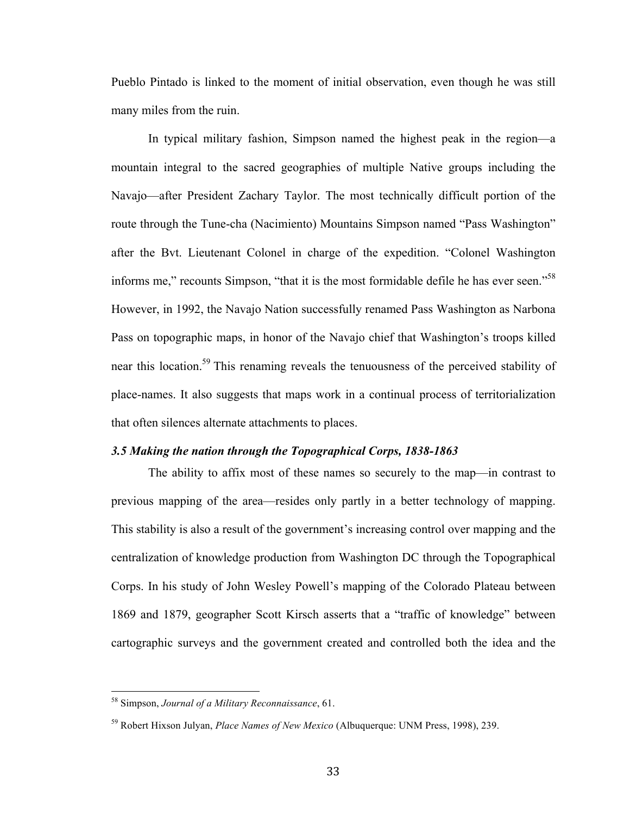Pueblo Pintado is linked to the moment of initial observation, even though he was still many miles from the ruin.

In typical military fashion, Simpson named the highest peak in the region—a mountain integral to the sacred geographies of multiple Native groups including the Navajo—after President Zachary Taylor. The most technically difficult portion of the route through the Tune-cha (Nacimiento) Mountains Simpson named "Pass Washington" after the Bvt. Lieutenant Colonel in charge of the expedition. "Colonel Washington informs me," recounts Simpson, "that it is the most formidable defile he has ever seen."<sup>58</sup> However, in 1992, the Navajo Nation successfully renamed Pass Washington as Narbona Pass on topographic maps, in honor of the Navajo chief that Washington's troops killed near this location.59 This renaming reveals the tenuousness of the perceived stability of place-names. It also suggests that maps work in a continual process of territorialization that often silences alternate attachments to places.

#### *3.5 Making the nation through the Topographical Corps, 1838-1863*

The ability to affix most of these names so securely to the map—in contrast to previous mapping of the area—resides only partly in a better technology of mapping. This stability is also a result of the government's increasing control over mapping and the centralization of knowledge production from Washington DC through the Topographical Corps. In his study of John Wesley Powell's mapping of the Colorado Plateau between 1869 and 1879, geographer Scott Kirsch asserts that a "traffic of knowledge" between cartographic surveys and the government created and controlled both the idea and the

<sup>&</sup>lt;sup>58</sup> Simpson, *Journal of a Military Reconnaissance*, 61.

<sup>59</sup> Robert Hixson Julyan, *Place Names of New Mexico* (Albuquerque: UNM Press, 1998), 239.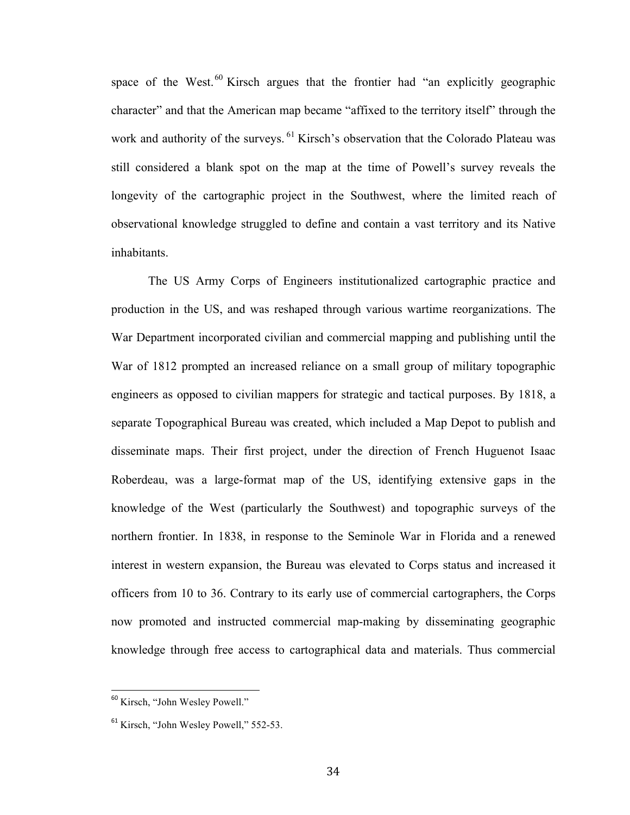space of the West. $60$  Kirsch argues that the frontier had "an explicitly geographic character" and that the American map became "affixed to the territory itself" through the work and authority of the surveys. <sup>61</sup> Kirsch's observation that the Colorado Plateau was still considered a blank spot on the map at the time of Powell's survey reveals the longevity of the cartographic project in the Southwest, where the limited reach of observational knowledge struggled to define and contain a vast territory and its Native inhabitants.

The US Army Corps of Engineers institutionalized cartographic practice and production in the US, and was reshaped through various wartime reorganizations. The War Department incorporated civilian and commercial mapping and publishing until the War of 1812 prompted an increased reliance on a small group of military topographic engineers as opposed to civilian mappers for strategic and tactical purposes. By 1818, a separate Topographical Bureau was created, which included a Map Depot to publish and disseminate maps. Their first project, under the direction of French Huguenot Isaac Roberdeau, was a large-format map of the US, identifying extensive gaps in the knowledge of the West (particularly the Southwest) and topographic surveys of the northern frontier. In 1838, in response to the Seminole War in Florida and a renewed interest in western expansion, the Bureau was elevated to Corps status and increased it officers from 10 to 36. Contrary to its early use of commercial cartographers, the Corps now promoted and instructed commercial map-making by disseminating geographic knowledge through free access to cartographical data and materials. Thus commercial

<sup>&</sup>lt;sup>60</sup> Kirsch, "John Wesley Powell."

<sup>&</sup>lt;sup>61</sup> Kirsch, "John Wesley Powell," 552-53.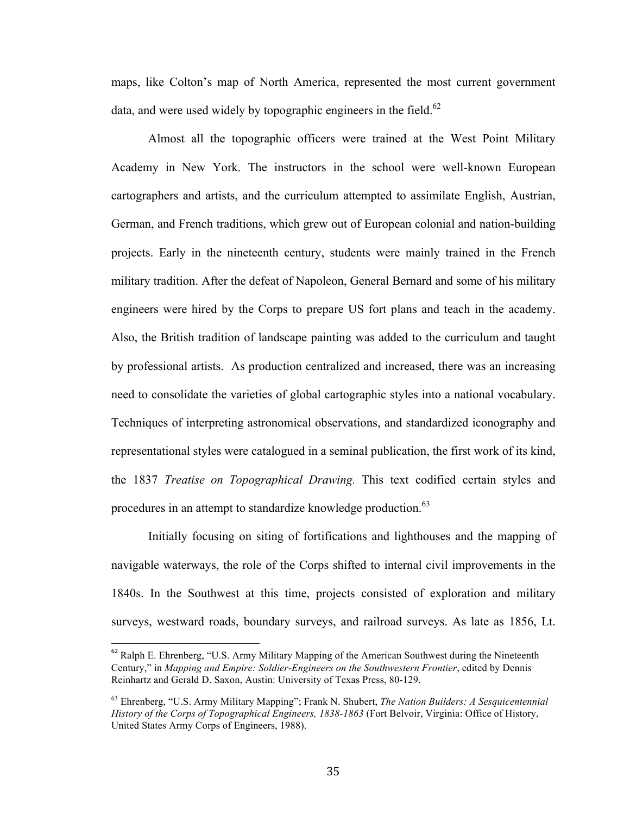maps, like Colton's map of North America, represented the most current government data, and were used widely by topographic engineers in the field.<sup>62</sup>

Almost all the topographic officers were trained at the West Point Military Academy in New York. The instructors in the school were well-known European cartographers and artists, and the curriculum attempted to assimilate English, Austrian, German, and French traditions, which grew out of European colonial and nation-building projects. Early in the nineteenth century, students were mainly trained in the French military tradition. After the defeat of Napoleon, General Bernard and some of his military engineers were hired by the Corps to prepare US fort plans and teach in the academy. Also, the British tradition of landscape painting was added to the curriculum and taught by professional artists. As production centralized and increased, there was an increasing need to consolidate the varieties of global cartographic styles into a national vocabulary. Techniques of interpreting astronomical observations, and standardized iconography and representational styles were catalogued in a seminal publication, the first work of its kind, the 1837 *Treatise on Topographical Drawing.* This text codified certain styles and procedures in an attempt to standardize knowledge production.<sup>63</sup>

Initially focusing on siting of fortifications and lighthouses and the mapping of navigable waterways, the role of the Corps shifted to internal civil improvements in the 1840s. In the Southwest at this time, projects consisted of exploration and military surveys, westward roads, boundary surveys, and railroad surveys. As late as 1856, Lt.

<sup>&</sup>lt;sup>62</sup> Ralph E. Ehrenberg, "U.S. Army Military Mapping of the American Southwest during the Nineteenth Century," in *Mapping and Empire: Soldier-Engineers on the Southwestern Frontier*, edited by Dennis Reinhartz and Gerald D. Saxon, Austin: University of Texas Press, 80-129.

<sup>63</sup> Ehrenberg, "U.S. Army Military Mapping"; Frank N. Shubert, *The Nation Builders: A Sesquicentennial History of the Corps of Topographical Engineers, 1838-1863* (Fort Belvoir, Virginia: Office of History, United States Army Corps of Engineers, 1988).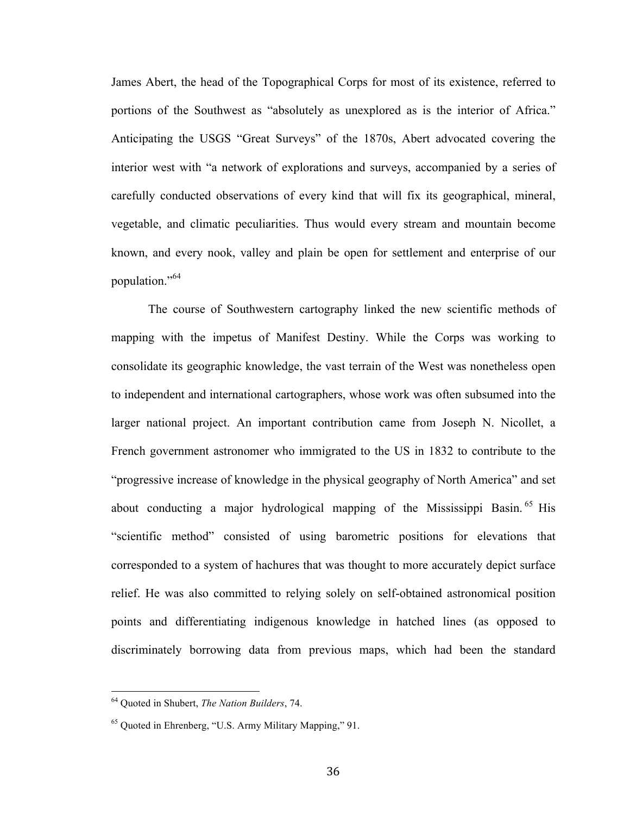James Abert, the head of the Topographical Corps for most of its existence, referred to portions of the Southwest as "absolutely as unexplored as is the interior of Africa." Anticipating the USGS "Great Surveys" of the 1870s, Abert advocated covering the interior west with "a network of explorations and surveys, accompanied by a series of carefully conducted observations of every kind that will fix its geographical, mineral, vegetable, and climatic peculiarities. Thus would every stream and mountain become known, and every nook, valley and plain be open for settlement and enterprise of our population."<sup>64</sup>

The course of Southwestern cartography linked the new scientific methods of mapping with the impetus of Manifest Destiny. While the Corps was working to consolidate its geographic knowledge, the vast terrain of the West was nonetheless open to independent and international cartographers, whose work was often subsumed into the larger national project. An important contribution came from Joseph N. Nicollet, a French government astronomer who immigrated to the US in 1832 to contribute to the "progressive increase of knowledge in the physical geography of North America" and set about conducting a major hydrological mapping of the Mississippi Basin.<sup>65</sup> His "scientific method" consisted of using barometric positions for elevations that corresponded to a system of hachures that was thought to more accurately depict surface relief. He was also committed to relying solely on self-obtained astronomical position points and differentiating indigenous knowledge in hatched lines (as opposed to discriminately borrowing data from previous maps, which had been the standard

<sup>&</sup>lt;sup>64</sup> Ouoted in Shubert, *The Nation Builders*, 74.

<sup>65</sup> Quoted in Ehrenberg, "U.S. Army Military Mapping," 91.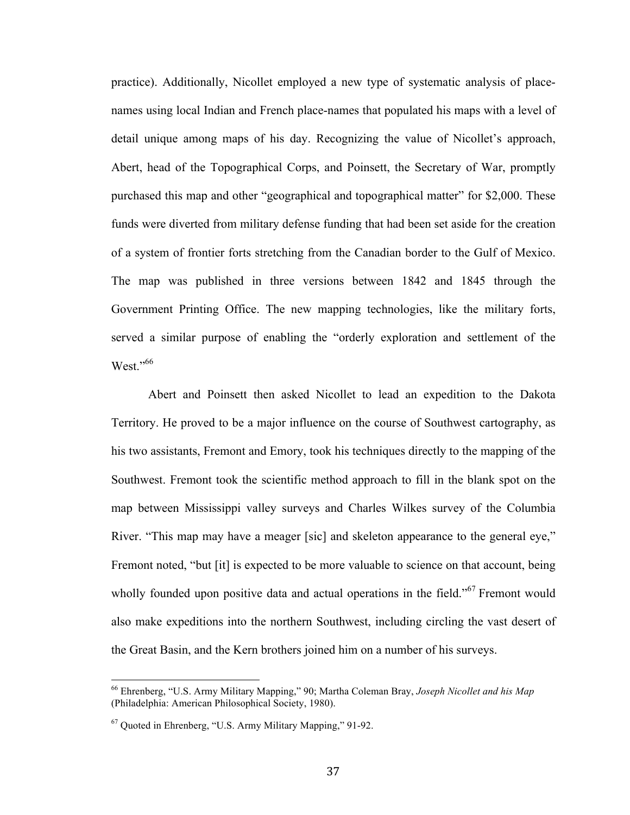practice). Additionally, Nicollet employed a new type of systematic analysis of placenames using local Indian and French place-names that populated his maps with a level of detail unique among maps of his day. Recognizing the value of Nicollet's approach, Abert, head of the Topographical Corps, and Poinsett, the Secretary of War, promptly purchased this map and other "geographical and topographical matter" for \$2,000. These funds were diverted from military defense funding that had been set aside for the creation of a system of frontier forts stretching from the Canadian border to the Gulf of Mexico. The map was published in three versions between 1842 and 1845 through the Government Printing Office. The new mapping technologies, like the military forts, served a similar purpose of enabling the "orderly exploration and settlement of the West." 66

Abert and Poinsett then asked Nicollet to lead an expedition to the Dakota Territory. He proved to be a major influence on the course of Southwest cartography, as his two assistants, Fremont and Emory, took his techniques directly to the mapping of the Southwest. Fremont took the scientific method approach to fill in the blank spot on the map between Mississippi valley surveys and Charles Wilkes survey of the Columbia River. "This map may have a meager [sic] and skeleton appearance to the general eye," Fremont noted, "but [it] is expected to be more valuable to science on that account, being wholly founded upon positive data and actual operations in the field."<sup>67</sup> Fremont would also make expeditions into the northern Southwest, including circling the vast desert of the Great Basin, and the Kern brothers joined him on a number of his surveys.

<sup>&</sup>lt;sup>66</sup> Ehrenberg, "U.S. Army Military Mapping," 90; Martha Coleman Bray, *Joseph Nicollet and his Map* (Philadelphia: American Philosophical Society, 1980).

<sup>67</sup> Quoted in Ehrenberg, "U.S. Army Military Mapping," 91-92.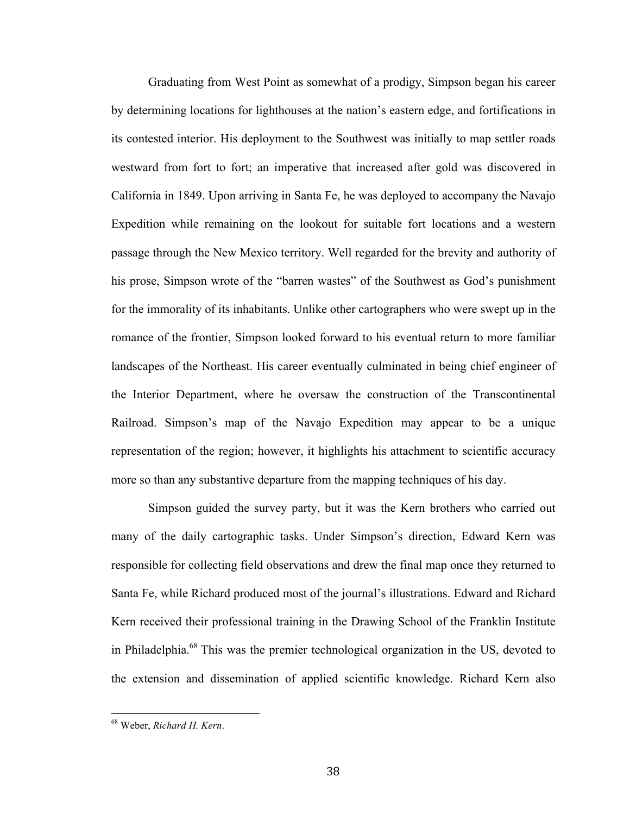Graduating from West Point as somewhat of a prodigy, Simpson began his career by determining locations for lighthouses at the nation's eastern edge, and fortifications in its contested interior. His deployment to the Southwest was initially to map settler roads westward from fort to fort; an imperative that increased after gold was discovered in California in 1849. Upon arriving in Santa Fe, he was deployed to accompany the Navajo Expedition while remaining on the lookout for suitable fort locations and a western passage through the New Mexico territory. Well regarded for the brevity and authority of his prose, Simpson wrote of the "barren wastes" of the Southwest as God's punishment for the immorality of its inhabitants. Unlike other cartographers who were swept up in the romance of the frontier, Simpson looked forward to his eventual return to more familiar landscapes of the Northeast. His career eventually culminated in being chief engineer of the Interior Department, where he oversaw the construction of the Transcontinental Railroad. Simpson's map of the Navajo Expedition may appear to be a unique representation of the region; however, it highlights his attachment to scientific accuracy more so than any substantive departure from the mapping techniques of his day.

Simpson guided the survey party, but it was the Kern brothers who carried out many of the daily cartographic tasks. Under Simpson's direction, Edward Kern was responsible for collecting field observations and drew the final map once they returned to Santa Fe, while Richard produced most of the journal's illustrations. Edward and Richard Kern received their professional training in the Drawing School of the Franklin Institute in Philadelphia.<sup>68</sup> This was the premier technological organization in the US, devoted to the extension and dissemination of applied scientific knowledge. Richard Kern also

<sup>&</sup>lt;sup>68</sup> Weber, Richard H. Kern.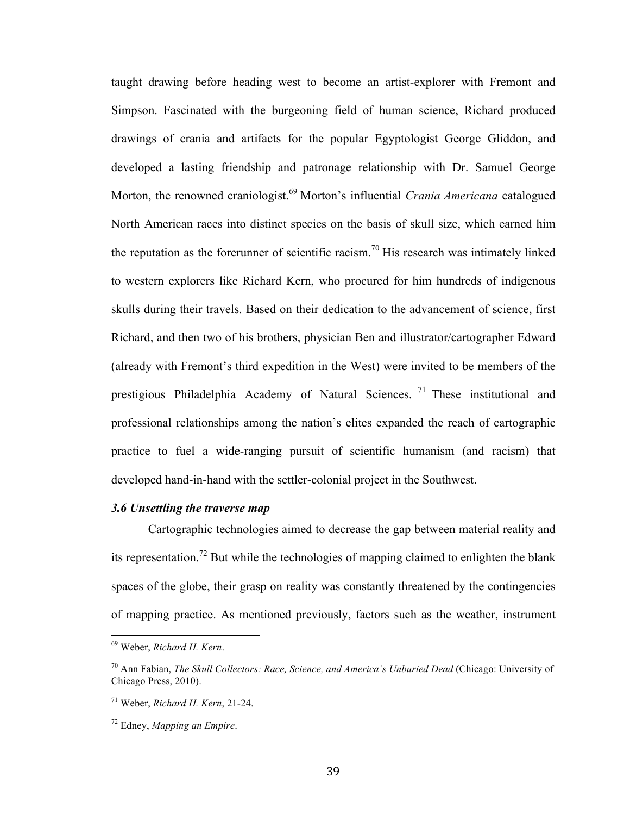taught drawing before heading west to become an artist-explorer with Fremont and Simpson. Fascinated with the burgeoning field of human science, Richard produced drawings of crania and artifacts for the popular Egyptologist George Gliddon, and developed a lasting friendship and patronage relationship with Dr. Samuel George Morton, the renowned craniologist.<sup>69</sup> Morton's influential *Crania Americana* catalogued North American races into distinct species on the basis of skull size, which earned him the reputation as the forerunner of scientific racism.<sup>70</sup> His research was intimately linked to western explorers like Richard Kern, who procured for him hundreds of indigenous skulls during their travels. Based on their dedication to the advancement of science, first Richard, and then two of his brothers, physician Ben and illustrator/cartographer Edward (already with Fremont's third expedition in the West) were invited to be members of the prestigious Philadelphia Academy of Natural Sciences.<sup>71</sup> These institutional and professional relationships among the nation's elites expanded the reach of cartographic practice to fuel a wide-ranging pursuit of scientific humanism (and racism) that developed hand-in-hand with the settler-colonial project in the Southwest.

## *3.6 Unsettling the traverse map*

Cartographic technologies aimed to decrease the gap between material reality and its representation.<sup>72</sup> But while the technologies of mapping claimed to enlighten the blank spaces of the globe, their grasp on reality was constantly threatened by the contingencies of mapping practice. As mentioned previously, factors such as the weather, instrument

<sup>&</sup>lt;sup>69</sup> Weber, Richard H. Kern.

<sup>70</sup> Ann Fabian, *The Skull Collectors: Race, Science, and America's Unburied Dead* (Chicago: University of Chicago Press, 2010).

<sup>71</sup> Weber, *Richard H. Kern*, 21-24.

<sup>72</sup> Edney, *Mapping an Empire*.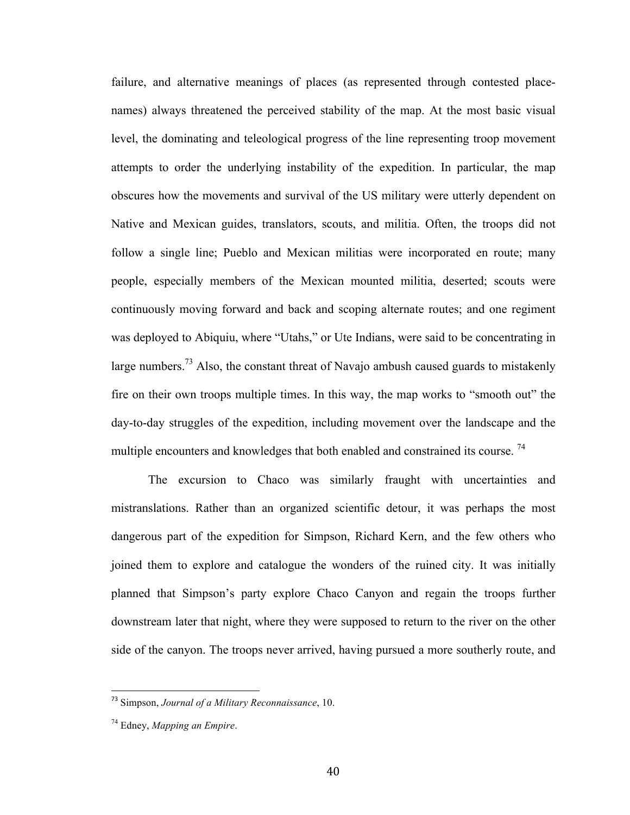failure, and alternative meanings of places (as represented through contested placenames) always threatened the perceived stability of the map. At the most basic visual level, the dominating and teleological progress of the line representing troop movement attempts to order the underlying instability of the expedition. In particular, the map obscures how the movements and survival of the US military were utterly dependent on Native and Mexican guides, translators, scouts, and militia. Often, the troops did not follow a single line; Pueblo and Mexican militias were incorporated en route; many people, especially members of the Mexican mounted militia, deserted; scouts were continuously moving forward and back and scoping alternate routes; and one regiment was deployed to Abiquiu, where "Utahs," or Ute Indians, were said to be concentrating in large numbers.<sup>73</sup> Also, the constant threat of Navajo ambush caused guards to mistakenly fire on their own troops multiple times. In this way, the map works to "smooth out" the day-to-day struggles of the expedition, including movement over the landscape and the multiple encounters and knowledges that both enabled and constrained its course.<sup>74</sup>

The excursion to Chaco was similarly fraught with uncertainties and mistranslations. Rather than an organized scientific detour, it was perhaps the most dangerous part of the expedition for Simpson, Richard Kern, and the few others who joined them to explore and catalogue the wonders of the ruined city. It was initially planned that Simpson's party explore Chaco Canyon and regain the troops further downstream later that night, where they were supposed to return to the river on the other side of the canyon. The troops never arrived, having pursued a more southerly route, and

<sup>&</sup>lt;sup>73</sup> Simpson, Journal of a Military Reconnaissance, 10.

<sup>74</sup> Edney, *Mapping an Empire*.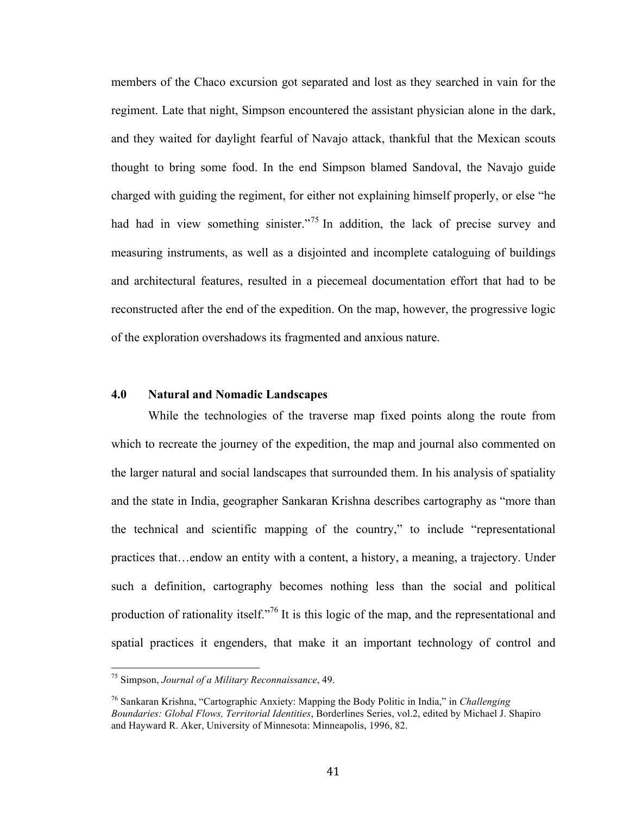members of the Chaco excursion got separated and lost as they searched in vain for the regiment. Late that night, Simpson encountered the assistant physician alone in the dark, and they waited for daylight fearful of Navajo attack, thankful that the Mexican scouts thought to bring some food. In the end Simpson blamed Sandoval, the Navajo guide charged with guiding the regiment, for either not explaining himself properly, or else "he had had in view something sinister."<sup>75</sup> In addition, the lack of precise survey and measuring instruments, as well as a disjointed and incomplete cataloguing of buildings and architectural features, resulted in a piecemeal documentation effort that had to be reconstructed after the end of the expedition. On the map, however, the progressive logic of the exploration overshadows its fragmented and anxious nature.

### **4.0 Natural and Nomadic Landscapes**

While the technologies of the traverse map fixed points along the route from which to recreate the journey of the expedition, the map and journal also commented on the larger natural and social landscapes that surrounded them. In his analysis of spatiality and the state in India, geographer Sankaran Krishna describes cartography as "more than the technical and scientific mapping of the country," to include "representational practices that…endow an entity with a content, a history, a meaning, a trajectory. Under such a definition, cartography becomes nothing less than the social and political production of rationality itself."<sup>76</sup> It is this logic of the map, and the representational and spatial practices it engenders, that make it an important technology of control and

<sup>&</sup>lt;sup>75</sup> Simpson, *Journal of a Military Reconnaissance*, 49.

<sup>76</sup> Sankaran Krishna, "Cartographic Anxiety: Mapping the Body Politic in India," in *Challenging Boundaries: Global Flows, Territorial Identities*, Borderlines Series, vol.2, edited by Michael J. Shapiro and Hayward R. Aker, University of Minnesota: Minneapolis, 1996, 82.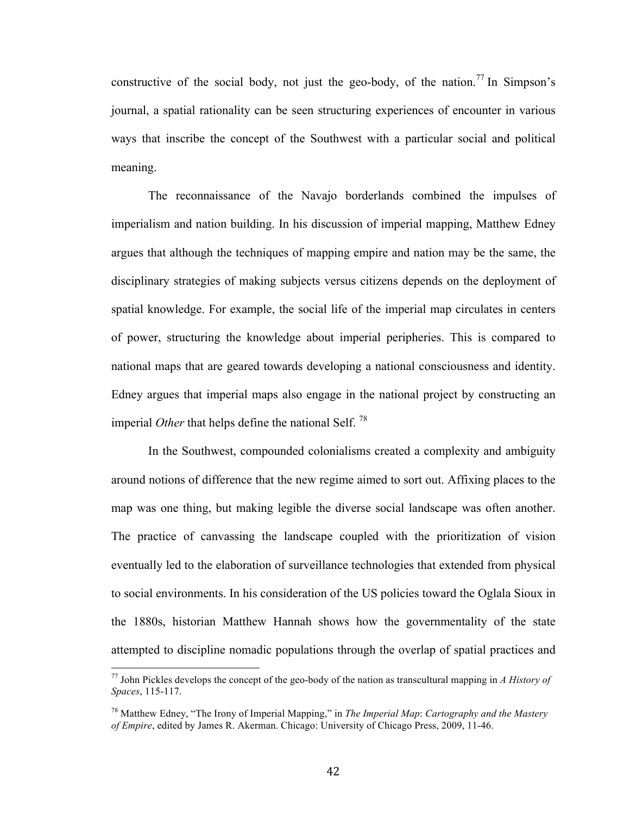constructive of the social body, not just the geo-body, of the nation.<sup>77</sup> In Simpson's journal, a spatial rationality can be seen structuring experiences of encounter in various ways that inscribe the concept of the Southwest with a particular social and political meaning.

The reconnaissance of the Navajo borderlands combined the impulses of imperialism and nation building. In his discussion of imperial mapping, Matthew Edney argues that although the techniques of mapping empire and nation may be the same, the disciplinary strategies of making subjects versus citizens depends on the deployment of spatial knowledge. For example, the social life of the imperial map circulates in centers of power, structuring the knowledge about imperial peripheries. This is compared to national maps that are geared towards developing a national consciousness and identity. Edney argues that imperial maps also engage in the national project by constructing an imperial *Other* that helps define the national Self.<sup>78</sup>

In the Southwest, compounded colonialisms created a complexity and ambiguity around notions of difference that the new regime aimed to sort out. Affixing places to the map was one thing, but making legible the diverse social landscape was often another. The practice of canvassing the landscape coupled with the prioritization of vision eventually led to the elaboration of surveillance technologies that extended from physical to social environments. In his consideration of the US policies toward the Oglala Sioux in the 1880s, historian Matthew Hannah shows how the governmentality of the state attempted to discipline nomadic populations through the overlap of spatial practices and

<sup>&</sup>lt;sup>77</sup> John Pickles develops the concept of the geo-body of the nation as transcultural mapping in *A History of Spaces*, 115-117.

<sup>78</sup> Matthew Edney, "The Irony of Imperial Mapping," in *The Imperial Map*: *Cartography and the Mastery of Empire*, edited by James R. Akerman. Chicago: University of Chicago Press, 2009, 11-46.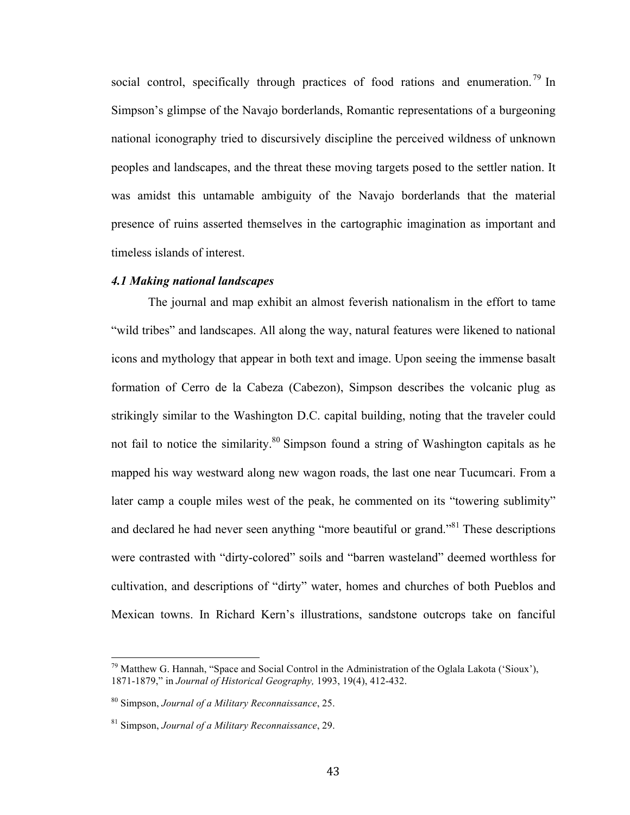social control, specifically through practices of food rations and enumeration.<sup>79</sup> In Simpson's glimpse of the Navajo borderlands, Romantic representations of a burgeoning national iconography tried to discursively discipline the perceived wildness of unknown peoples and landscapes, and the threat these moving targets posed to the settler nation. It was amidst this untamable ambiguity of the Navajo borderlands that the material presence of ruins asserted themselves in the cartographic imagination as important and timeless islands of interest.

### *4.1 Making national landscapes*

The journal and map exhibit an almost feverish nationalism in the effort to tame "wild tribes" and landscapes. All along the way, natural features were likened to national icons and mythology that appear in both text and image. Upon seeing the immense basalt formation of Cerro de la Cabeza (Cabezon), Simpson describes the volcanic plug as strikingly similar to the Washington D.C. capital building, noting that the traveler could not fail to notice the similarity.<sup>80</sup> Simpson found a string of Washington capitals as he mapped his way westward along new wagon roads, the last one near Tucumcari. From a later camp a couple miles west of the peak, he commented on its "towering sublimity" and declared he had never seen anything "more beautiful or grand."<sup>81</sup> These descriptions were contrasted with "dirty-colored" soils and "barren wasteland" deemed worthless for cultivation, and descriptions of "dirty" water, homes and churches of both Pueblos and Mexican towns. In Richard Kern's illustrations, sandstone outcrops take on fanciful

 $19$  Matthew G. Hannah, "Space and Social Control in the Administration of the Oglala Lakota ('Sioux'), 1871-1879," in *Journal of Historical Geography,* 1993, 19(4), 412-432.

<sup>80</sup> Simpson, *Journal of a Military Reconnaissance*, 25.

<sup>81</sup> Simpson, *Journal of a Military Reconnaissance*, 29.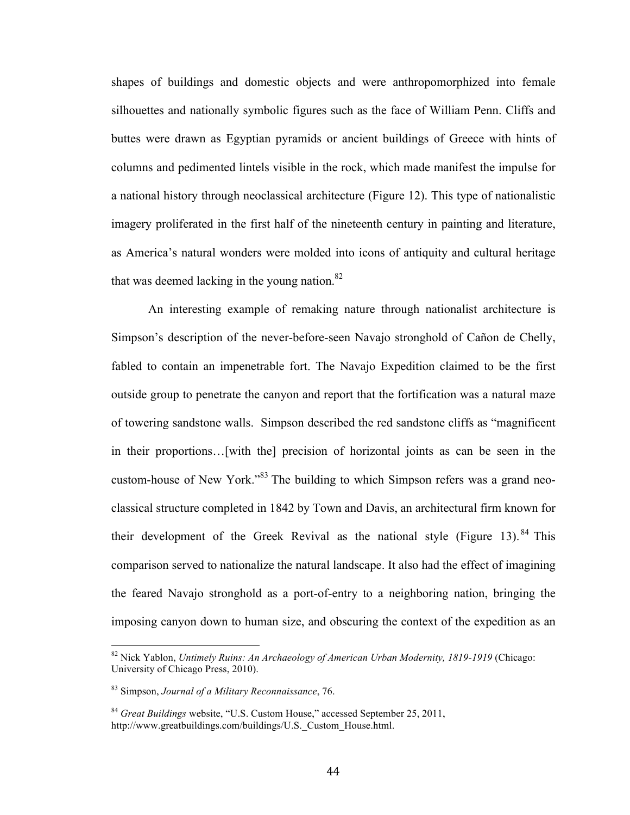shapes of buildings and domestic objects and were anthropomorphized into female silhouettes and nationally symbolic figures such as the face of William Penn. Cliffs and buttes were drawn as Egyptian pyramids or ancient buildings of Greece with hints of columns and pedimented lintels visible in the rock, which made manifest the impulse for a national history through neoclassical architecture (Figure 12). This type of nationalistic imagery proliferated in the first half of the nineteenth century in painting and literature, as America's natural wonders were molded into icons of antiquity and cultural heritage that was deemed lacking in the young nation. $82$ 

An interesting example of remaking nature through nationalist architecture is Simpson's description of the never-before-seen Navajo stronghold of Cañon de Chelly, fabled to contain an impenetrable fort. The Navajo Expedition claimed to be the first outside group to penetrate the canyon and report that the fortification was a natural maze of towering sandstone walls. Simpson described the red sandstone cliffs as "magnificent in their proportions…[with the] precision of horizontal joints as can be seen in the custom-house of New York."<sup>83</sup> The building to which Simpson refers was a grand neoclassical structure completed in 1842 by Town and Davis, an architectural firm known for their development of the Greek Revival as the national style (Figure 13). <sup>84</sup> This comparison served to nationalize the natural landscape. It also had the effect of imagining the feared Navajo stronghold as a port-of-entry to a neighboring nation, bringing the imposing canyon down to human size, and obscuring the context of the expedition as an

<sup>&</sup>lt;sup>82</sup> Nick Yablon, *Untimely Ruins: An Archaeology of American Urban Modernity, 1819-1919* (Chicago: University of Chicago Press, 2010).

<sup>83</sup> Simpson, *Journal of a Military Reconnaissance*, 76.

<sup>84</sup> *Great Buildings* website, "U.S. Custom House," accessed September 25, 2011, http://www.greatbuildings.com/buildings/U.S. Custom House.html.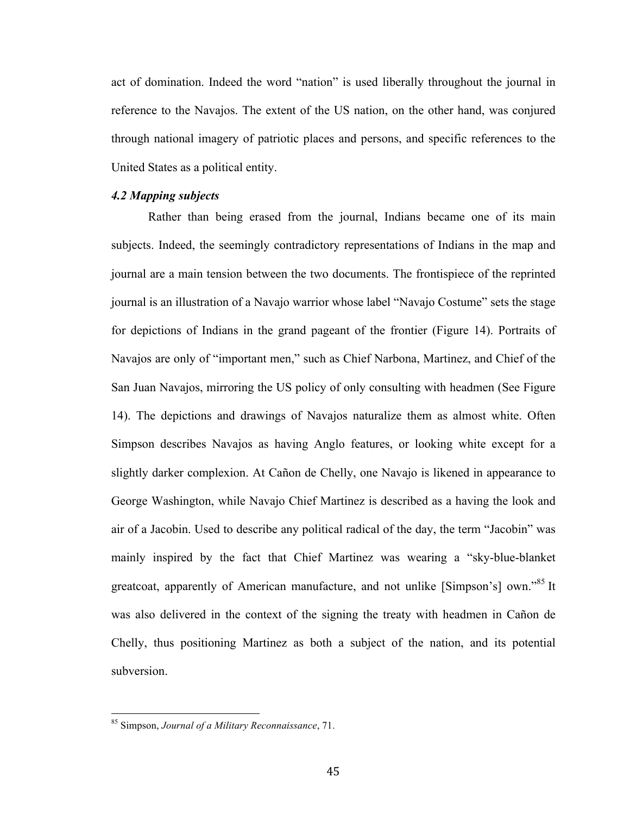act of domination. Indeed the word "nation" is used liberally throughout the journal in reference to the Navajos. The extent of the US nation, on the other hand, was conjured through national imagery of patriotic places and persons, and specific references to the United States as a political entity.

## *4.2 Mapping subjects*

Rather than being erased from the journal, Indians became one of its main subjects. Indeed, the seemingly contradictory representations of Indians in the map and journal are a main tension between the two documents. The frontispiece of the reprinted journal is an illustration of a Navajo warrior whose label "Navajo Costume" sets the stage for depictions of Indians in the grand pageant of the frontier (Figure 14). Portraits of Navajos are only of "important men," such as Chief Narbona, Martinez, and Chief of the San Juan Navajos, mirroring the US policy of only consulting with headmen (See Figure 14). The depictions and drawings of Navajos naturalize them as almost white. Often Simpson describes Navajos as having Anglo features, or looking white except for a slightly darker complexion. At Cañon de Chelly, one Navajo is likened in appearance to George Washington, while Navajo Chief Martinez is described as a having the look and air of a Jacobin. Used to describe any political radical of the day, the term "Jacobin" was mainly inspired by the fact that Chief Martinez was wearing a "sky-blue-blanket greatcoat, apparently of American manufacture, and not unlike [Simpson's] own."<sup>85</sup> It was also delivered in the context of the signing the treaty with headmen in Cañon de Chelly, thus positioning Martinez as both a subject of the nation, and its potential subversion.

<sup>&</sup>lt;sup>85</sup> Simpson, *Journal of a Military Reconnaissance*, 71.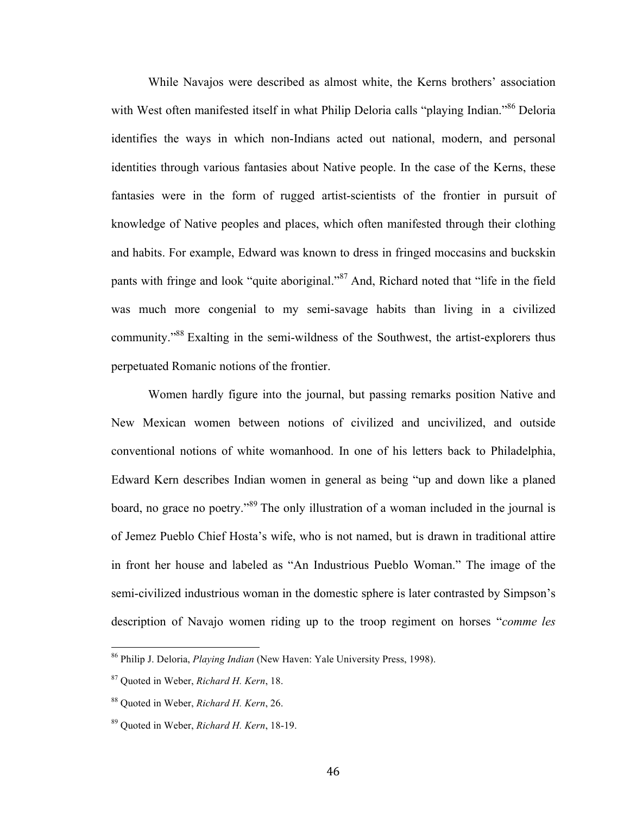While Navajos were described as almost white, the Kerns brothers' association with West often manifested itself in what Philip Deloria calls "playing Indian."<sup>86</sup> Deloria identifies the ways in which non-Indians acted out national, modern, and personal identities through various fantasies about Native people. In the case of the Kerns, these fantasies were in the form of rugged artist-scientists of the frontier in pursuit of knowledge of Native peoples and places, which often manifested through their clothing and habits. For example, Edward was known to dress in fringed moccasins and buckskin pants with fringe and look "quite aboriginal."<sup>87</sup> And, Richard noted that "life in the field was much more congenial to my semi-savage habits than living in a civilized community."88 Exalting in the semi-wildness of the Southwest, the artist-explorers thus perpetuated Romanic notions of the frontier.

Women hardly figure into the journal, but passing remarks position Native and New Mexican women between notions of civilized and uncivilized, and outside conventional notions of white womanhood. In one of his letters back to Philadelphia, Edward Kern describes Indian women in general as being "up and down like a planed board, no grace no poetry."<sup>89</sup> The only illustration of a woman included in the journal is of Jemez Pueblo Chief Hosta's wife, who is not named, but is drawn in traditional attire in front her house and labeled as "An Industrious Pueblo Woman." The image of the semi-civilized industrious woman in the domestic sphere is later contrasted by Simpson's description of Navajo women riding up to the troop regiment on horses "*comme les* 

<sup>&</sup>lt;sup>86</sup> Philip J. Deloria, *Playing Indian* (New Haven: Yale University Press, 1998).

<sup>87</sup> Quoted in Weber, *Richard H. Kern*, 18.

<sup>88</sup> Quoted in Weber, *Richard H. Kern*, 26.

<sup>89</sup> Quoted in Weber, *Richard H. Kern*, 18-19.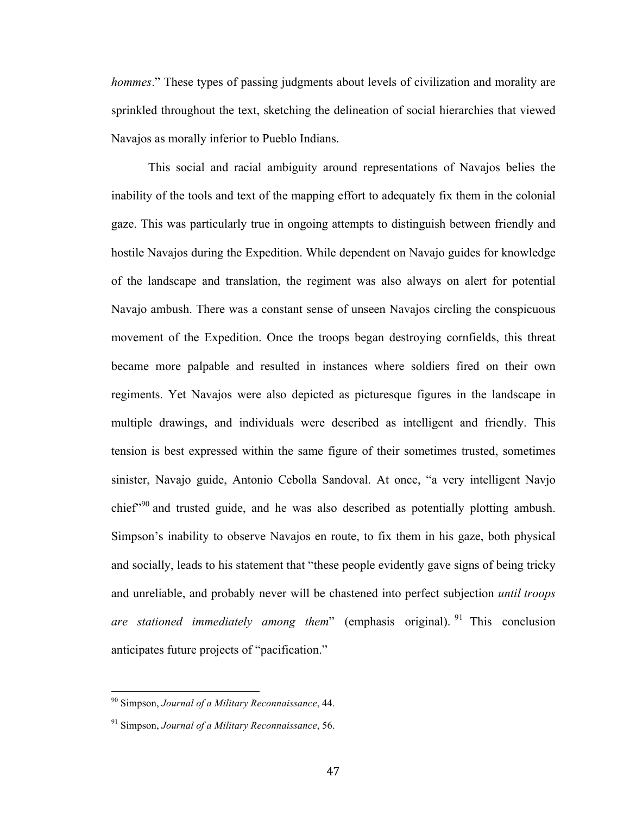*hommes*." These types of passing judgments about levels of civilization and morality are sprinkled throughout the text, sketching the delineation of social hierarchies that viewed Navajos as morally inferior to Pueblo Indians.

This social and racial ambiguity around representations of Navajos belies the inability of the tools and text of the mapping effort to adequately fix them in the colonial gaze. This was particularly true in ongoing attempts to distinguish between friendly and hostile Navajos during the Expedition. While dependent on Navajo guides for knowledge of the landscape and translation, the regiment was also always on alert for potential Navajo ambush. There was a constant sense of unseen Navajos circling the conspicuous movement of the Expedition. Once the troops began destroying cornfields, this threat became more palpable and resulted in instances where soldiers fired on their own regiments. Yet Navajos were also depicted as picturesque figures in the landscape in multiple drawings, and individuals were described as intelligent and friendly. This tension is best expressed within the same figure of their sometimes trusted, sometimes sinister, Navajo guide, Antonio Cebolla Sandoval. At once, "a very intelligent Navjo chief<sup> $200$ </sup> and trusted guide, and he was also described as potentially plotting ambush. Simpson's inability to observe Navajos en route, to fix them in his gaze, both physical and socially, leads to his statement that "these people evidently gave signs of being tricky and unreliable, and probably never will be chastened into perfect subjection *until troops are stationed immediately among them*" (emphasis original). <sup>91</sup> This conclusion anticipates future projects of "pacification."

<sup>&</sup>lt;sup>90</sup> Simpson, Journal of a Military Reconnaissance, 44.

<sup>91</sup> Simpson, *Journal of a Military Reconnaissance*, 56.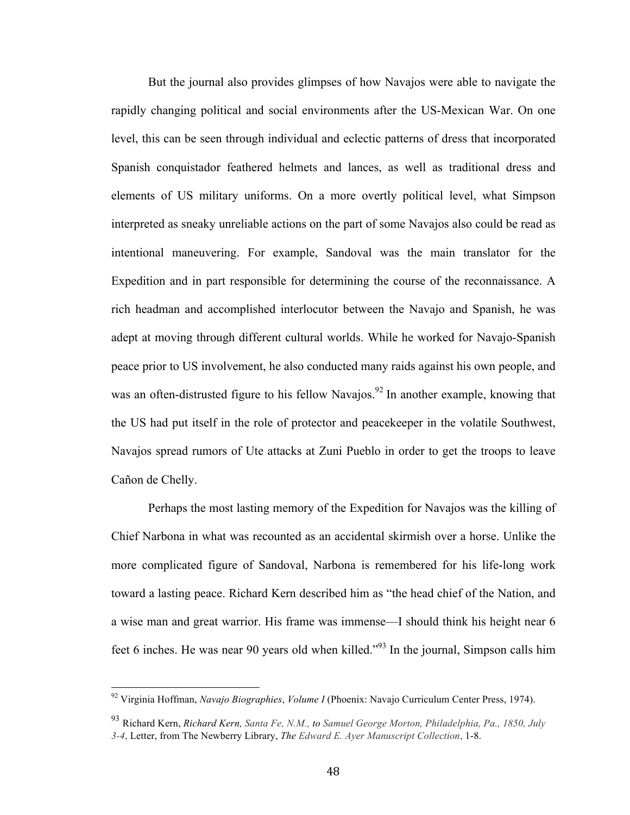But the journal also provides glimpses of how Navajos were able to navigate the rapidly changing political and social environments after the US-Mexican War. On one level, this can be seen through individual and eclectic patterns of dress that incorporated Spanish conquistador feathered helmets and lances, as well as traditional dress and elements of US military uniforms. On a more overtly political level, what Simpson interpreted as sneaky unreliable actions on the part of some Navajos also could be read as intentional maneuvering. For example, Sandoval was the main translator for the Expedition and in part responsible for determining the course of the reconnaissance. A rich headman and accomplished interlocutor between the Navajo and Spanish, he was adept at moving through different cultural worlds. While he worked for Navajo-Spanish peace prior to US involvement, he also conducted many raids against his own people, and was an often-distrusted figure to his fellow Navajos.<sup>92</sup> In another example, knowing that the US had put itself in the role of protector and peacekeeper in the volatile Southwest, Navajos spread rumors of Ute attacks at Zuni Pueblo in order to get the troops to leave Cañon de Chelly.

Perhaps the most lasting memory of the Expedition for Navajos was the killing of Chief Narbona in what was recounted as an accidental skirmish over a horse. Unlike the more complicated figure of Sandoval, Narbona is remembered for his life-long work toward a lasting peace. Richard Kern described him as "the head chief of the Nation, and a wise man and great warrior. His frame was immense—I should think his height near 6 feet 6 inches. He was near 90 years old when killed."93 In the journal, Simpson calls him

<sup>&</sup>lt;sup>92</sup> Virginia Hoffman, *Navajo Biographies, Volume I* (Phoenix: Navajo Curriculum Center Press, 1974).

<sup>93</sup> Richard Kern, *Richard Kern, Santa Fe, N.M., to Samuel George Morton, Philadelphia, Pa., 1850, July 3-4*, Letter, from The Newberry Library, *The Edward E. Ayer Manuscript Collection*, 1-8.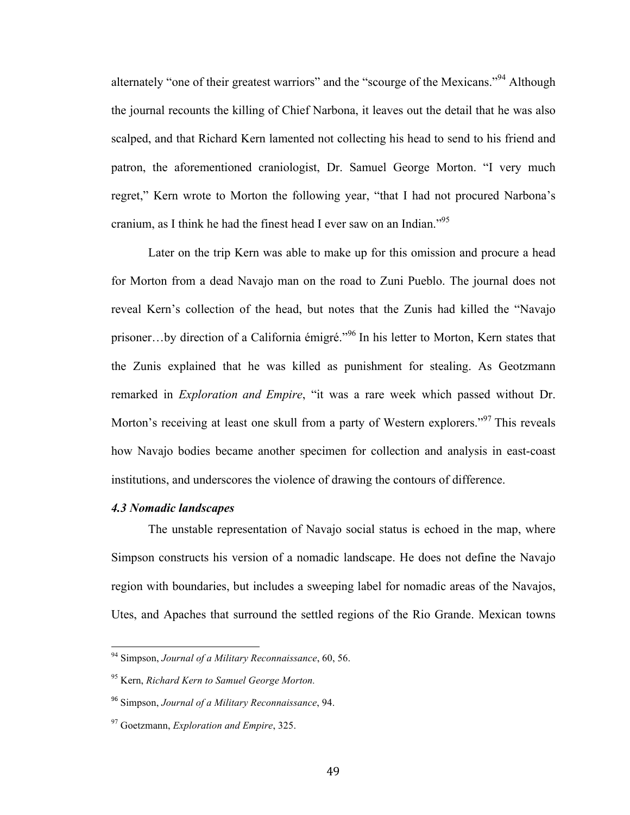alternately "one of their greatest warriors" and the "scourge of the Mexicans."<sup>94</sup> Although the journal recounts the killing of Chief Narbona, it leaves out the detail that he was also scalped, and that Richard Kern lamented not collecting his head to send to his friend and patron, the aforementioned craniologist, Dr. Samuel George Morton. "I very much regret," Kern wrote to Morton the following year, "that I had not procured Narbona's cranium, as I think he had the finest head I ever saw on an Indian."<sup>95</sup>

Later on the trip Kern was able to make up for this omission and procure a head for Morton from a dead Navajo man on the road to Zuni Pueblo. The journal does not reveal Kern's collection of the head, but notes that the Zunis had killed the "Navajo prisoner…by direction of a California émigré."<sup>96</sup> In his letter to Morton, Kern states that the Zunis explained that he was killed as punishment for stealing. As Geotzmann remarked in *Exploration and Empire*, "it was a rare week which passed without Dr. Morton's receiving at least one skull from a party of Western explorers."<sup>97</sup> This reveals how Navajo bodies became another specimen for collection and analysis in east-coast institutions, and underscores the violence of drawing the contours of difference.

## *4.3 Nomadic landscapes*

The unstable representation of Navajo social status is echoed in the map, where Simpson constructs his version of a nomadic landscape. He does not define the Navajo region with boundaries, but includes a sweeping label for nomadic areas of the Navajos, Utes, and Apaches that surround the settled regions of the Rio Grande. Mexican towns

<sup>&</sup>lt;sup>94</sup> Simpson. *Journal of a Military Reconnaissance*, 60, 56.

<sup>95</sup> Kern, *Richard Kern to Samuel George Morton.*

<sup>96</sup> Simpson, *Journal of a Military Reconnaissance*, 94.

<sup>97</sup> Goetzmann, *Exploration and Empire*, 325.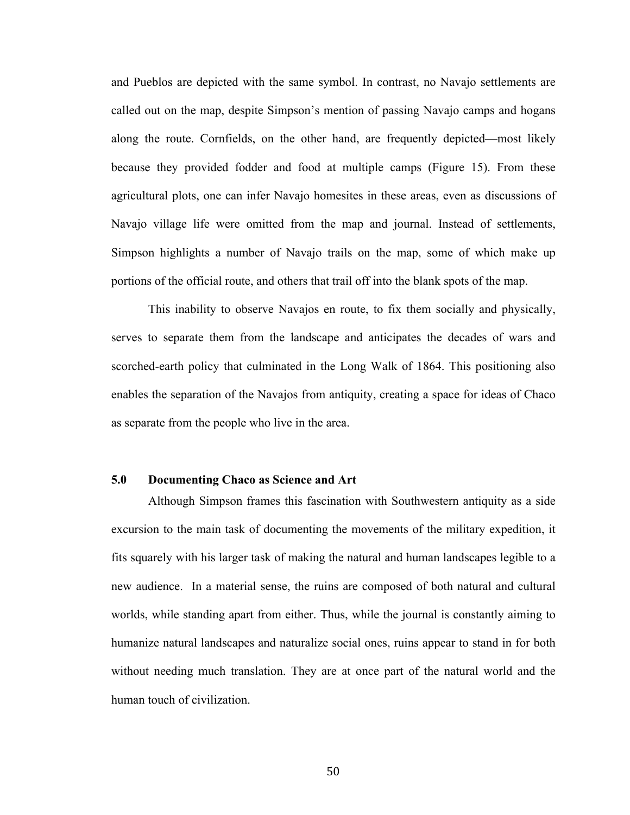and Pueblos are depicted with the same symbol. In contrast, no Navajo settlements are called out on the map, despite Simpson's mention of passing Navajo camps and hogans along the route. Cornfields, on the other hand, are frequently depicted—most likely because they provided fodder and food at multiple camps (Figure 15). From these agricultural plots, one can infer Navajo homesites in these areas, even as discussions of Navajo village life were omitted from the map and journal. Instead of settlements, Simpson highlights a number of Navajo trails on the map, some of which make up portions of the official route, and others that trail off into the blank spots of the map.

This inability to observe Navajos en route, to fix them socially and physically, serves to separate them from the landscape and anticipates the decades of wars and scorched-earth policy that culminated in the Long Walk of 1864. This positioning also enables the separation of the Navajos from antiquity, creating a space for ideas of Chaco as separate from the people who live in the area.

## **5.0 Documenting Chaco as Science and Art**

Although Simpson frames this fascination with Southwestern antiquity as a side excursion to the main task of documenting the movements of the military expedition, it fits squarely with his larger task of making the natural and human landscapes legible to a new audience. In a material sense, the ruins are composed of both natural and cultural worlds, while standing apart from either. Thus, while the journal is constantly aiming to humanize natural landscapes and naturalize social ones, ruins appear to stand in for both without needing much translation. They are at once part of the natural world and the human touch of civilization.

50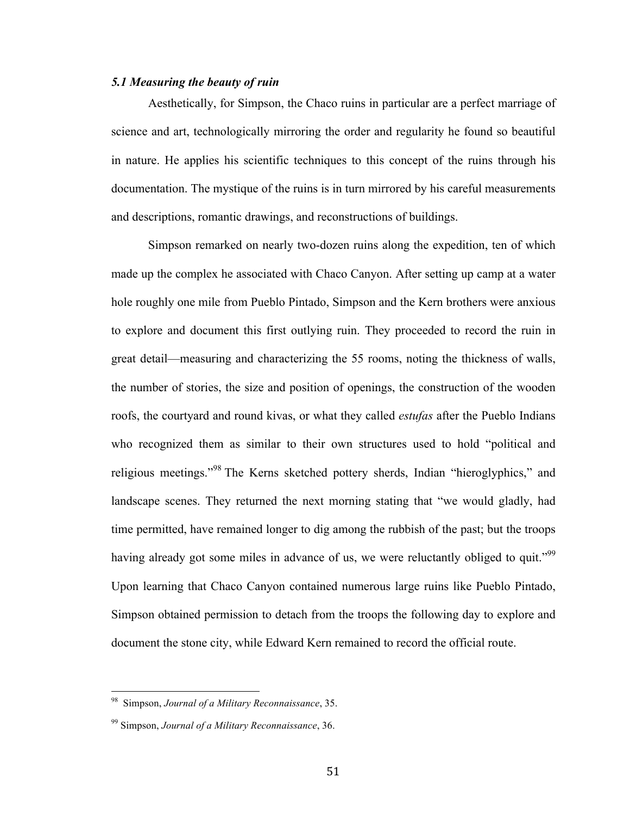## *5.1 Measuring the beauty of ruin*

Aesthetically, for Simpson, the Chaco ruins in particular are a perfect marriage of science and art, technologically mirroring the order and regularity he found so beautiful in nature. He applies his scientific techniques to this concept of the ruins through his documentation. The mystique of the ruins is in turn mirrored by his careful measurements and descriptions, romantic drawings, and reconstructions of buildings.

Simpson remarked on nearly two-dozen ruins along the expedition, ten of which made up the complex he associated with Chaco Canyon. After setting up camp at a water hole roughly one mile from Pueblo Pintado, Simpson and the Kern brothers were anxious to explore and document this first outlying ruin. They proceeded to record the ruin in great detail—measuring and characterizing the 55 rooms, noting the thickness of walls, the number of stories, the size and position of openings, the construction of the wooden roofs, the courtyard and round kivas, or what they called *estufas* after the Pueblo Indians who recognized them as similar to their own structures used to hold "political and religious meetings."<sup>98</sup> The Kerns sketched pottery sherds, Indian "hieroglyphics," and landscape scenes. They returned the next morning stating that "we would gladly, had time permitted, have remained longer to dig among the rubbish of the past; but the troops having already got some miles in advance of us, we were reluctantly obliged to quit."<sup>99</sup> Upon learning that Chaco Canyon contained numerous large ruins like Pueblo Pintado, Simpson obtained permission to detach from the troops the following day to explore and document the stone city, while Edward Kern remained to record the official route.

<sup>!!!!!!!!!!!!!!!!!!!!!!!!!!!!!!!!!!!!!!!!!!!!!!!!!!!!!!!</sup> 98 Simpson, *Journal of a Military Reconnaissance*, 35.

<sup>99</sup> Simpson, *Journal of a Military Reconnaissance*, 36.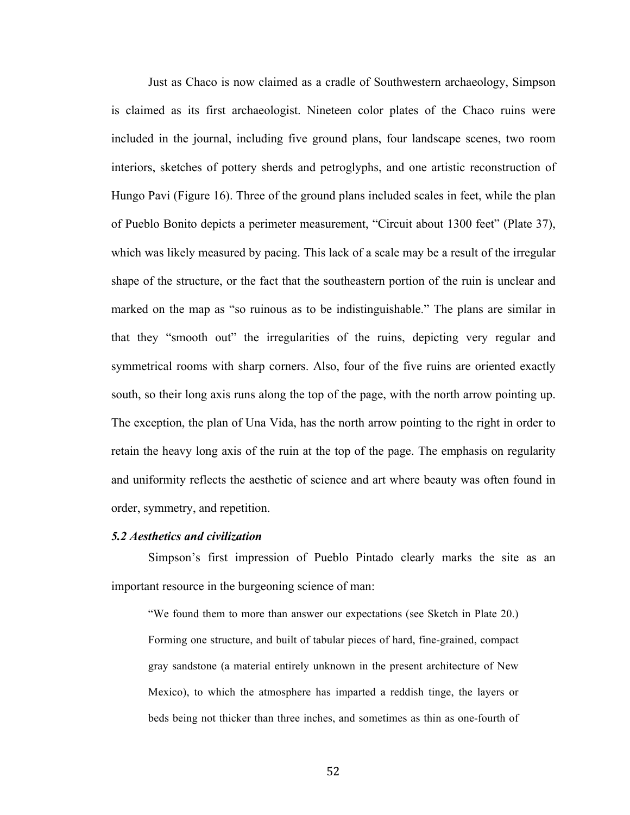Just as Chaco is now claimed as a cradle of Southwestern archaeology, Simpson is claimed as its first archaeologist. Nineteen color plates of the Chaco ruins were included in the journal, including five ground plans, four landscape scenes, two room interiors, sketches of pottery sherds and petroglyphs, and one artistic reconstruction of Hungo Pavi (Figure 16). Three of the ground plans included scales in feet, while the plan of Pueblo Bonito depicts a perimeter measurement, "Circuit about 1300 feet" (Plate 37), which was likely measured by pacing. This lack of a scale may be a result of the irregular shape of the structure, or the fact that the southeastern portion of the ruin is unclear and marked on the map as "so ruinous as to be indistinguishable." The plans are similar in that they "smooth out" the irregularities of the ruins, depicting very regular and symmetrical rooms with sharp corners. Also, four of the five ruins are oriented exactly south, so their long axis runs along the top of the page, with the north arrow pointing up. The exception, the plan of Una Vida, has the north arrow pointing to the right in order to retain the heavy long axis of the ruin at the top of the page. The emphasis on regularity and uniformity reflects the aesthetic of science and art where beauty was often found in order, symmetry, and repetition.

## *5.2 Aesthetics and civilization*

Simpson's first impression of Pueblo Pintado clearly marks the site as an important resource in the burgeoning science of man:

"We found them to more than answer our expectations (see Sketch in Plate 20.) Forming one structure, and built of tabular pieces of hard, fine-grained, compact gray sandstone (a material entirely unknown in the present architecture of New Mexico), to which the atmosphere has imparted a reddish tinge, the layers or beds being not thicker than three inches, and sometimes as thin as one-fourth of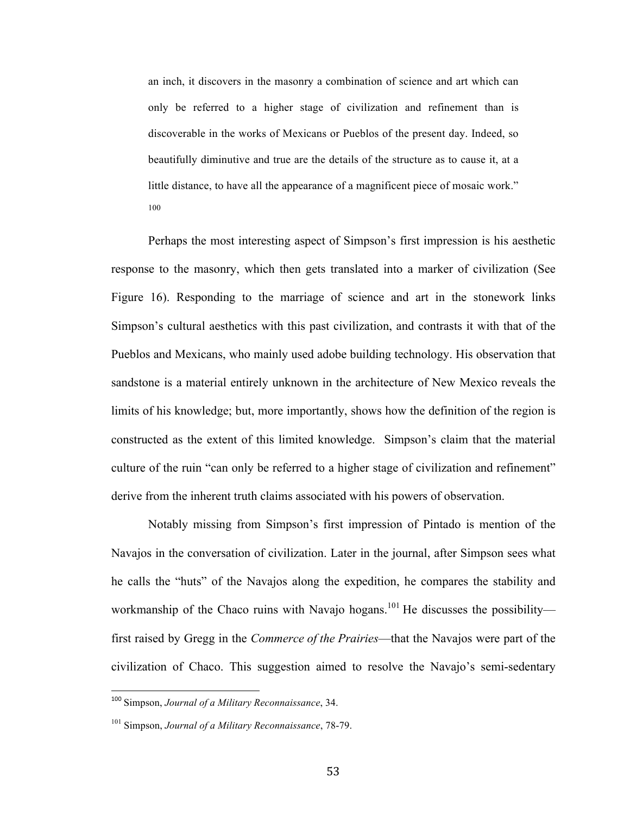an inch, it discovers in the masonry a combination of science and art which can only be referred to a higher stage of civilization and refinement than is discoverable in the works of Mexicans or Pueblos of the present day. Indeed, so beautifully diminutive and true are the details of the structure as to cause it, at a little distance, to have all the appearance of a magnificent piece of mosaic work." 100

Perhaps the most interesting aspect of Simpson's first impression is his aesthetic response to the masonry, which then gets translated into a marker of civilization (See Figure 16). Responding to the marriage of science and art in the stonework links Simpson's cultural aesthetics with this past civilization, and contrasts it with that of the Pueblos and Mexicans, who mainly used adobe building technology. His observation that sandstone is a material entirely unknown in the architecture of New Mexico reveals the limits of his knowledge; but, more importantly, shows how the definition of the region is constructed as the extent of this limited knowledge. Simpson's claim that the material culture of the ruin "can only be referred to a higher stage of civilization and refinement" derive from the inherent truth claims associated with his powers of observation.

Notably missing from Simpson's first impression of Pintado is mention of the Navajos in the conversation of civilization. Later in the journal, after Simpson sees what he calls the "huts" of the Navajos along the expedition, he compares the stability and workmanship of the Chaco ruins with Navajo hogans.<sup>101</sup> He discusses the possibility first raised by Gregg in the *Commerce of the Prairies*—that the Navajos were part of the civilization of Chaco. This suggestion aimed to resolve the Navajo's semi-sedentary

<sup>&</sup>lt;sup>100</sup> Simpson, *Journal of a Military Reconnaissance*, 34.

<sup>101</sup> Simpson, *Journal of a Military Reconnaissance*, 78-79.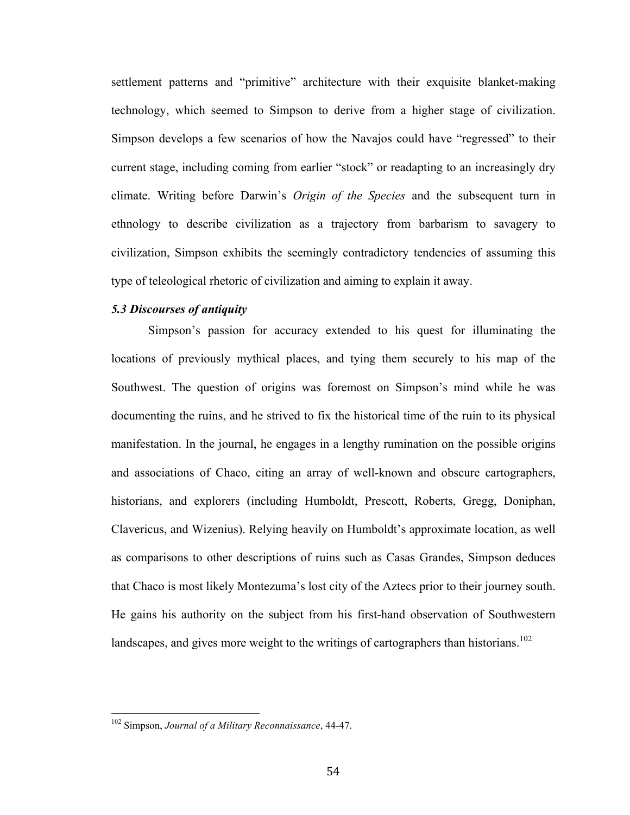settlement patterns and "primitive" architecture with their exquisite blanket-making technology, which seemed to Simpson to derive from a higher stage of civilization. Simpson develops a few scenarios of how the Navajos could have "regressed" to their current stage, including coming from earlier "stock" or readapting to an increasingly dry climate. Writing before Darwin's *Origin of the Species* and the subsequent turn in ethnology to describe civilization as a trajectory from barbarism to savagery to civilization, Simpson exhibits the seemingly contradictory tendencies of assuming this type of teleological rhetoric of civilization and aiming to explain it away.

# *5.3 Discourses of antiquity*

Simpson's passion for accuracy extended to his quest for illuminating the locations of previously mythical places, and tying them securely to his map of the Southwest. The question of origins was foremost on Simpson's mind while he was documenting the ruins, and he strived to fix the historical time of the ruin to its physical manifestation. In the journal, he engages in a lengthy rumination on the possible origins and associations of Chaco, citing an array of well-known and obscure cartographers, historians, and explorers (including Humboldt, Prescott, Roberts, Gregg, Doniphan, Clavericus, and Wizenius). Relying heavily on Humboldt's approximate location, as well as comparisons to other descriptions of ruins such as Casas Grandes, Simpson deduces that Chaco is most likely Montezuma's lost city of the Aztecs prior to their journey south. He gains his authority on the subject from his first-hand observation of Southwestern landscapes, and gives more weight to the writings of cartographers than historians.<sup>102</sup>

<sup>&</sup>lt;sup>102</sup> Simpson, *Journal of a Military Reconnaissance*, 44-47.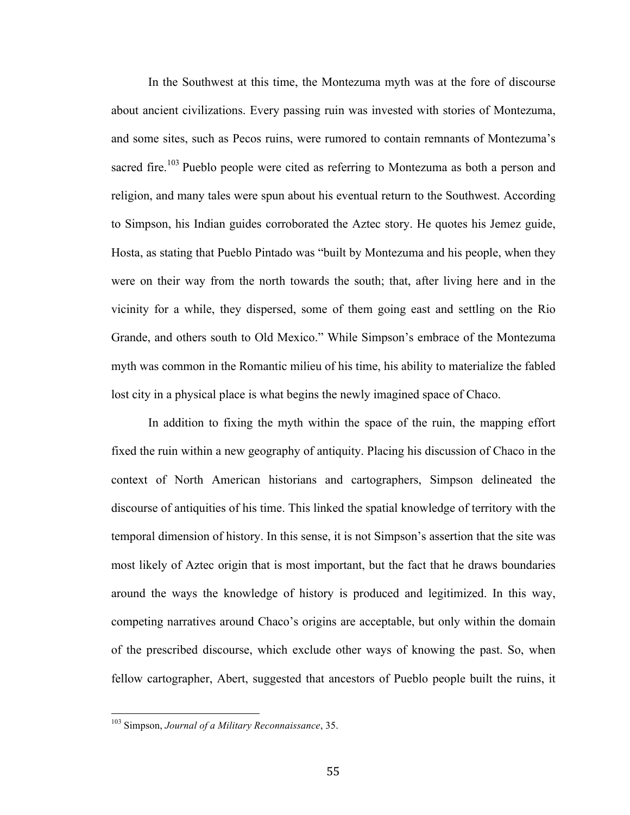In the Southwest at this time, the Montezuma myth was at the fore of discourse about ancient civilizations. Every passing ruin was invested with stories of Montezuma, and some sites, such as Pecos ruins, were rumored to contain remnants of Montezuma's sacred fire.<sup>103</sup> Pueblo people were cited as referring to Montezuma as both a person and religion, and many tales were spun about his eventual return to the Southwest. According to Simpson, his Indian guides corroborated the Aztec story. He quotes his Jemez guide, Hosta, as stating that Pueblo Pintado was "built by Montezuma and his people, when they were on their way from the north towards the south; that, after living here and in the vicinity for a while, they dispersed, some of them going east and settling on the Rio Grande, and others south to Old Mexico." While Simpson's embrace of the Montezuma myth was common in the Romantic milieu of his time, his ability to materialize the fabled lost city in a physical place is what begins the newly imagined space of Chaco.

In addition to fixing the myth within the space of the ruin, the mapping effort fixed the ruin within a new geography of antiquity. Placing his discussion of Chaco in the context of North American historians and cartographers, Simpson delineated the discourse of antiquities of his time. This linked the spatial knowledge of territory with the temporal dimension of history. In this sense, it is not Simpson's assertion that the site was most likely of Aztec origin that is most important, but the fact that he draws boundaries around the ways the knowledge of history is produced and legitimized. In this way, competing narratives around Chaco's origins are acceptable, but only within the domain of the prescribed discourse, which exclude other ways of knowing the past. So, when fellow cartographer, Abert, suggested that ancestors of Pueblo people built the ruins, it

<sup>&</sup>lt;sup>103</sup> Simpson, *Journal of a Military Reconnaissance*, 35.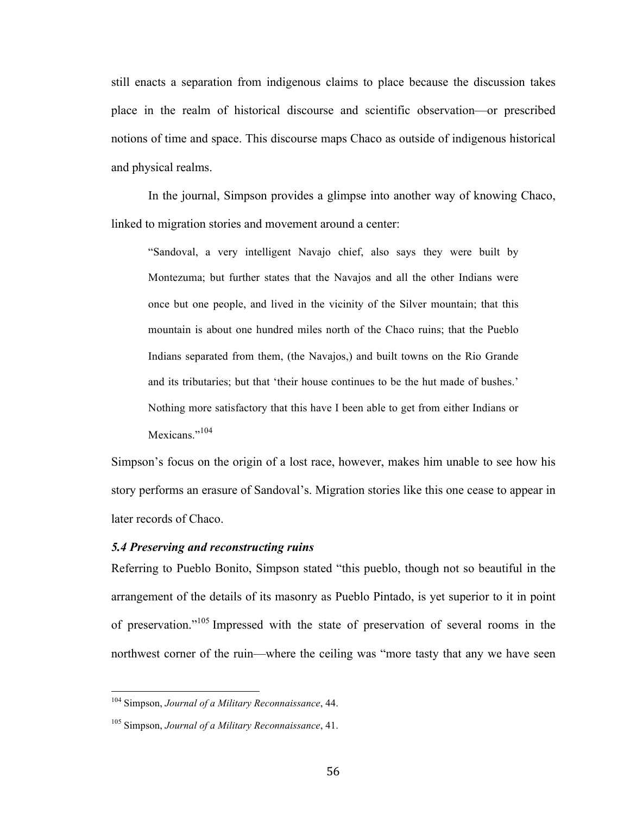still enacts a separation from indigenous claims to place because the discussion takes place in the realm of historical discourse and scientific observation—or prescribed notions of time and space. This discourse maps Chaco as outside of indigenous historical and physical realms.

In the journal, Simpson provides a glimpse into another way of knowing Chaco, linked to migration stories and movement around a center:

"Sandoval, a very intelligent Navajo chief, also says they were built by Montezuma; but further states that the Navajos and all the other Indians were once but one people, and lived in the vicinity of the Silver mountain; that this mountain is about one hundred miles north of the Chaco ruins; that the Pueblo Indians separated from them, (the Navajos,) and built towns on the Rio Grande and its tributaries; but that 'their house continues to be the hut made of bushes.' Nothing more satisfactory that this have I been able to get from either Indians or Mexicans<sup>",104</sup>

Simpson's focus on the origin of a lost race, however, makes him unable to see how his story performs an erasure of Sandoval's. Migration stories like this one cease to appear in later records of Chaco.

### *5.4 Preserving and reconstructing ruins*

Referring to Pueblo Bonito, Simpson stated "this pueblo, though not so beautiful in the arrangement of the details of its masonry as Pueblo Pintado, is yet superior to it in point of preservation." <sup>105</sup> Impressed with the state of preservation of several rooms in the northwest corner of the ruin—where the ceiling was "more tasty that any we have seen

<sup>&</sup>lt;sup>104</sup> Simpson, *Journal of a Military Reconnaissance*, 44.

<sup>105</sup> Simpson, *Journal of a Military Reconnaissance*, 41.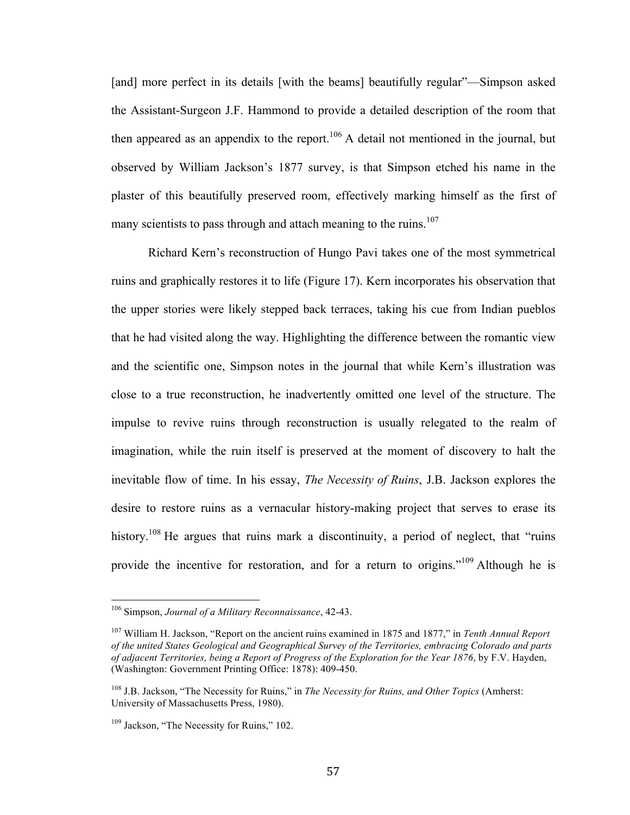[and] more perfect in its details [with the beams] beautifully regular"—Simpson asked the Assistant-Surgeon J.F. Hammond to provide a detailed description of the room that then appeared as an appendix to the report.<sup>106</sup> A detail not mentioned in the journal, but observed by William Jackson's 1877 survey, is that Simpson etched his name in the plaster of this beautifully preserved room, effectively marking himself as the first of many scientists to pass through and attach meaning to the ruins.<sup>107</sup>

Richard Kern's reconstruction of Hungo Pavi takes one of the most symmetrical ruins and graphically restores it to life (Figure 17). Kern incorporates his observation that the upper stories were likely stepped back terraces, taking his cue from Indian pueblos that he had visited along the way. Highlighting the difference between the romantic view and the scientific one, Simpson notes in the journal that while Kern's illustration was close to a true reconstruction, he inadvertently omitted one level of the structure. The impulse to revive ruins through reconstruction is usually relegated to the realm of imagination, while the ruin itself is preserved at the moment of discovery to halt the inevitable flow of time. In his essay, *The Necessity of Ruins*, J.B. Jackson explores the desire to restore ruins as a vernacular history-making project that serves to erase its history.<sup>108</sup> He argues that ruins mark a discontinuity, a period of neglect, that "ruins" provide the incentive for restoration, and for a return to origins."<sup>109</sup> Although he is

<sup>&</sup>lt;sup>106</sup> Simpson, *Journal of a Military Reconnaissance*, 42-43.

<sup>107</sup> William H. Jackson, "Report on the ancient ruins examined in 1875 and 1877," in *Tenth Annual Report of the united States Geological and Geographical Survey of the Territories, embracing Colorado and parts of adjacent Territories, being a Report of Progress of the Exploration for the Year 1876*, by F.V. Hayden, (Washington: Government Printing Office: 1878): 409-450.

<sup>108</sup> J.B. Jackson, "The Necessity for Ruins," in *The Necessity for Ruins, and Other Topics* (Amherst: University of Massachusetts Press, 1980).

<sup>&</sup>lt;sup>109</sup> Jackson, "The Necessity for Ruins," 102.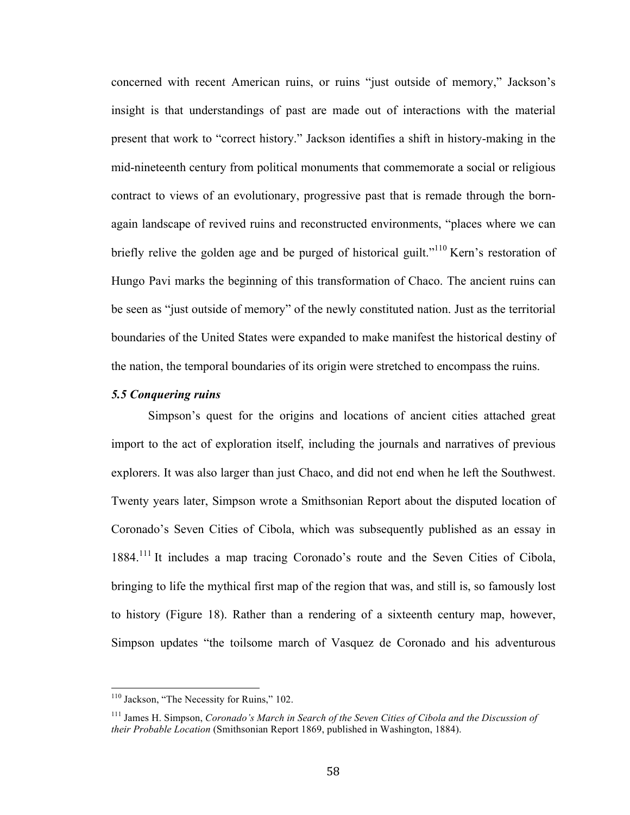concerned with recent American ruins, or ruins "just outside of memory," Jackson's insight is that understandings of past are made out of interactions with the material present that work to "correct history." Jackson identifies a shift in history-making in the mid-nineteenth century from political monuments that commemorate a social or religious contract to views of an evolutionary, progressive past that is remade through the bornagain landscape of revived ruins and reconstructed environments, "places where we can briefly relive the golden age and be purged of historical guilt."<sup>110</sup> Kern's restoration of Hungo Pavi marks the beginning of this transformation of Chaco. The ancient ruins can be seen as "just outside of memory" of the newly constituted nation. Just as the territorial boundaries of the United States were expanded to make manifest the historical destiny of the nation, the temporal boundaries of its origin were stretched to encompass the ruins.

### *5.5 Conquering ruins*

Simpson's quest for the origins and locations of ancient cities attached great import to the act of exploration itself, including the journals and narratives of previous explorers. It was also larger than just Chaco, and did not end when he left the Southwest. Twenty years later, Simpson wrote a Smithsonian Report about the disputed location of Coronado's Seven Cities of Cibola, which was subsequently published as an essay in 1884.<sup>111</sup> It includes a map tracing Coronado's route and the Seven Cities of Cibola, bringing to life the mythical first map of the region that was, and still is, so famously lost to history (Figure 18). Rather than a rendering of a sixteenth century map, however, Simpson updates "the toilsome march of Vasquez de Coronado and his adventurous

<sup>&</sup>lt;sup>110</sup> Jackson, "The Necessity for Ruins," 102.

<sup>111</sup> James H. Simpson, *Coronado's March in Search of the Seven Cities of Cibola and the Discussion of their Probable Location* (Smithsonian Report 1869, published in Washington, 1884).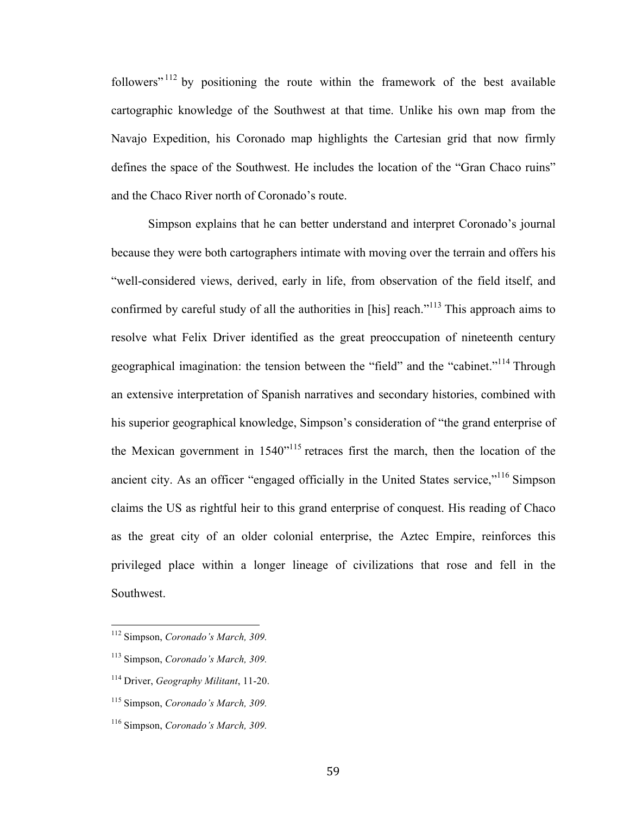followers"  $112$  by positioning the route within the framework of the best available cartographic knowledge of the Southwest at that time. Unlike his own map from the Navajo Expedition, his Coronado map highlights the Cartesian grid that now firmly defines the space of the Southwest. He includes the location of the "Gran Chaco ruins" and the Chaco River north of Coronado's route.

Simpson explains that he can better understand and interpret Coronado's journal because they were both cartographers intimate with moving over the terrain and offers his "well-considered views, derived, early in life, from observation of the field itself, and confirmed by careful study of all the authorities in [his] reach."<sup>113</sup> This approach aims to resolve what Felix Driver identified as the great preoccupation of nineteenth century geographical imagination: the tension between the "field" and the "cabinet."114 Through an extensive interpretation of Spanish narratives and secondary histories, combined with his superior geographical knowledge, Simpson's consideration of "the grand enterprise of the Mexican government in  $1540^{115}$  retraces first the march, then the location of the ancient city. As an officer "engaged officially in the United States service,"<sup>116</sup> Simpson claims the US as rightful heir to this grand enterprise of conquest. His reading of Chaco as the great city of an older colonial enterprise, the Aztec Empire, reinforces this privileged place within a longer lineage of civilizations that rose and fell in the Southwest.

<sup>&</sup>lt;sup>112</sup> Simpson, *Coronado's March*, 309.

<sup>113</sup> Simpson, *Coronado's March, 309.*

<sup>114</sup> Driver, *Geography Militant*, 11-20.

<sup>115</sup> Simpson, *Coronado's March, 309.*

<sup>116</sup> Simpson, *Coronado's March, 309.*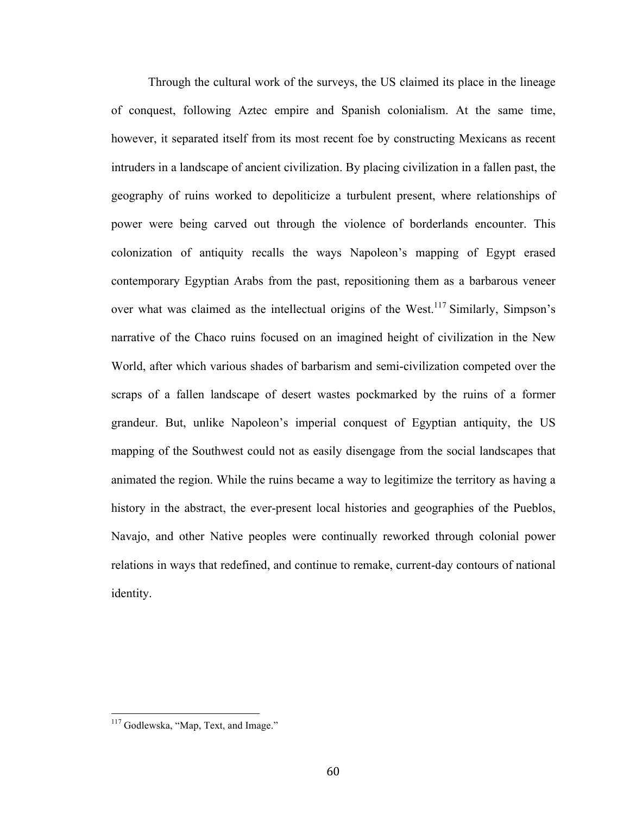Through the cultural work of the surveys, the US claimed its place in the lineage of conquest, following Aztec empire and Spanish colonialism. At the same time, however, it separated itself from its most recent foe by constructing Mexicans as recent intruders in a landscape of ancient civilization. By placing civilization in a fallen past, the geography of ruins worked to depoliticize a turbulent present, where relationships of power were being carved out through the violence of borderlands encounter. This colonization of antiquity recalls the ways Napoleon's mapping of Egypt erased contemporary Egyptian Arabs from the past, repositioning them as a barbarous veneer over what was claimed as the intellectual origins of the West.<sup>117</sup> Similarly, Simpson's narrative of the Chaco ruins focused on an imagined height of civilization in the New World, after which various shades of barbarism and semi-civilization competed over the scraps of a fallen landscape of desert wastes pockmarked by the ruins of a former grandeur. But, unlike Napoleon's imperial conquest of Egyptian antiquity, the US mapping of the Southwest could not as easily disengage from the social landscapes that animated the region. While the ruins became a way to legitimize the territory as having a history in the abstract, the ever-present local histories and geographies of the Pueblos, Navajo, and other Native peoples were continually reworked through colonial power relations in ways that redefined, and continue to remake, current-day contours of national identity.

<sup>&</sup>lt;sup>117</sup> Godlewska, "Map, Text, and Image."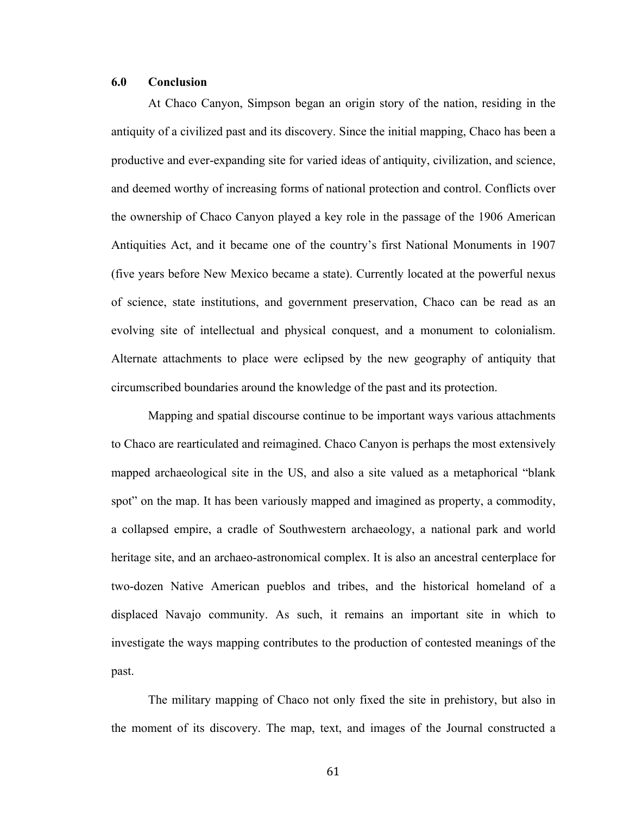# **6.0 Conclusion**

At Chaco Canyon, Simpson began an origin story of the nation, residing in the antiquity of a civilized past and its discovery. Since the initial mapping, Chaco has been a productive and ever-expanding site for varied ideas of antiquity, civilization, and science, and deemed worthy of increasing forms of national protection and control. Conflicts over the ownership of Chaco Canyon played a key role in the passage of the 1906 American Antiquities Act, and it became one of the country's first National Monuments in 1907 (five years before New Mexico became a state). Currently located at the powerful nexus of science, state institutions, and government preservation, Chaco can be read as an evolving site of intellectual and physical conquest, and a monument to colonialism. Alternate attachments to place were eclipsed by the new geography of antiquity that circumscribed boundaries around the knowledge of the past and its protection.

Mapping and spatial discourse continue to be important ways various attachments to Chaco are rearticulated and reimagined. Chaco Canyon is perhaps the most extensively mapped archaeological site in the US, and also a site valued as a metaphorical "blank spot" on the map. It has been variously mapped and imagined as property, a commodity, a collapsed empire, a cradle of Southwestern archaeology, a national park and world heritage site, and an archaeo-astronomical complex. It is also an ancestral centerplace for two-dozen Native American pueblos and tribes, and the historical homeland of a displaced Navajo community. As such, it remains an important site in which to investigate the ways mapping contributes to the production of contested meanings of the past.

The military mapping of Chaco not only fixed the site in prehistory, but also in the moment of its discovery. The map, text, and images of the Journal constructed a

61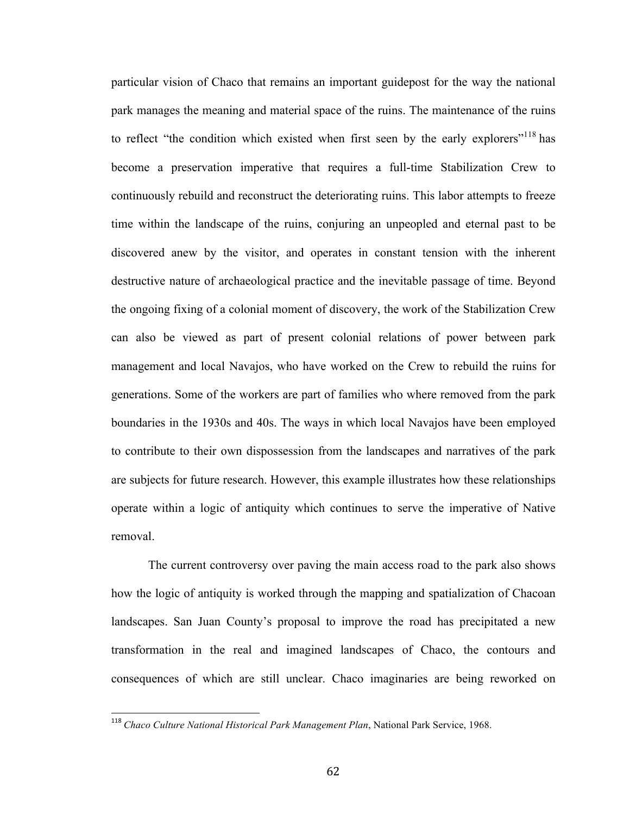particular vision of Chaco that remains an important guidepost for the way the national park manages the meaning and material space of the ruins. The maintenance of the ruins to reflect "the condition which existed when first seen by the early explorers"<sup>118</sup> has become a preservation imperative that requires a full-time Stabilization Crew to continuously rebuild and reconstruct the deteriorating ruins. This labor attempts to freeze time within the landscape of the ruins, conjuring an unpeopled and eternal past to be discovered anew by the visitor, and operates in constant tension with the inherent destructive nature of archaeological practice and the inevitable passage of time. Beyond the ongoing fixing of a colonial moment of discovery, the work of the Stabilization Crew can also be viewed as part of present colonial relations of power between park management and local Navajos, who have worked on the Crew to rebuild the ruins for generations. Some of the workers are part of families who where removed from the park boundaries in the 1930s and 40s. The ways in which local Navajos have been employed to contribute to their own dispossession from the landscapes and narratives of the park are subjects for future research. However, this example illustrates how these relationships operate within a logic of antiquity which continues to serve the imperative of Native removal.

The current controversy over paving the main access road to the park also shows how the logic of antiquity is worked through the mapping and spatialization of Chacoan landscapes. San Juan County's proposal to improve the road has precipitated a new transformation in the real and imagined landscapes of Chaco, the contours and consequences of which are still unclear. Chaco imaginaries are being reworked on

<sup>&</sup>lt;sup>118</sup> Chaco Culture National Historical Park Management Plan, National Park Service, 1968.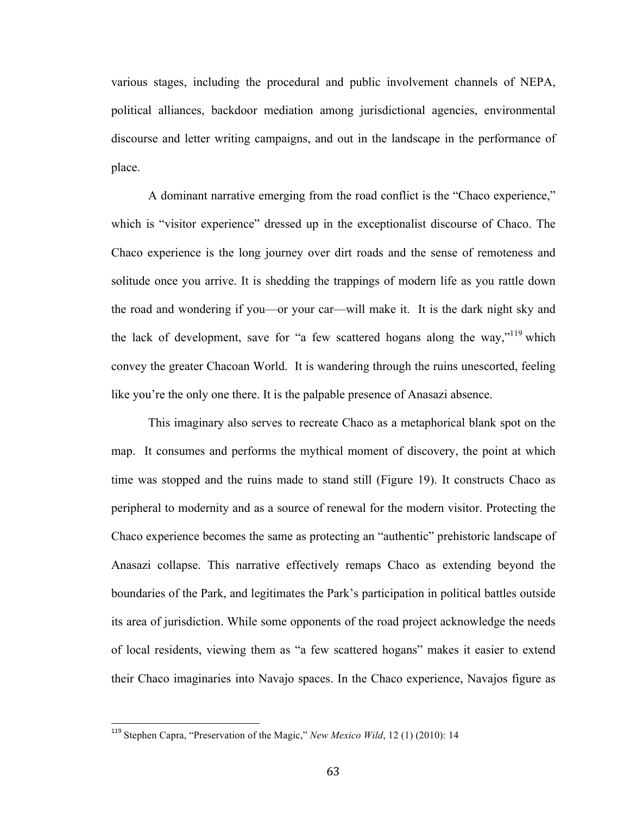various stages, including the procedural and public involvement channels of NEPA, political alliances, backdoor mediation among jurisdictional agencies, environmental discourse and letter writing campaigns, and out in the landscape in the performance of place.

A dominant narrative emerging from the road conflict is the "Chaco experience," which is "visitor experience" dressed up in the exceptionalist discourse of Chaco. The Chaco experience is the long journey over dirt roads and the sense of remoteness and solitude once you arrive. It is shedding the trappings of modern life as you rattle down the road and wondering if you—or your car—will make it. It is the dark night sky and the lack of development, save for "a few scattered hogans along the way,"<sup>119</sup> which convey the greater Chacoan World. It is wandering through the ruins unescorted, feeling like you're the only one there. It is the palpable presence of Anasazi absence.

This imaginary also serves to recreate Chaco as a metaphorical blank spot on the map. It consumes and performs the mythical moment of discovery, the point at which time was stopped and the ruins made to stand still (Figure 19). It constructs Chaco as peripheral to modernity and as a source of renewal for the modern visitor. Protecting the Chaco experience becomes the same as protecting an "authentic" prehistoric landscape of Anasazi collapse. This narrative effectively remaps Chaco as extending beyond the boundaries of the Park, and legitimates the Park's participation in political battles outside its area of jurisdiction. While some opponents of the road project acknowledge the needs of local residents, viewing them as "a few scattered hogans" makes it easier to extend their Chaco imaginaries into Navajo spaces. In the Chaco experience, Navajos figure as

<sup>&</sup>lt;sup>119</sup> Stephen Capra, "Preservation of the Magic," *New Mexico Wild*, 12 (1) (2010): 14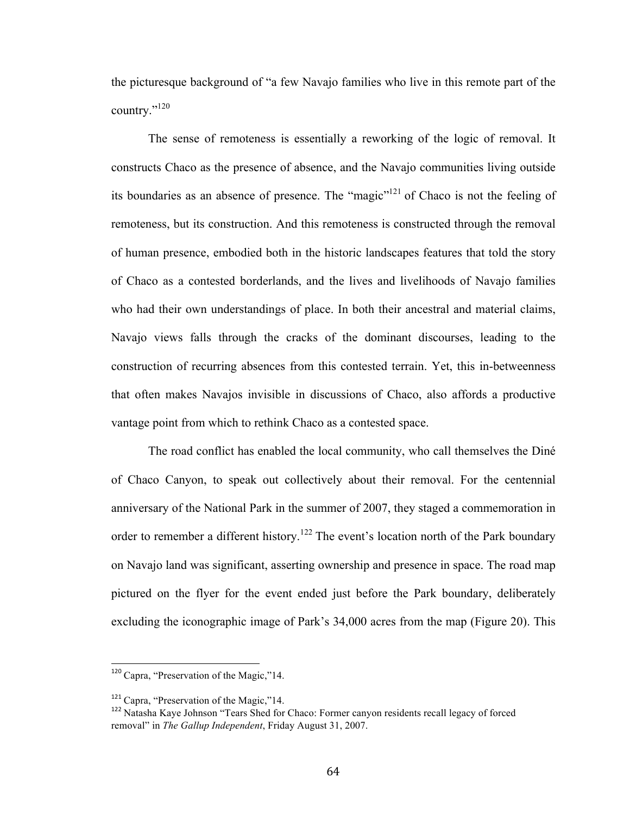the picturesque background of "a few Navajo families who live in this remote part of the country."120

The sense of remoteness is essentially a reworking of the logic of removal. It constructs Chaco as the presence of absence, and the Navajo communities living outside its boundaries as an absence of presence. The "magic"121 of Chaco is not the feeling of remoteness, but its construction. And this remoteness is constructed through the removal of human presence, embodied both in the historic landscapes features that told the story of Chaco as a contested borderlands, and the lives and livelihoods of Navajo families who had their own understandings of place. In both their ancestral and material claims, Navajo views falls through the cracks of the dominant discourses, leading to the construction of recurring absences from this contested terrain. Yet, this in-betweenness that often makes Navajos invisible in discussions of Chaco, also affords a productive vantage point from which to rethink Chaco as a contested space.

The road conflict has enabled the local community, who call themselves the Diné of Chaco Canyon, to speak out collectively about their removal. For the centennial anniversary of the National Park in the summer of 2007, they staged a commemoration in order to remember a different history.<sup>122</sup> The event's location north of the Park boundary on Navajo land was significant, asserting ownership and presence in space. The road map pictured on the flyer for the event ended just before the Park boundary, deliberately excluding the iconographic image of Park's 34,000 acres from the map (Figure 20). This

 $120$  Capra, "Preservation of the Magic,"14.

<sup>&</sup>lt;sup>121</sup> Capra, "Preservation of the Magic,"14.

<sup>&</sup>lt;sup>122</sup> Natasha Kaye Johnson "Tears Shed for Chaco: Former canyon residents recall legacy of forced removal" in *The Gallup Independent*, Friday August 31, 2007.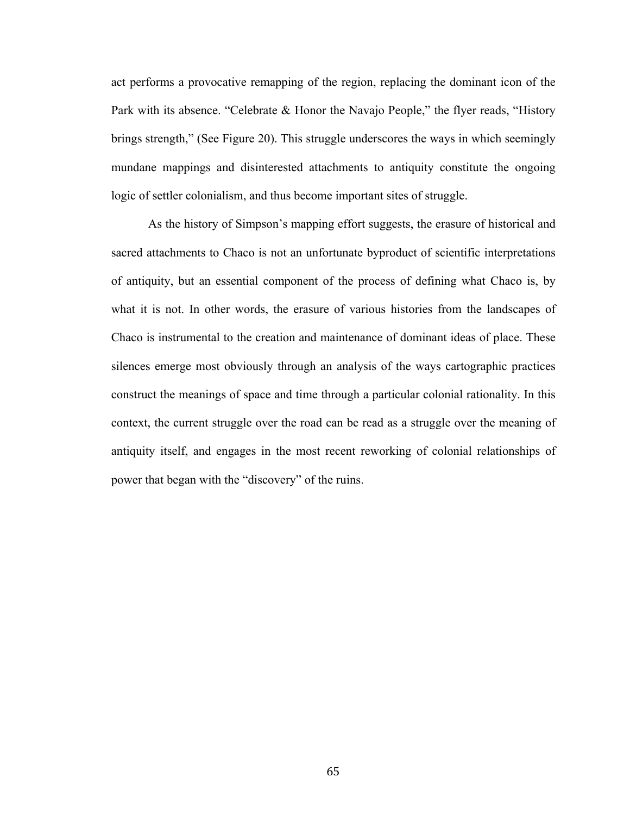act performs a provocative remapping of the region, replacing the dominant icon of the Park with its absence. "Celebrate & Honor the Navajo People," the flyer reads, "History brings strength," (See Figure 20). This struggle underscores the ways in which seemingly mundane mappings and disinterested attachments to antiquity constitute the ongoing logic of settler colonialism, and thus become important sites of struggle.

As the history of Simpson's mapping effort suggests, the erasure of historical and sacred attachments to Chaco is not an unfortunate byproduct of scientific interpretations of antiquity, but an essential component of the process of defining what Chaco is, by what it is not. In other words, the erasure of various histories from the landscapes of Chaco is instrumental to the creation and maintenance of dominant ideas of place. These silences emerge most obviously through an analysis of the ways cartographic practices construct the meanings of space and time through a particular colonial rationality. In this context, the current struggle over the road can be read as a struggle over the meaning of antiquity itself, and engages in the most recent reworking of colonial relationships of power that began with the "discovery" of the ruins.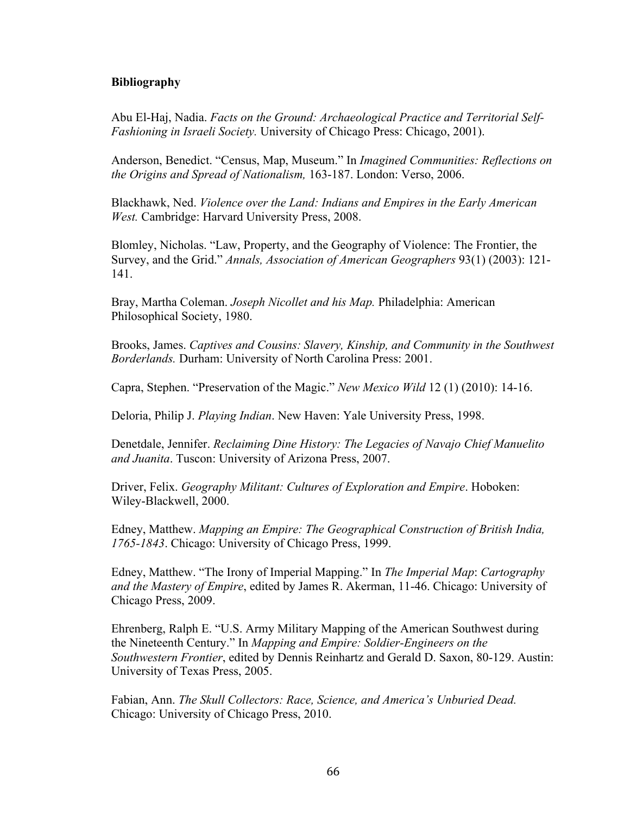# **Bibliography**

Abu El-Haj, Nadia. *Facts on the Ground: Archaeological Practice and Territorial Self-Fashioning in Israeli Society.* University of Chicago Press: Chicago, 2001).

Anderson, Benedict. "Census, Map, Museum." In *Imagined Communities: Reflections on the Origins and Spread of Nationalism,* 163-187. London: Verso, 2006.

Blackhawk, Ned. *Violence over the Land: Indians and Empires in the Early American West.* Cambridge: Harvard University Press, 2008.

Blomley, Nicholas. "Law, Property, and the Geography of Violence: The Frontier, the Survey, and the Grid." *Annals, Association of American Geographers* 93(1) (2003): 121- 141.

Bray, Martha Coleman. *Joseph Nicollet and his Map.* Philadelphia: American Philosophical Society, 1980.

Brooks, James. *Captives and Cousins: Slavery, Kinship, and Community in the Southwest Borderlands.* Durham: University of North Carolina Press: 2001.

Capra, Stephen. "Preservation of the Magic." *New Mexico Wild* 12 (1) (2010): 14-16.

Deloria, Philip J. *Playing Indian*. New Haven: Yale University Press, 1998.

Denetdale, Jennifer. *Reclaiming Dine History: The Legacies of Navajo Chief Manuelito and Juanita*. Tuscon: University of Arizona Press, 2007.

Driver, Felix. *Geography Militant: Cultures of Exploration and Empire*. Hoboken: Wiley-Blackwell, 2000.

Edney, Matthew. *Mapping an Empire: The Geographical Construction of British India, 1765-1843*. Chicago: University of Chicago Press, 1999.

Edney, Matthew. "The Irony of Imperial Mapping." In *The Imperial Map*: *Cartography and the Mastery of Empire*, edited by James R. Akerman, 11-46. Chicago: University of Chicago Press, 2009.

Ehrenberg, Ralph E. "U.S. Army Military Mapping of the American Southwest during the Nineteenth Century." In *Mapping and Empire: Soldier-Engineers on the Southwestern Frontier*, edited by Dennis Reinhartz and Gerald D. Saxon, 80-129. Austin: University of Texas Press, 2005.

Fabian, Ann. *The Skull Collectors: Race, Science, and America's Unburied Dead.* Chicago: University of Chicago Press, 2010.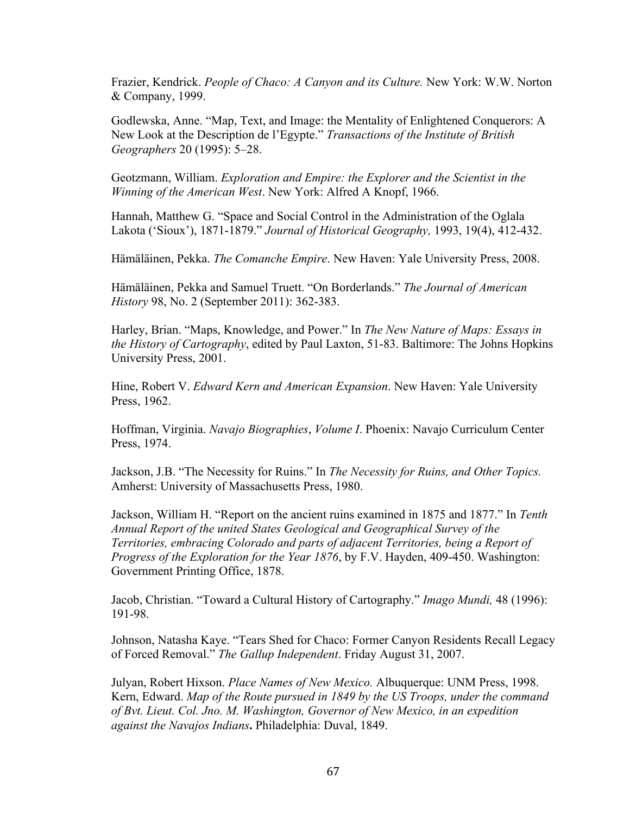Frazier, Kendrick. *People of Chaco: A Canyon and its Culture.* New York: W.W. Norton & Company, 1999.

Godlewska, Anne. "Map, Text, and Image: the Mentality of Enlightened Conquerors: A New Look at the Description de l'Egypte." *Transactions of the Institute of British Geographers* 20 (1995): 5–28.

Geotzmann, William. *Exploration and Empire: the Explorer and the Scientist in the Winning of the American West*. New York: Alfred A Knopf, 1966.

Hannah, Matthew G. "Space and Social Control in the Administration of the Oglala Lakota ('Sioux'), 1871-1879." *Journal of Historical Geography,* 1993, 19(4), 412-432.

Hämäläinen, Pekka. *The Comanche Empire*. New Haven: Yale University Press, 2008.

Hämäläinen, Pekka and Samuel Truett. "On Borderlands." *The Journal of American History* 98, No. 2 (September 2011): 362-383.

Harley, Brian. "Maps, Knowledge, and Power." In *The New Nature of Maps: Essays in the History of Cartography*, edited by Paul Laxton, 51-83. Baltimore: The Johns Hopkins University Press, 2001.

Hine, Robert V. *Edward Kern and American Expansion*. New Haven: Yale University Press, 1962.

Hoffman, Virginia. *Navajo Biographies*, *Volume I*. Phoenix: Navajo Curriculum Center Press, 1974.

Jackson, J.B. "The Necessity for Ruins." In *The Necessity for Ruins, and Other Topics.* Amherst: University of Massachusetts Press, 1980.

Jackson, William H. "Report on the ancient ruins examined in 1875 and 1877." In *Tenth Annual Report of the united States Geological and Geographical Survey of the Territories, embracing Colorado and parts of adjacent Territories, being a Report of Progress of the Exploration for the Year 1876*, by F.V. Hayden, 409-450. Washington: Government Printing Office, 1878.

Jacob, Christian. "Toward a Cultural History of Cartography." *Imago Mundi,* 48 (1996): 191-98.

Johnson, Natasha Kaye. "Tears Shed for Chaco: Former Canyon Residents Recall Legacy of Forced Removal." *The Gallup Independent*. Friday August 31, 2007.

Julyan, Robert Hixson. *Place Names of New Mexico.* Albuquerque: UNM Press, 1998. Kern, Edward. *Map of the Route pursued in 1849 by the US Troops, under the command of Bvt. Lieut. Col. Jno. M. Washington, Governor of New Mexico, in an expedition against the Navajos Indians***.** Philadelphia: Duval, 1849.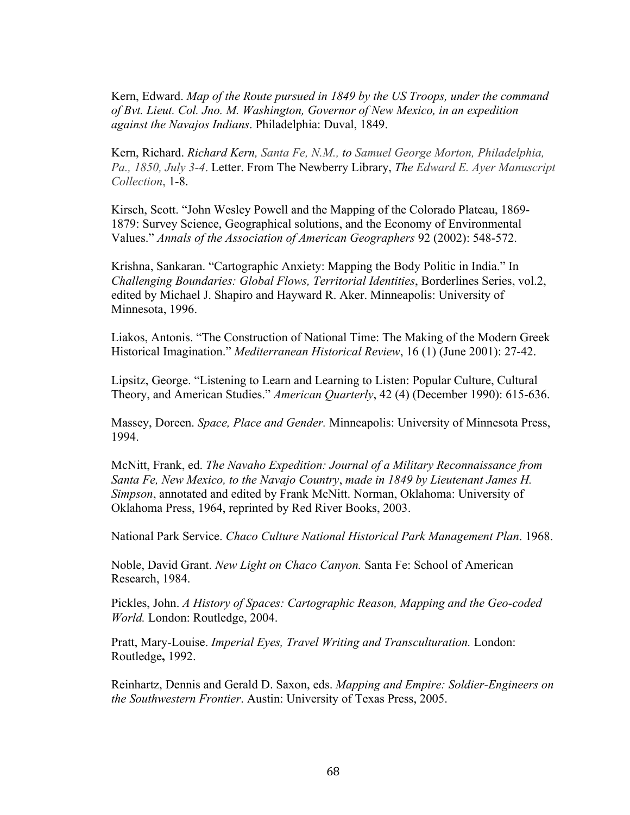Kern, Edward. *Map of the Route pursued in 1849 by the US Troops, under the command of Bvt. Lieut. Col. Jno. M. Washington, Governor of New Mexico, in an expedition against the Navajos Indians*. Philadelphia: Duval, 1849.

Kern, Richard. *Richard Kern, Santa Fe, N.M., to Samuel George Morton, Philadelphia, Pa., 1850, July 3-4*. Letter. From The Newberry Library, *The Edward E. Ayer Manuscript Collection*, 1-8.

Kirsch, Scott. "John Wesley Powell and the Mapping of the Colorado Plateau, 1869- 1879: Survey Science, Geographical solutions, and the Economy of Environmental Values." *Annals of the Association of American Geographers* 92 (2002): 548-572.

Krishna, Sankaran. "Cartographic Anxiety: Mapping the Body Politic in India." In *Challenging Boundaries: Global Flows, Territorial Identities*, Borderlines Series, vol.2, edited by Michael J. Shapiro and Hayward R. Aker. Minneapolis: University of Minnesota, 1996.

Liakos, Antonis. "The Construction of National Time: The Making of the Modern Greek Historical Imagination." *Mediterranean Historical Review*, 16 (1) (June 2001): 27-42.

Lipsitz, George. "Listening to Learn and Learning to Listen: Popular Culture, Cultural Theory, and American Studies." *American Quarterly*, 42 (4) (December 1990): 615-636.

Massey, Doreen. *Space, Place and Gender.* Minneapolis: University of Minnesota Press, 1994.

McNitt, Frank, ed. *The Navaho Expedition: Journal of a Military Reconnaissance from Santa Fe, New Mexico, to the Navajo Country*, *made in 1849 by Lieutenant James H. Simpson*, annotated and edited by Frank McNitt. Norman, Oklahoma: University of Oklahoma Press, 1964, reprinted by Red River Books, 2003.

National Park Service. *Chaco Culture National Historical Park Management Plan*. 1968.

Noble, David Grant. *New Light on Chaco Canyon.* Santa Fe: School of American Research, 1984.

Pickles, John. *A History of Spaces: Cartographic Reason, Mapping and the Geo-coded World.* London: Routledge, 2004.

Pratt, Mary-Louise. *Imperial Eyes, Travel Writing and Transculturation.* London: Routledge**,** 1992.

Reinhartz, Dennis and Gerald D. Saxon, eds. *Mapping and Empire: Soldier-Engineers on the Southwestern Frontier*. Austin: University of Texas Press, 2005.